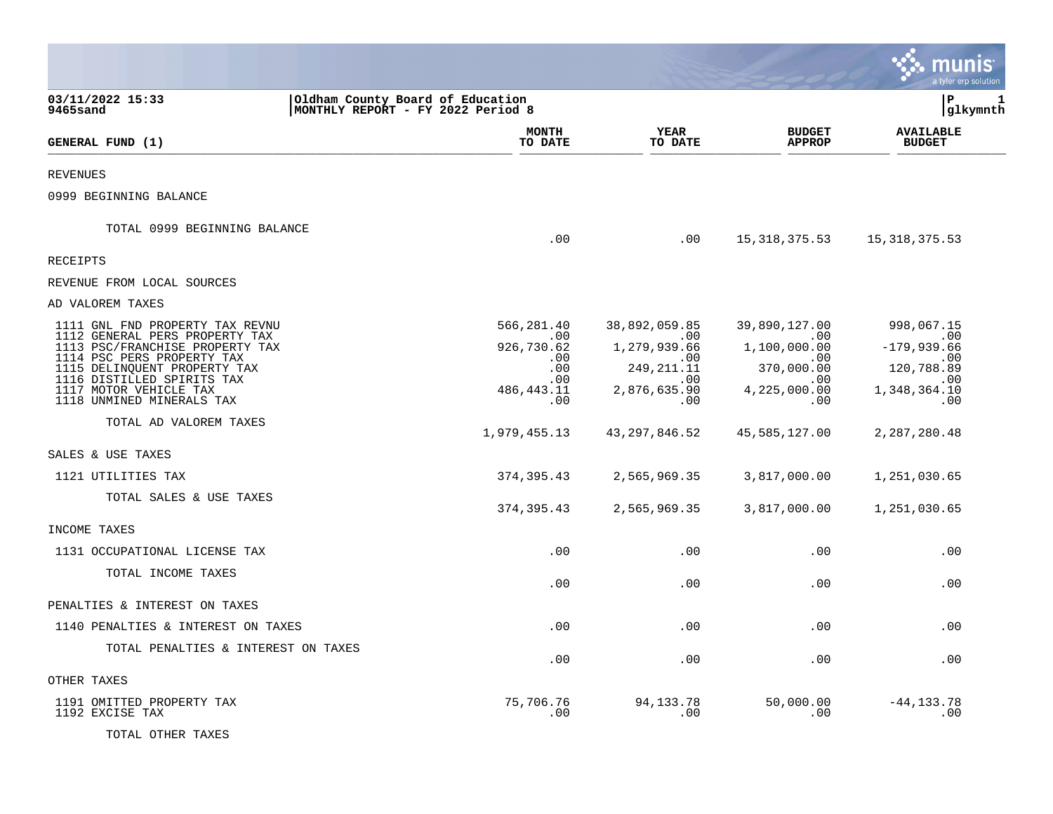|                                                                                                                                                                                                                                                                                                        |                                                                                           |                                                                                                               |                                                                                                          | nıs<br>a tyler erp solution                                                                           |
|--------------------------------------------------------------------------------------------------------------------------------------------------------------------------------------------------------------------------------------------------------------------------------------------------------|-------------------------------------------------------------------------------------------|---------------------------------------------------------------------------------------------------------------|----------------------------------------------------------------------------------------------------------|-------------------------------------------------------------------------------------------------------|
| 03/11/2022 15:33<br>9465sand                                                                                                                                                                                                                                                                           | Oldham County Board of Education<br>MONTHLY REPORT - FY 2022 Period 8                     |                                                                                                               |                                                                                                          | lР<br>1<br> glkymnth                                                                                  |
| GENERAL FUND (1)                                                                                                                                                                                                                                                                                       | <b>MONTH</b><br>TO DATE                                                                   | <b>YEAR</b><br>TO DATE                                                                                        | <b>BUDGET</b><br><b>APPROP</b>                                                                           | <b>AVAILABLE</b><br><b>BUDGET</b>                                                                     |
| <b>REVENUES</b>                                                                                                                                                                                                                                                                                        |                                                                                           |                                                                                                               |                                                                                                          |                                                                                                       |
| 0999 BEGINNING BALANCE                                                                                                                                                                                                                                                                                 |                                                                                           |                                                                                                               |                                                                                                          |                                                                                                       |
| TOTAL 0999 BEGINNING BALANCE                                                                                                                                                                                                                                                                           | .00                                                                                       | .00                                                                                                           | 15, 318, 375.53                                                                                          | 15,318,375.53                                                                                         |
| RECEIPTS                                                                                                                                                                                                                                                                                               |                                                                                           |                                                                                                               |                                                                                                          |                                                                                                       |
| REVENUE FROM LOCAL SOURCES                                                                                                                                                                                                                                                                             |                                                                                           |                                                                                                               |                                                                                                          |                                                                                                       |
| AD VALOREM TAXES                                                                                                                                                                                                                                                                                       |                                                                                           |                                                                                                               |                                                                                                          |                                                                                                       |
| 1111 GNL FND PROPERTY TAX REVNU<br>1112 GENERAL PERS PROPERTY TAX<br>1113 PSC/FRANCHISE PROPERTY TAX<br>1114 PSC PERS PROPERTY TAX<br>1115 DELINQUENT PROPERTY TAX<br>1116 DISTILLED SPIRITS TAX<br>1117 MOTOR VEHICLE TAX<br>1118 UNMINED MINERALS TAX<br>TOTAL AD VALOREM TAXES<br>SALES & USE TAXES | 566,281.40<br>.00<br>926,730.62<br>.00<br>.00<br>.00<br>486,443.11<br>.00<br>1,979,455.13 | 38,892,059.85<br>.00<br>1,279,939.66<br>.00.<br>249, 211. 11<br>.00<br>2,876,635.90<br>.00<br>43, 297, 846.52 | 39,890,127.00<br>.00<br>1,100,000.00<br>.00<br>370,000.00<br>.00<br>4,225,000.00<br>.00<br>45,585,127.00 | 998,067.15<br>.00<br>$-179,939.66$<br>.00<br>120,788.89<br>.00<br>1,348,364.10<br>.00<br>2,287,280.48 |
| 1121 UTILITIES TAX                                                                                                                                                                                                                                                                                     | 374,395.43                                                                                | 2,565,969.35                                                                                                  | 3,817,000.00                                                                                             | 1,251,030.65                                                                                          |
| TOTAL SALES & USE TAXES<br>INCOME TAXES                                                                                                                                                                                                                                                                | 374, 395.43                                                                               | 2,565,969.35                                                                                                  | 3,817,000.00                                                                                             | 1,251,030.65                                                                                          |
| 1131 OCCUPATIONAL LICENSE TAX                                                                                                                                                                                                                                                                          | .00                                                                                       | .00                                                                                                           | .00                                                                                                      | .00                                                                                                   |
| TOTAL INCOME TAXES                                                                                                                                                                                                                                                                                     | .00                                                                                       | .00                                                                                                           | .00                                                                                                      | .00                                                                                                   |
| PENALTIES & INTEREST ON TAXES                                                                                                                                                                                                                                                                          |                                                                                           |                                                                                                               |                                                                                                          |                                                                                                       |
| 1140 PENALTIES & INTEREST ON TAXES                                                                                                                                                                                                                                                                     | .00                                                                                       | .00                                                                                                           | .00                                                                                                      | .00                                                                                                   |
| TOTAL PENALTIES & INTEREST ON TAXES                                                                                                                                                                                                                                                                    | .00                                                                                       | .00                                                                                                           | .00                                                                                                      | .00                                                                                                   |
| OTHER TAXES                                                                                                                                                                                                                                                                                            |                                                                                           |                                                                                                               |                                                                                                          |                                                                                                       |
| 1191 OMITTED PROPERTY TAX<br>1192 EXCISE TAX<br>TOTAL OTHER TAXES                                                                                                                                                                                                                                      | 75,706.76<br>.00                                                                          | 94, 133. 78<br>.00                                                                                            | 50,000.00<br>.00                                                                                         | $-44, 133.78$<br>.00                                                                                  |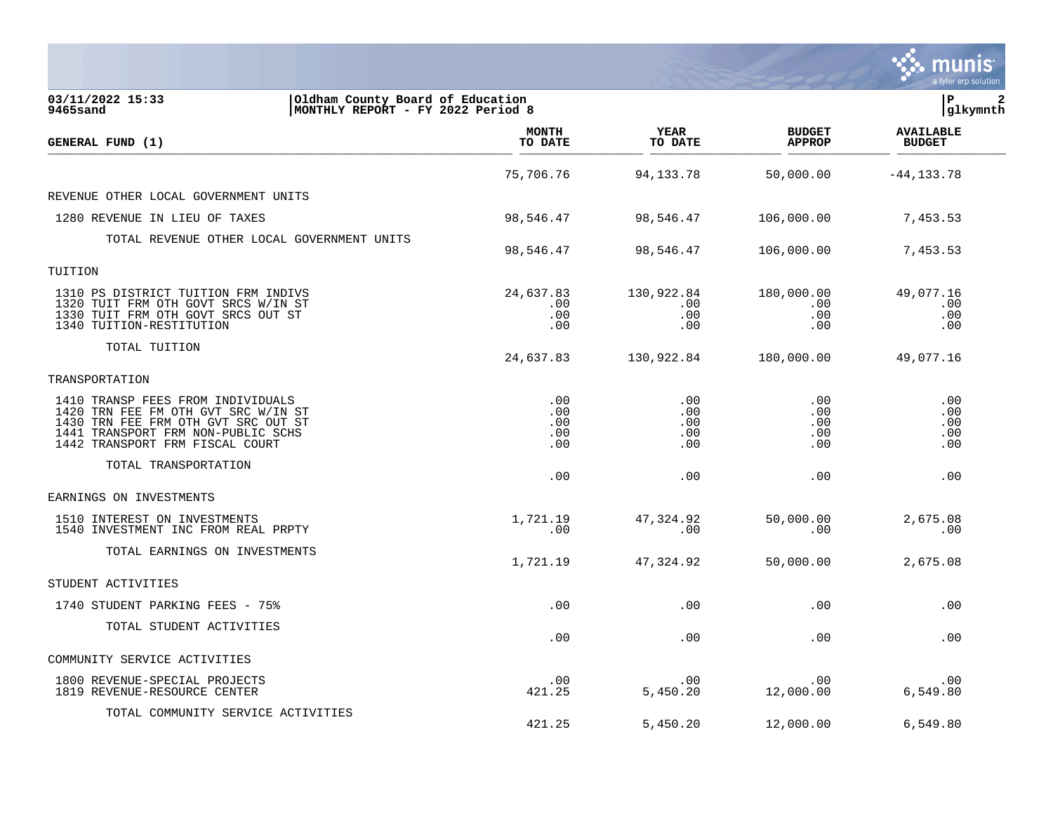|                                                                                                                                                                                          |                                 |                                 |                                      | munis<br>a tyler erp solution     |
|------------------------------------------------------------------------------------------------------------------------------------------------------------------------------------------|---------------------------------|---------------------------------|--------------------------------------|-----------------------------------|
| 03/11/2022 15:33<br>Oldham County Board of Education<br>9465sand<br>MONTHLY REPORT - FY 2022 Period 8                                                                                    |                                 |                                 |                                      | lР<br>$\mathbf{2}$<br> glkymnth   |
| GENERAL FUND (1)                                                                                                                                                                         | <b>MONTH</b><br>TO DATE         | YEAR<br>TO DATE                 | <b>BUDGET</b><br><b>APPROP</b>       | <b>AVAILABLE</b><br><b>BUDGET</b> |
|                                                                                                                                                                                          | 75,706.76                       | 94,133.78                       | 50,000.00                            | $-44, 133.78$                     |
| REVENUE OTHER LOCAL GOVERNMENT UNITS                                                                                                                                                     |                                 |                                 |                                      |                                   |
| 1280 REVENUE IN LIEU OF TAXES                                                                                                                                                            | 98,546.47                       | 98,546.47                       | 106,000.00                           | 7,453.53                          |
| TOTAL REVENUE OTHER LOCAL GOVERNMENT UNITS                                                                                                                                               | 98,546.47                       | 98,546.47                       | 106,000.00                           | 7,453.53                          |
| TUITION                                                                                                                                                                                  |                                 |                                 |                                      |                                   |
| 1310 PS DISTRICT TUITION FRM INDIVS<br>1320 TUIT FRM OTH GOVT SRCS W/IN ST<br>1330 TUIT FRM OTH GOVT SRCS OUT ST<br>1340 TUITION-RESTITUTION                                             | 24,637.83<br>.00<br>.00<br>.00  | 130,922.84<br>.00<br>.00<br>.00 | 180,000.00<br>.00<br>$.00 \,$<br>.00 | 49,077.16<br>.00<br>.00<br>.00    |
| TOTAL TUITION                                                                                                                                                                            | 24,637.83                       | 130,922.84                      | 180,000.00                           | 49,077.16                         |
| TRANSPORTATION                                                                                                                                                                           |                                 |                                 |                                      |                                   |
| 1410 TRANSP FEES FROM INDIVIDUALS<br>1420 TRN FEE FM OTH GVT SRC W/IN ST<br>1430 TRN FEE FRM OTH GVT SRC OUT ST<br>1441 TRANSPORT FRM NON-PUBLIC SCHS<br>1442 TRANSPORT FRM FISCAL COURT | .00<br>.00<br>.00<br>.00<br>.00 | .00<br>.00<br>.00<br>.00<br>.00 | .00<br>.00<br>.00<br>.00<br>.00      | .00<br>.00<br>.00<br>.00<br>.00   |
| TOTAL TRANSPORTATION                                                                                                                                                                     | .00                             | .00                             | .00                                  | .00                               |
| EARNINGS ON INVESTMENTS                                                                                                                                                                  |                                 |                                 |                                      |                                   |
| 1510 INTEREST ON INVESTMENTS<br>1540 INVESTMENT INC FROM REAL PRPTY                                                                                                                      | 1,721.19<br>.00                 | 47,324.92<br>.00                | 50,000.00<br>.00                     | 2,675.08<br>.00                   |
| TOTAL EARNINGS ON INVESTMENTS                                                                                                                                                            | 1,721.19                        | 47,324.92                       | 50,000.00                            | 2,675.08                          |
| STUDENT ACTIVITIES                                                                                                                                                                       |                                 |                                 |                                      |                                   |
| 1740 STUDENT PARKING FEES - 75%                                                                                                                                                          | .00                             | .00                             | .00                                  | .00                               |
| TOTAL STUDENT ACTIVITIES                                                                                                                                                                 | .00                             | .00                             | .00                                  | .00                               |
| COMMUNITY SERVICE ACTIVITIES                                                                                                                                                             |                                 |                                 |                                      |                                   |
| 1800 REVENUE-SPECIAL PROJECTS<br>1819 REVENUE-RESOURCE CENTER                                                                                                                            | .00<br>421.25                   | .00<br>5,450.20                 | .00<br>12,000.00                     | .00<br>6,549.80                   |
| TOTAL COMMUNITY SERVICE ACTIVITIES                                                                                                                                                       | 421.25                          | 5,450.20                        | 12,000.00                            | 6,549.80                          |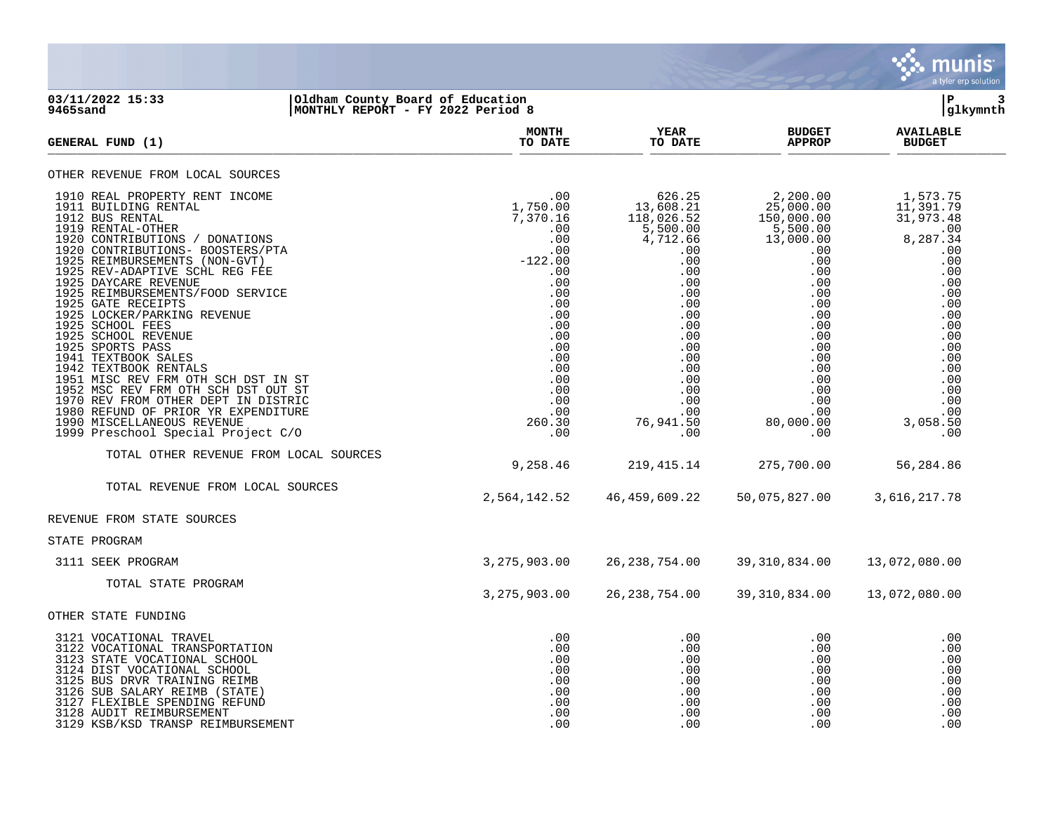

### **03/11/2022 15:33 |Oldham County Board of Education |P 3 9465sand |MONTHLY REPORT - FY 2022 Period 8 |glkymnth**

| GENERAL FUND (1)                                                                                                                                                                                                                                                                                                                                                                                                                                                                                                                                                                                                                                                                                        | <b>MONTH</b><br>TO DATE                                                                                                                                                                   | YEAR<br>TO DATE                                                                                                                                                                                                                   | <b>BUDGET</b><br><b>APPROP</b>                                                                                                                                                                             | <b>AVAILABLE</b><br><b>BUDGET</b>                                                                                                                                                 |
|---------------------------------------------------------------------------------------------------------------------------------------------------------------------------------------------------------------------------------------------------------------------------------------------------------------------------------------------------------------------------------------------------------------------------------------------------------------------------------------------------------------------------------------------------------------------------------------------------------------------------------------------------------------------------------------------------------|-------------------------------------------------------------------------------------------------------------------------------------------------------------------------------------------|-----------------------------------------------------------------------------------------------------------------------------------------------------------------------------------------------------------------------------------|------------------------------------------------------------------------------------------------------------------------------------------------------------------------------------------------------------|-----------------------------------------------------------------------------------------------------------------------------------------------------------------------------------|
| OTHER REVENUE FROM LOCAL SOURCES                                                                                                                                                                                                                                                                                                                                                                                                                                                                                                                                                                                                                                                                        |                                                                                                                                                                                           |                                                                                                                                                                                                                                   |                                                                                                                                                                                                            |                                                                                                                                                                                   |
| 1910 REAL PROPERTY RENT INCOME<br>1911 BUILDING RENTAL<br>1912 BUS RENTAL<br>1919 RENTAL-OTHER<br>1920 CONTRIBUTIONS / DONATIONS<br>1920 CONTRIBUTIONS- BOOSTERS/PTA<br>1925 REIMBURSEMENTS (NON-GVT)<br>1925 REV-ADAPTIVE SCHL REG FEE<br>1925 DAYCARE REVENUE<br>1925 REIMBURSEMENTS/FOOD SERVICE<br>1925 GATE RECEIPTS<br>1925 LOCKER/PARKING REVENUE<br>1925 SCHOOL FEES<br>1925 SCHOOL REVENUE<br>1925 SPORTS PASS<br>1941 TEXTBOOK SALES<br>1942 TEXTBOOK RENTALS<br>1951 MISC REV FRM OTH SCH DST IN ST<br>1952 MSC REV FRM OTH SCH DST OUT ST<br>1970 REV FROM OTHER DEPT IN DISTRIC<br>1980 REFUND OF PRIOR YR EXPENDITURE<br>1990 MISCELLANEOUS REVENUE<br>1999 Preschool Special Project C/O | .00<br>1,750.00<br>7,370.16<br>.00<br>.00<br>.00<br>$-122.00$<br>.00<br>.00<br>.00<br>.00<br>.00<br>.00<br>.00<br>.00<br>.00<br>.00<br>.00<br>$.00$<br>.00<br>.00<br>.00<br>260.30<br>.00 | $\begin{array}{r} 626.25 \\ 13,608.21 \\ 118,026.52 \\ 5,500.00 \\ 4,712.66 \end{array}$<br>.00<br>.00<br>.00<br>.00<br>.00<br>.00<br>.00<br>.00<br>.00<br>.00<br>.00<br>$.00 \,$<br>.00<br>.00<br>.00<br>.00<br>76,941.50<br>.00 | 2,200.00<br>25,000.00<br>150,000.00<br>5,500.00<br>13,000.00<br>.00<br>.00<br>.00<br>.00<br>$.00 \,$<br>.00<br>$.00 \,$<br>.00<br>.00<br>.00<br>.00<br>.00<br>.00<br>.00<br>.00<br>.00<br>80,000.00<br>.00 | 1,573.75<br>11,391.79<br>31,973.48<br>8,287.34<br>.00<br>.00<br>.00<br>.00<br>.00<br>.00<br>.00<br>.00<br>.00<br>.00<br>.00<br>.00<br>.00<br>.00<br>.00<br>.00<br>3,058.50<br>.00 |
| TOTAL OTHER REVENUE FROM LOCAL SOURCES                                                                                                                                                                                                                                                                                                                                                                                                                                                                                                                                                                                                                                                                  | 9,258.46                                                                                                                                                                                  | 219, 415. 14                                                                                                                                                                                                                      | 275,700.00                                                                                                                                                                                                 | 56,284.86                                                                                                                                                                         |
| TOTAL REVENUE FROM LOCAL SOURCES                                                                                                                                                                                                                                                                                                                                                                                                                                                                                                                                                                                                                                                                        | 2,564,142.52                                                                                                                                                                              | 46,459,609.22                                                                                                                                                                                                                     | 50,075,827.00                                                                                                                                                                                              | 3,616,217.78                                                                                                                                                                      |
| REVENUE FROM STATE SOURCES                                                                                                                                                                                                                                                                                                                                                                                                                                                                                                                                                                                                                                                                              |                                                                                                                                                                                           |                                                                                                                                                                                                                                   |                                                                                                                                                                                                            |                                                                                                                                                                                   |
| STATE PROGRAM                                                                                                                                                                                                                                                                                                                                                                                                                                                                                                                                                                                                                                                                                           |                                                                                                                                                                                           |                                                                                                                                                                                                                                   |                                                                                                                                                                                                            |                                                                                                                                                                                   |
| 3111 SEEK PROGRAM                                                                                                                                                                                                                                                                                                                                                                                                                                                                                                                                                                                                                                                                                       | 3, 275, 903.00                                                                                                                                                                            | 26, 238, 754.00                                                                                                                                                                                                                   | 39,310,834.00                                                                                                                                                                                              | 13,072,080.00                                                                                                                                                                     |
| TOTAL STATE PROGRAM                                                                                                                                                                                                                                                                                                                                                                                                                                                                                                                                                                                                                                                                                     | 3, 275, 903.00                                                                                                                                                                            | 26, 238, 754.00                                                                                                                                                                                                                   | 39, 310, 834.00                                                                                                                                                                                            | 13,072,080.00                                                                                                                                                                     |
| OTHER STATE FUNDING                                                                                                                                                                                                                                                                                                                                                                                                                                                                                                                                                                                                                                                                                     |                                                                                                                                                                                           |                                                                                                                                                                                                                                   |                                                                                                                                                                                                            |                                                                                                                                                                                   |
| 3121 VOCATIONAL TRAVEL<br>3122 VOCATIONAL TRANSPORTATION<br>3123 STATE VOCATIONAL SCHOOL<br>3124 DIST VOCATIONAL SCHOOL<br>3125 BUS DRVR TRAINING REIMB<br>3126 SUB SALARY REIMB (STATE)<br>3127 FLEXIBLE SPENDING REFUND<br>3128 AUDIT REIMBURSEMENT<br>3129 KSB/KSD TRANSP REIMBURSEMENT                                                                                                                                                                                                                                                                                                                                                                                                              | .00<br>.00<br>.00<br>.00<br>.00<br>.00<br>.00<br>.00<br>.00                                                                                                                               | .00<br>.00<br>.00<br>.00<br>.00<br>.00<br>.00<br>.00<br>.00                                                                                                                                                                       | .00<br>.00<br>.00<br>.00<br>.00<br>.00<br>$.00 \,$<br>.00<br>.00                                                                                                                                           | .00<br>.00<br>.00<br>.00<br>.00<br>.00<br>.00<br>.00<br>.00                                                                                                                       |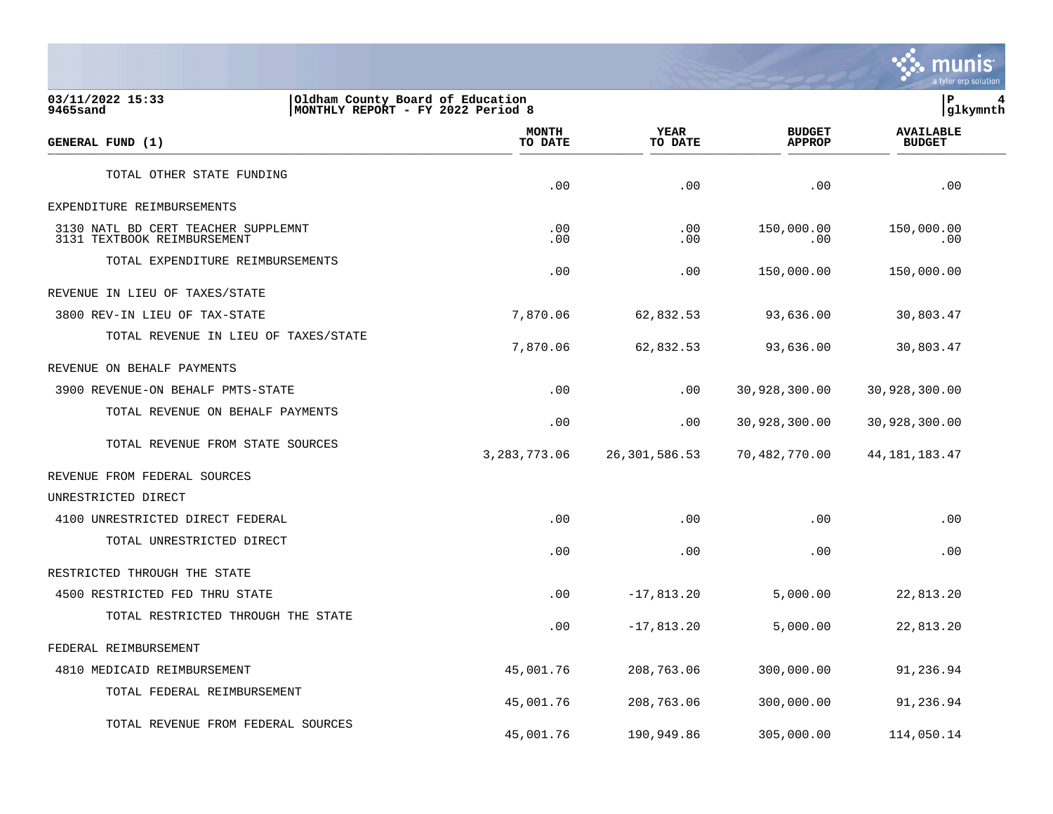

**03/11/2022 15:33 |Oldham County Board of Education |P 4** MONTHLY REPORT - FY 2022 Period 8  **MONTH AVAILABLE YEAR BUDGET** AVAILABLE **GENERAL FUND (1) TO DATE TO DATE APPROP BUDGET**  TO DATE THE RESERVED FOND (1) TOTAL OTHER STATE FUNDING .00 .00 .00 .00 EXPENDITURE REIMBURSEMENTS 3130 NATL BD CERT TEACHER SUPPLEMNT .00 .00 150,000.00 150,000.00 3131 TEXTBOOK REIMBURSEMENT TOTAL EXPENDITURE REIMBURSEMENTS .00 .00 150,000.00 150,000.00 REVENUE IN LIEU OF TAXES/STATE 3800 REV-IN LIEU OF TAX-STATE 7,870.06 62,832.53 93,636.00 30,803.47 TOTAL REVENUE IN LIEU OF TAXES/STATE 7,870.06 62,832.53 93,636.00 30,803.47 REVENUE ON BEHALF PAYMENTS 3900 REVENUE-ON BEHALF PMTS-STATE .00 .00 30,928,300.00 30,928,300.00 TOTAL REVENUE ON BEHALF PAYMENTS .00 .00 30,928,300.00 30,928,300.00 TOTAL REVENUE FROM STATE SOURCES 3,283,773.06 26,301,586.53 70,482,770.00 44,181,183.47 REVENUE FROM FEDERAL SOURCES UNRESTRICTED DIRECT 4100 UNRESTRICTED DIRECT FEDERAL .00 .00 .00 .00 TOTAL UNRESTRICTED DIRECT .00 .00 .00 .00 RESTRICTED THROUGH THE STATE 4500 RESTRICTED FED THRU STATE .00 -17,813.20 5,000.00 22,813.20 TOTAL RESTRICTED THROUGH THE STATE .00 -17,813.20 5,000.00 22,813.20 FEDERAL REIMBURSEMENT 4810 MEDICAID REIMBURSEMENT 45,001.76 208,763.06 300,000.00 91,236.94 TOTAL FEDERAL REIMBURSEMENT 45,001.76 208,763.06 300,000.00 91,236.94 TOTAL REVENUE FROM FEDERAL SOURCES

45,001.76 190,949.86 305,000.00 114,050.14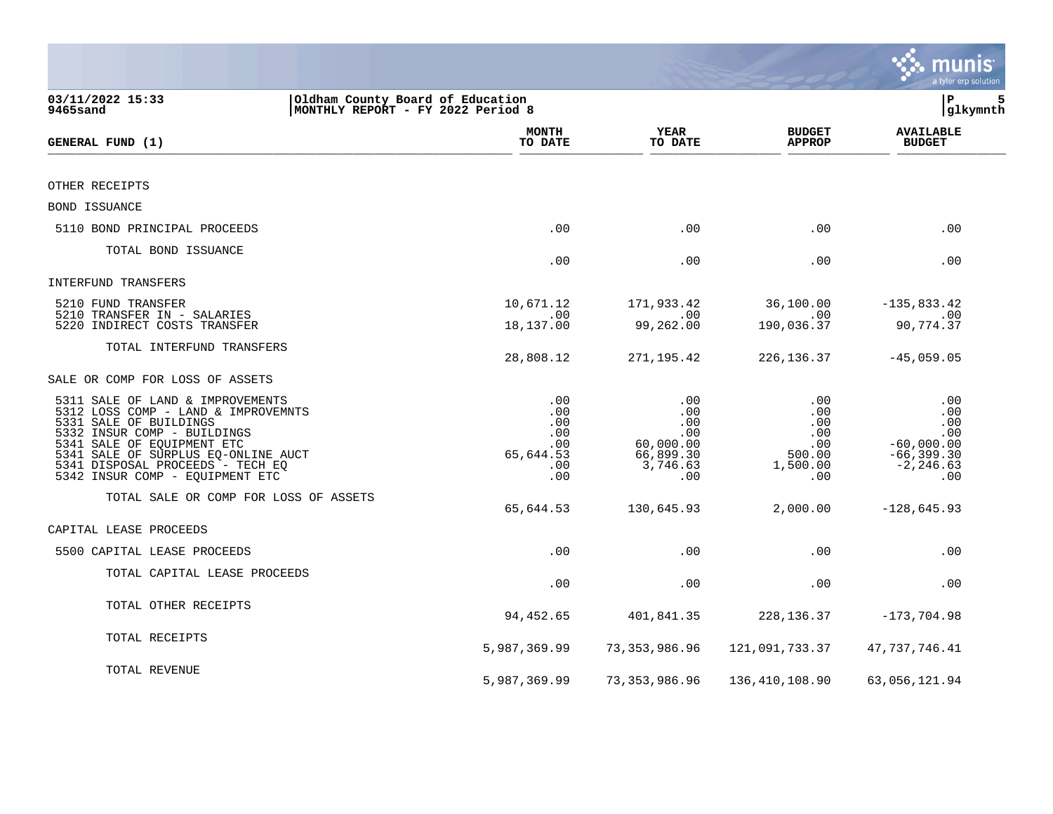|                                                                                                                                                                                                                                                                              |                                                            |                                                                       |                                                                   | <b>S. munis</b><br>a tyler erp solution                                          |
|------------------------------------------------------------------------------------------------------------------------------------------------------------------------------------------------------------------------------------------------------------------------------|------------------------------------------------------------|-----------------------------------------------------------------------|-------------------------------------------------------------------|----------------------------------------------------------------------------------|
| 03/11/2022 15:33<br>Oldham County Board of Education<br>MONTHLY REPORT - FY 2022 Period 8<br>9465sand                                                                                                                                                                        |                                                            |                                                                       |                                                                   | l P<br>5<br> glkymnth                                                            |
| GENERAL FUND (1)                                                                                                                                                                                                                                                             | <b>MONTH</b><br>TO DATE                                    | <b>YEAR</b><br>TO DATE                                                | <b>BUDGET</b><br><b>APPROP</b>                                    | <b>AVAILABLE</b><br><b>BUDGET</b>                                                |
|                                                                                                                                                                                                                                                                              |                                                            |                                                                       |                                                                   |                                                                                  |
| OTHER RECEIPTS                                                                                                                                                                                                                                                               |                                                            |                                                                       |                                                                   |                                                                                  |
| BOND ISSUANCE                                                                                                                                                                                                                                                                |                                                            |                                                                       |                                                                   |                                                                                  |
| 5110 BOND PRINCIPAL PROCEEDS                                                                                                                                                                                                                                                 | .00                                                        | .00                                                                   | .00                                                               | .00                                                                              |
| TOTAL BOND ISSUANCE                                                                                                                                                                                                                                                          | .00                                                        | .00                                                                   | .00                                                               | .00                                                                              |
| INTERFUND TRANSFERS                                                                                                                                                                                                                                                          |                                                            |                                                                       |                                                                   |                                                                                  |
| 5210 FUND TRANSFER<br>5210 TRANSFER IN - SALARIES<br>5220 INDIRECT COSTS TRANSFER                                                                                                                                                                                            | 10,671.12<br>.00<br>18,137.00                              | 171,933.42<br>.00<br>99,262.00                                        | 36,100.00<br>.00<br>190,036.37                                    | $-135,833.42$<br>.00<br>90,774.37                                                |
| TOTAL INTERFUND TRANSFERS                                                                                                                                                                                                                                                    | 28,808.12                                                  | 271,195.42                                                            | 226, 136.37                                                       | $-45,059.05$                                                                     |
| SALE OR COMP FOR LOSS OF ASSETS                                                                                                                                                                                                                                              |                                                            |                                                                       |                                                                   |                                                                                  |
| 5311 SALE OF LAND & IMPROVEMENTS<br>5312 LOSS COMP - LAND & IMPROVEMNTS<br>5331 SALE OF BUILDINGS<br>5332 INSUR COMP - BUILDINGS<br>5341 SALE OF EQUIPMENT ETC<br>5341 SALE OF SURPLUS EQ-ONLINE AUCT<br>5341 DISPOSAL PROCEEDS - TECH EQ<br>5342 INSUR COMP - EQUIPMENT ETC | .00<br>.00<br>.00<br>.00<br>.00<br>65,644.53<br>.00<br>.00 | .00<br>.00<br>.00<br>.00<br>60,000.00<br>66,899.30<br>3,746.63<br>.00 | .00<br>$.00 \,$<br>.00<br>.00<br>.00<br>500.00<br>1,500.00<br>.00 | .00<br>.00<br>.00<br>.00<br>$-60,000.00$<br>$-66, 399.30$<br>$-2, 246.63$<br>.00 |
| TOTAL SALE OR COMP FOR LOSS OF ASSETS                                                                                                                                                                                                                                        | 65,644.53                                                  | 130,645.93                                                            | 2,000.00                                                          | $-128,645.93$                                                                    |
| CAPITAL LEASE PROCEEDS                                                                                                                                                                                                                                                       |                                                            |                                                                       |                                                                   |                                                                                  |
| 5500 CAPITAL LEASE PROCEEDS                                                                                                                                                                                                                                                  | .00                                                        | .00                                                                   | .00                                                               | .00                                                                              |
| TOTAL CAPITAL LEASE PROCEEDS                                                                                                                                                                                                                                                 | .00                                                        | .00                                                                   | .00                                                               | .00                                                                              |
| TOTAL OTHER RECEIPTS                                                                                                                                                                                                                                                         | 94,452.65                                                  | 401,841.35                                                            | 228, 136.37                                                       | $-173,704.98$                                                                    |
| TOTAL RECEIPTS                                                                                                                                                                                                                                                               | 5,987,369.99                                               | 73, 353, 986.96                                                       | 121,091,733.37                                                    | 47,737,746.41                                                                    |
| TOTAL REVENUE                                                                                                                                                                                                                                                                | 5,987,369.99                                               | 73, 353, 986.96                                                       | 136, 410, 108.90                                                  | 63,056,121.94                                                                    |

and the state of the state of the state of the state of the state of the state of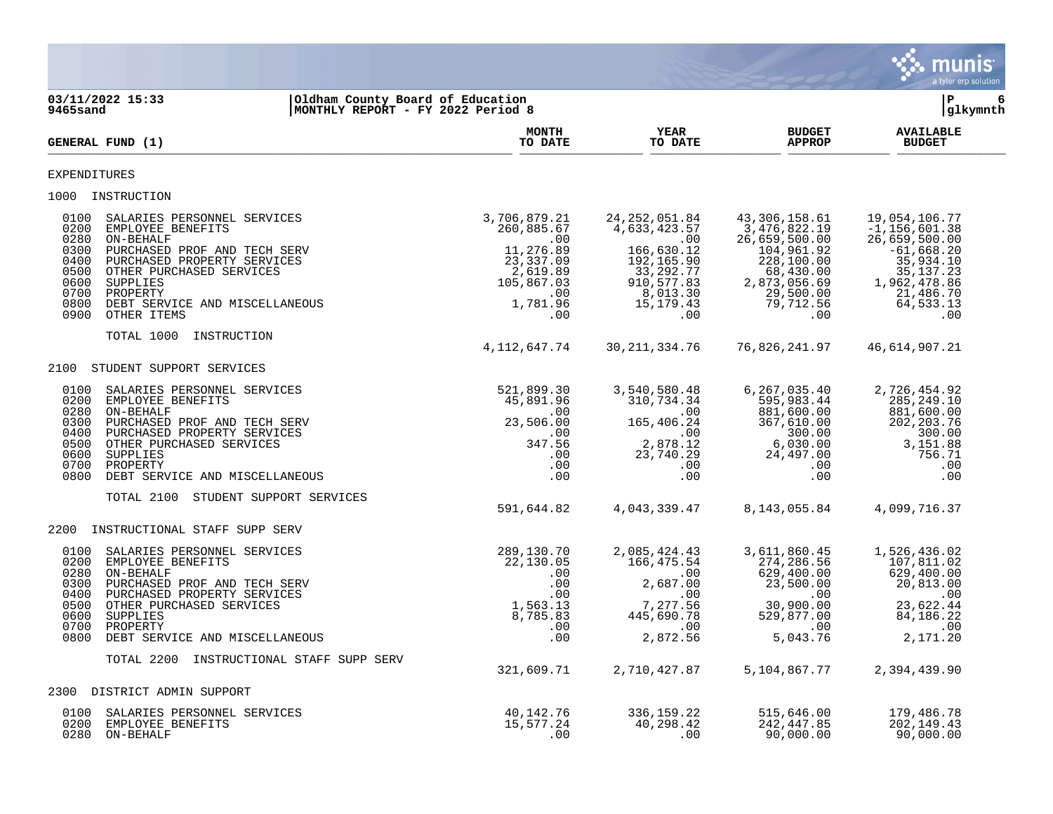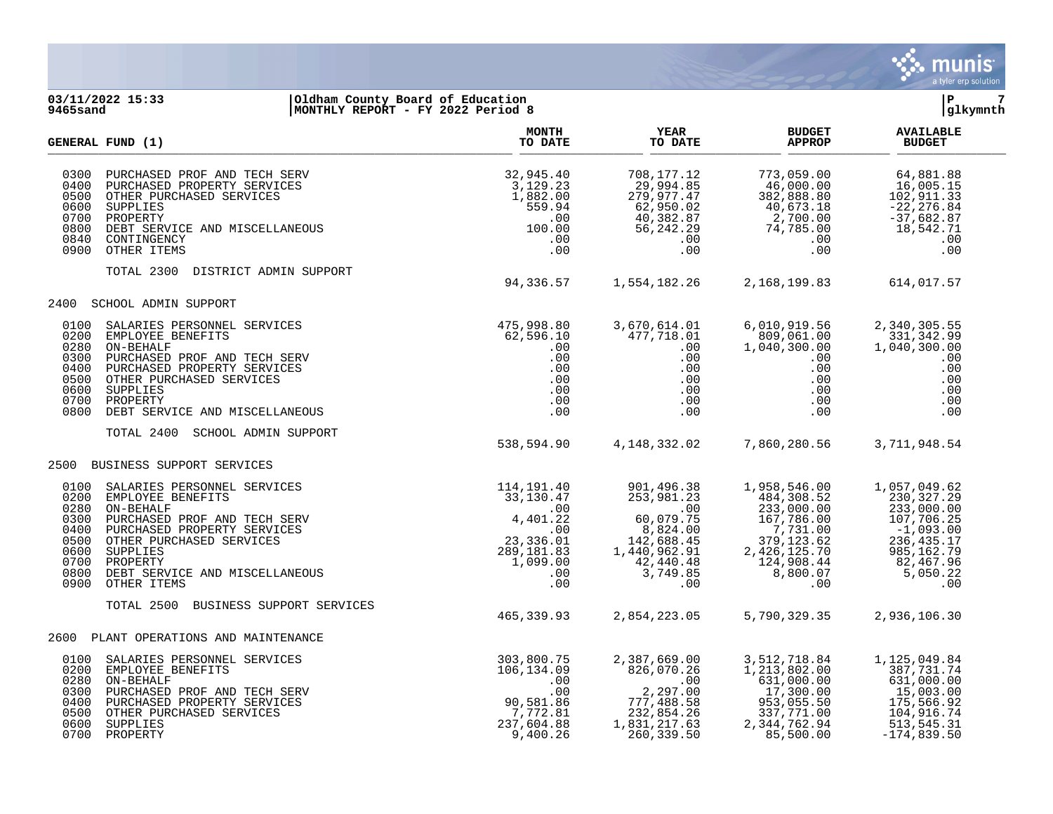

### **03/11/2022 15:33 |Oldham County Board of Education |P 7 9465sand |MONTHLY REPORT - FY 2022 Period 8 |glkymnth**

|                                                                      | <b>GENERAL FUND (1)</b>                                                                                                                                                                                                                                                                                     | <b>MONTH</b><br>TO DATE                                   | <b>YEAR</b><br>TO DATE                                                                                                   | <b>BUDGET</b><br><b>APPROP</b>                                                                                                                                                                                                                                                       | <b>AVAILABLE</b><br><b>BUDGET</b>                                                                                                                                                   |  |
|----------------------------------------------------------------------|-------------------------------------------------------------------------------------------------------------------------------------------------------------------------------------------------------------------------------------------------------------------------------------------------------------|-----------------------------------------------------------|--------------------------------------------------------------------------------------------------------------------------|--------------------------------------------------------------------------------------------------------------------------------------------------------------------------------------------------------------------------------------------------------------------------------------|-------------------------------------------------------------------------------------------------------------------------------------------------------------------------------------|--|
| 0300<br>0400<br>0500<br>0600<br>0700<br>0800<br>0840                 | 0900 OTHER ITEMS                                                                                                                                                                                                                                                                                            |                                                           |                                                                                                                          | $\begin{array}{cccc} 708\,, 177\,.\, 12 & 773\,, 059\,.\, 00 & 64\,, 881\,.\, 88 \\ 29\,, 994\,.\, 85 & 46\,, 000\,. 00 & 16\,, 005\,.\, 15 \\ 279\,, 977\,.\, 47 & 382\,, 888\,.\, 80 & 102\,, 911\,.\, 33 \\ 62\,, 950\,.\, 02 & 40\,, 673\,.\, 18 & -22\,, 276\,.\, 84 \\ 40\,, $ |                                                                                                                                                                                     |  |
|                                                                      | TOTAL 2300 DISTRICT ADMIN SUPPORT                                                                                                                                                                                                                                                                           | 94,336.57 1,554,182.26 2,168,199.83 614,017.57            |                                                                                                                          |                                                                                                                                                                                                                                                                                      |                                                                                                                                                                                     |  |
|                                                                      | 2400 SCHOOL ADMIN SUPPORT                                                                                                                                                                                                                                                                                   |                                                           |                                                                                                                          |                                                                                                                                                                                                                                                                                      |                                                                                                                                                                                     |  |
| 0100<br>0200<br>0280<br>0300<br>0400<br>0500<br>0600<br>0700<br>0800 | SALARIES PERSONNEL SERVICES<br>EMPLOYEE BENEFITS<br>ON-BEHALF<br>ON-BEHALF<br>PURCHASED PROF AND TECH SERV<br>PURCHASED PROPERTY SERVICES<br>OTHER PURCHASED SERVICES<br>OTHER PURCHASED SERVICES<br>PROPERTY<br>PROPERTY SERVICES<br>ON SUPPLIES<br>                                                       | $\begin{array}{c} .00\ 0.00\ 0.00\ .00\ .00\ \end{array}$ | 3,670,614.01<br>477,718.01<br>$\ddotsc 0$<br>$\begin{array}{c} 0.00 \\ 0.00 \\ 0.00 \\ 0.00 \\ 0.00 \\ 0.00 \end{array}$ | 6,010,919.56<br>809,061.00<br>1,040,300.00<br>$0.00$<br>$0.00$<br>$0.00$<br>$0.00$                                                                                                                                                                                                   | 2,340,305.55<br>331,342.99<br>$\begin{array}{ccc}\n 1.50 & 331,331 \\  0.0 & 1,040,307 \\  0.0 & 0.0 & 0.0\n \end{array}$<br>1,040,300.00<br>.00<br>.00<br>.00<br>.00<br>.00<br>.00 |  |
|                                                                      | TOTAL 2400<br>SCHOOL ADMIN SUPPORT                                                                                                                                                                                                                                                                          | 538,594.90 4,148,332.02                                   |                                                                                                                          | 7,860,280.56                                                                                                                                                                                                                                                                         | 3,711,948.54                                                                                                                                                                        |  |
|                                                                      | 2500 BUSINESS SUPPORT SERVICES                                                                                                                                                                                                                                                                              |                                                           |                                                                                                                          |                                                                                                                                                                                                                                                                                      |                                                                                                                                                                                     |  |
| 0100<br>0200<br>0280<br>0300<br>0400<br>0600<br>0700<br>0900         | 33, 130.47<br>SALARIES PERSONNEL SERVICES (1.958, 546.00 1, 057, 049.62<br>NELOYEE BENSONNEL SERVICES (33, 130.47 253, 981.23 484, 308.52 230, 327.29<br>NELOYEE BENSONNEL SERVICES (33, 130.47 253, 981.23 484, 308.52 230, 327.29<br>0500 OTHER PURCHASED SERVICES<br>0800 DEBT SERVICE AND MISCELLANEOUS |                                                           |                                                                                                                          |                                                                                                                                                                                                                                                                                      |                                                                                                                                                                                     |  |
|                                                                      | TOTAL 2500 BUSINESS SUPPORT SERVICES                                                                                                                                                                                                                                                                        | 465, 339.93                                               | 2,854,223.05                                                                                                             | 5,790,329.35                                                                                                                                                                                                                                                                         | 2,936,106.30                                                                                                                                                                        |  |
|                                                                      | 2600 PLANT OPERATIONS AND MAINTENANCE                                                                                                                                                                                                                                                                       |                                                           |                                                                                                                          |                                                                                                                                                                                                                                                                                      |                                                                                                                                                                                     |  |
| 0100<br>0200<br>0280<br>0300<br>0400<br>0500<br>0600                 | 0700 PROPERTY                                                                                                                                                                                                                                                                                               |                                                           | 2,387,669.00<br>2,387,669.00<br>826,070.26<br>00<br>2,297.00<br>777,488.58<br>232,854.26<br>1,831,217.63<br>260, 339.50  | 3, 512, 718.84<br>$3,512,718.84$<br>$1,213,802.00$<br>$631,000.00$<br>$17,300.00$<br>$953,055.50$<br>$337,771.00$<br>$2,344,762.94$<br>85,500.00                                                                                                                                     | 1,125,049.84<br>387, 731. 74<br>631,000.00<br>15,003.00<br>175,566.92<br>104,916.74<br>513,545.31<br>$-174,839.50$                                                                  |  |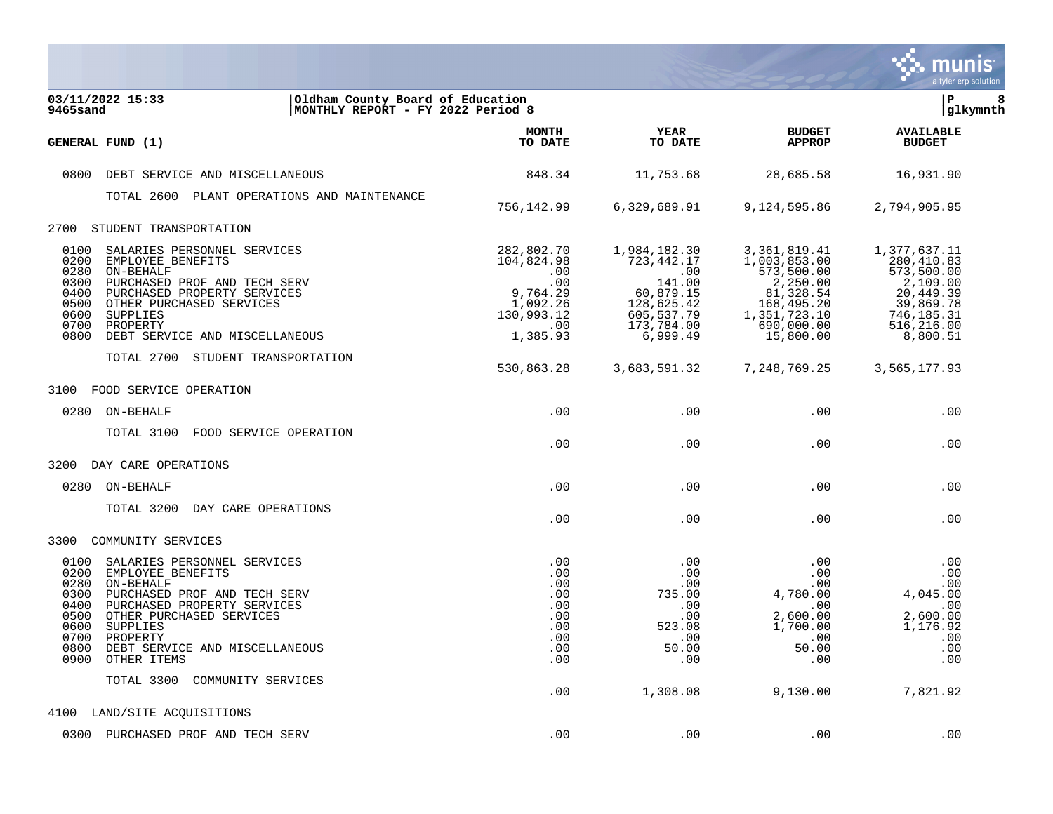

| 03/11/2022 15:33<br>Oldham County Board of Education<br>MONTHLY REPORT - FY 2022 Period 8<br>9465sand                                                                                                                                                                                                             |                                                                                                 |                                                                                                                                           |                                                                                                                                  | lР<br> glkymnth                                                                                                        | 8 |
|-------------------------------------------------------------------------------------------------------------------------------------------------------------------------------------------------------------------------------------------------------------------------------------------------------------------|-------------------------------------------------------------------------------------------------|-------------------------------------------------------------------------------------------------------------------------------------------|----------------------------------------------------------------------------------------------------------------------------------|------------------------------------------------------------------------------------------------------------------------|---|
| GENERAL FUND (1)                                                                                                                                                                                                                                                                                                  | <b>MONTH</b><br>TO DATE                                                                         | <b>YEAR</b><br>TO DATE                                                                                                                    | <b>BUDGET</b><br><b>APPROP</b>                                                                                                   | <b>AVAILABLE</b><br><b>BUDGET</b>                                                                                      |   |
| DEBT SERVICE AND MISCELLANEOUS<br>0800                                                                                                                                                                                                                                                                            | 848.34                                                                                          | 11,753.68                                                                                                                                 | 28,685.58                                                                                                                        | 16,931.90                                                                                                              |   |
| TOTAL 2600 PLANT OPERATIONS AND MAINTENANCE                                                                                                                                                                                                                                                                       |                                                                                                 |                                                                                                                                           |                                                                                                                                  |                                                                                                                        |   |
|                                                                                                                                                                                                                                                                                                                   | 756,142.99                                                                                      | 6,329,689.91                                                                                                                              | 9,124,595.86                                                                                                                     | 2,794,905.95                                                                                                           |   |
| STUDENT TRANSPORTATION<br>2700                                                                                                                                                                                                                                                                                    |                                                                                                 |                                                                                                                                           |                                                                                                                                  |                                                                                                                        |   |
| 0100<br>SALARIES PERSONNEL SERVICES<br>0200<br>EMPLOYEE BENEFITS<br>0280<br>ON-BEHALF<br>0300<br>PURCHASED PROF AND TECH SERV<br>0400<br>PURCHASED PROPERTY SERVICES<br>0500<br>OTHER PURCHASED SERVICES<br>0600<br>SUPPLIES<br>0700<br>PROPERTY<br>0800<br>DEBT SERVICE AND MISCELLANEOUS                        | 282,802.70<br>104,824.98<br>.00<br>.00<br>9,764.29<br>1,092.26<br>130,993.12<br>.00<br>1,385.93 | 1,984,182.30<br>723, 442. 17<br>$\overline{\phantom{0}}$ .00<br>141.00<br>60,879.15<br>128,625.42<br>605,537.79<br>173,784.00<br>6,999.49 | 3, 361, 819.41<br>1,003,853.00<br>573,500.00<br>2,250.00<br>81,328.54<br>168,495.20<br>1, 351, 723.10<br>690,000.00<br>15,800.00 | 1,377,637.11<br>280,410.83<br>573,500.00<br>2,109.00<br>20,449.39<br>39,869.78<br>746,185.31<br>516,216.00<br>8,800.51 |   |
|                                                                                                                                                                                                                                                                                                                   |                                                                                                 |                                                                                                                                           |                                                                                                                                  |                                                                                                                        |   |
| TOTAL 2700 STUDENT TRANSPORTATION                                                                                                                                                                                                                                                                                 | 530,863.28                                                                                      | 3,683,591.32                                                                                                                              | 7,248,769.25                                                                                                                     | 3,565,177.93                                                                                                           |   |
| 3100<br>FOOD SERVICE OPERATION                                                                                                                                                                                                                                                                                    |                                                                                                 |                                                                                                                                           |                                                                                                                                  |                                                                                                                        |   |
| 0280<br>ON-BEHALF                                                                                                                                                                                                                                                                                                 | .00                                                                                             | .00                                                                                                                                       | .00                                                                                                                              | .00                                                                                                                    |   |
| TOTAL 3100<br>FOOD SERVICE OPERATION                                                                                                                                                                                                                                                                              | .00                                                                                             | .00                                                                                                                                       | .00                                                                                                                              | .00                                                                                                                    |   |
| 3200<br>DAY CARE OPERATIONS                                                                                                                                                                                                                                                                                       |                                                                                                 |                                                                                                                                           |                                                                                                                                  |                                                                                                                        |   |
| 0280 ON-BEHALF                                                                                                                                                                                                                                                                                                    | .00                                                                                             | .00                                                                                                                                       | .00                                                                                                                              | .00                                                                                                                    |   |
| DAY CARE OPERATIONS<br>TOTAL 3200                                                                                                                                                                                                                                                                                 | .00                                                                                             | .00                                                                                                                                       | .00                                                                                                                              | .00                                                                                                                    |   |
| 3300<br>COMMUNITY SERVICES                                                                                                                                                                                                                                                                                        |                                                                                                 |                                                                                                                                           |                                                                                                                                  |                                                                                                                        |   |
| 0100<br>SALARIES PERSONNEL SERVICES<br>0200<br>EMPLOYEE BENEFITS<br>0280<br>ON-BEHALF<br>0300<br>PURCHASED PROF AND TECH SERV<br>0400<br>PURCHASED PROPERTY SERVICES<br>0500<br>OTHER PURCHASED SERVICES<br>0600<br>SUPPLIES<br>0700<br>PROPERTY<br>0800<br>DEBT SERVICE AND MISCELLANEOUS<br>0900<br>OTHER ITEMS | .00<br>.00<br>.00<br>.00<br>.00<br>.00<br>.00<br>.00<br>.00<br>.00                              | .00<br>.00<br>.00<br>735.00<br>.00<br>.00<br>523.08<br>.00<br>50.00<br>.00                                                                | .00<br>.00<br>.00<br>4,780.00<br>.00<br>2,600.00<br>1,700.00<br>.00<br>50.00<br>.00                                              | .00<br>.00<br>.00<br>4,045.00<br>.00<br>2,600.00<br>1,176.92<br>.00<br>.00<br>.00                                      |   |
| TOTAL 3300<br>COMMUNITY SERVICES                                                                                                                                                                                                                                                                                  | .00                                                                                             | 1,308.08                                                                                                                                  | 9,130.00                                                                                                                         | 7,821.92                                                                                                               |   |
| 4100 LAND/SITE ACQUISITIONS                                                                                                                                                                                                                                                                                       |                                                                                                 |                                                                                                                                           |                                                                                                                                  |                                                                                                                        |   |
| 0300 PURCHASED PROF AND TECH SERV                                                                                                                                                                                                                                                                                 | .00                                                                                             | .00                                                                                                                                       | .00                                                                                                                              | .00                                                                                                                    |   |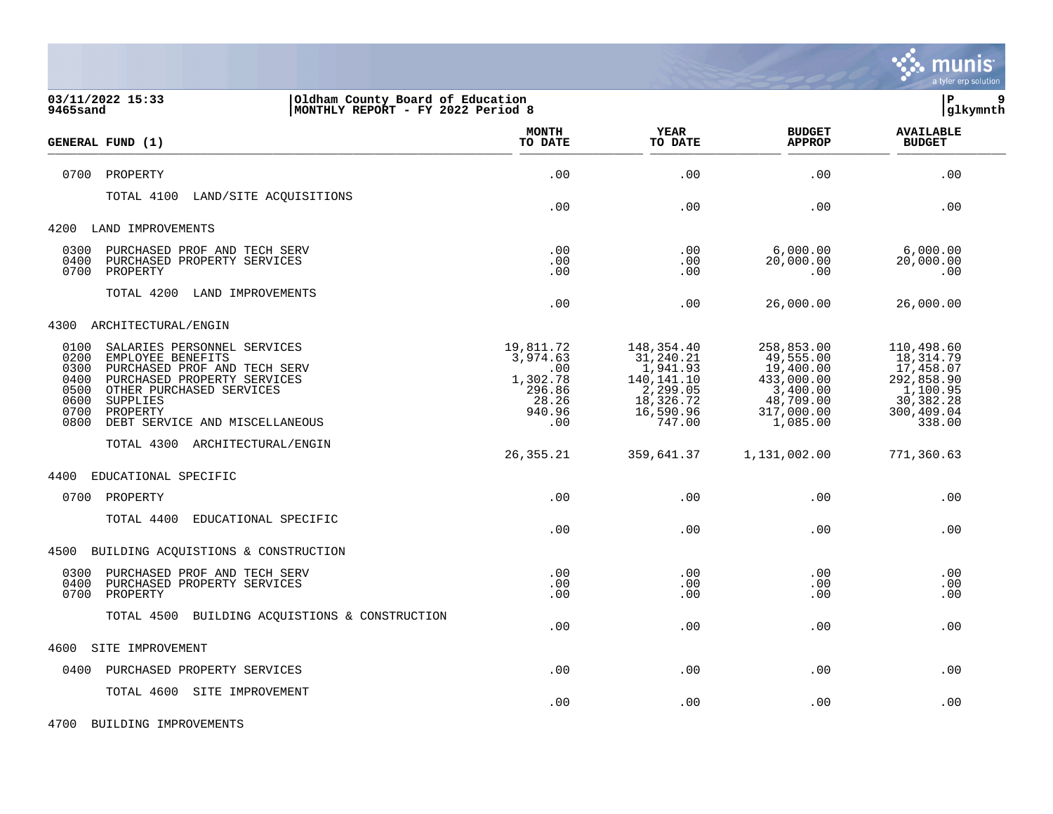

| 03/11/2022 15:33<br>9465sand                                                                                                                                                                                                                                          | Oldham County Board of Education<br>MONTHLY REPORT - FY 2022 Period 8        |                                                                                                   |                                                                                                       | P<br>9<br> glkymnth                                                                                 |  |
|-----------------------------------------------------------------------------------------------------------------------------------------------------------------------------------------------------------------------------------------------------------------------|------------------------------------------------------------------------------|---------------------------------------------------------------------------------------------------|-------------------------------------------------------------------------------------------------------|-----------------------------------------------------------------------------------------------------|--|
| GENERAL FUND (1)                                                                                                                                                                                                                                                      | <b>MONTH</b><br>TO DATE                                                      | YEAR<br>TO DATE                                                                                   | <b>BUDGET</b><br><b>APPROP</b>                                                                        | <b>AVAILABLE</b><br><b>BUDGET</b>                                                                   |  |
| 0700<br>PROPERTY                                                                                                                                                                                                                                                      | .00                                                                          | .00                                                                                               | .00                                                                                                   | .00                                                                                                 |  |
| TOTAL 4100<br>LAND/SITE ACQUISITIONS                                                                                                                                                                                                                                  | .00                                                                          | .00                                                                                               | .00                                                                                                   | .00                                                                                                 |  |
| 4200<br>LAND IMPROVEMENTS                                                                                                                                                                                                                                             |                                                                              |                                                                                                   |                                                                                                       |                                                                                                     |  |
| 0300<br>PURCHASED PROF AND TECH SERV<br>0400<br>PURCHASED PROPERTY SERVICES<br>0700<br>PROPERTY                                                                                                                                                                       | .00<br>.00<br>.00                                                            | .00<br>.00<br>.00                                                                                 | 6,000.00<br>20,000.00<br>.00                                                                          | 6,000.00<br>20,000.00<br>.00                                                                        |  |
| TOTAL 4200<br>LAND IMPROVEMENTS                                                                                                                                                                                                                                       | .00                                                                          | .00                                                                                               | 26,000.00                                                                                             | 26,000.00                                                                                           |  |
| 4300<br>ARCHITECTURAL/ENGIN                                                                                                                                                                                                                                           |                                                                              |                                                                                                   |                                                                                                       |                                                                                                     |  |
| 0100<br>SALARIES PERSONNEL SERVICES<br>0200<br>EMPLOYEE BENEFITS<br>0300<br>PURCHASED PROF AND TECH SERV<br>0400<br>PURCHASED PROPERTY SERVICES<br>0500<br>OTHER PURCHASED SERVICES<br>0600<br>SUPPLIES<br>0700<br>PROPERTY<br>0800<br>DEBT SERVICE AND MISCELLANEOUS | 19,811.72<br>3,974.63<br>.00<br>1,302.78<br>296.86<br>28.26<br>940.96<br>.00 | 148,354.40<br>31,240.21<br>1,941.93<br>140,141.10<br>2,299.05<br>18,326.72<br>16,590.96<br>747.00 | 258,853.00<br>49,555.00<br>19,400.00<br>433,000.00<br>3,400.00<br>48,709.00<br>317,000.00<br>1,085.00 | 110,498.60<br>18,314.79<br>17,458.07<br>292,858.90<br>1,100.95<br>30,382.28<br>300,409.04<br>338.00 |  |
| TOTAL 4300 ARCHITECTURAL/ENGIN                                                                                                                                                                                                                                        | 26, 355. 21                                                                  | 359,641.37                                                                                        | 1,131,002.00                                                                                          | 771,360.63                                                                                          |  |
| 4400<br>EDUCATIONAL SPECIFIC                                                                                                                                                                                                                                          |                                                                              |                                                                                                   |                                                                                                       |                                                                                                     |  |
| 0700 PROPERTY                                                                                                                                                                                                                                                         | .00                                                                          | .00                                                                                               | .00                                                                                                   | .00                                                                                                 |  |
| TOTAL 4400<br>EDUCATIONAL SPECIFIC                                                                                                                                                                                                                                    | .00                                                                          | .00                                                                                               | .00                                                                                                   | .00                                                                                                 |  |
| BUILDING ACQUISTIONS & CONSTRUCTION<br>4500                                                                                                                                                                                                                           |                                                                              |                                                                                                   |                                                                                                       |                                                                                                     |  |
| 0300<br>PURCHASED PROF AND TECH SERV<br>0400<br>PURCHASED PROPERTY SERVICES<br>0700<br>PROPERTY                                                                                                                                                                       | .00<br>.00<br>.00                                                            | .00<br>.00<br>.00                                                                                 | .00<br>.00<br>.00                                                                                     | .00<br>.00<br>.00                                                                                   |  |
| TOTAL 4500<br>BUILDING ACQUISTIONS & CONSTRUCTION                                                                                                                                                                                                                     | .00                                                                          | .00                                                                                               | .00                                                                                                   | .00                                                                                                 |  |
| 4600<br>SITE IMPROVEMENT                                                                                                                                                                                                                                              |                                                                              |                                                                                                   |                                                                                                       |                                                                                                     |  |
| PURCHASED PROPERTY SERVICES<br>0400                                                                                                                                                                                                                                   | .00                                                                          | .00                                                                                               | .00                                                                                                   | .00                                                                                                 |  |
| TOTAL 4600 SITE IMPROVEMENT                                                                                                                                                                                                                                           | .00                                                                          | .00                                                                                               | .00                                                                                                   | .00                                                                                                 |  |

4700 BUILDING IMPROVEMENTS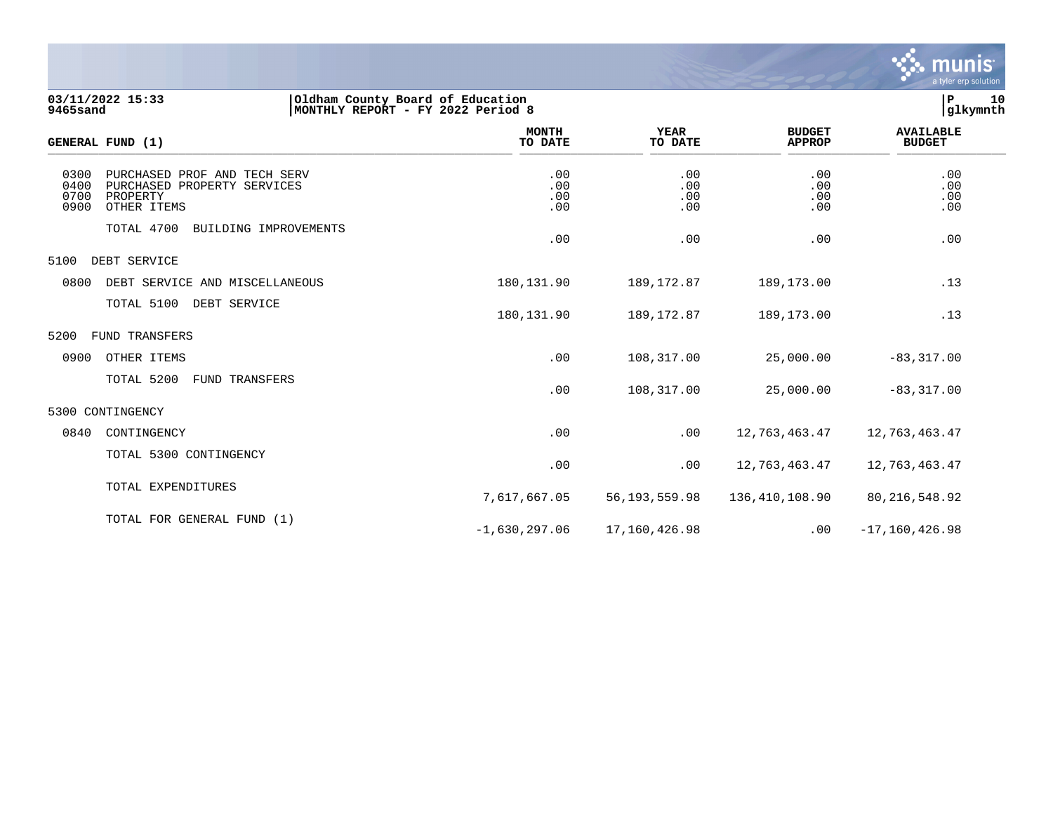

| 03/11/2022 15:33<br><b>9465sand</b> |                                                                                        | Oldham County Board of Education<br> MONTHLY REPORT - FY 2022 Period 8 |                          |                          |                                | 10<br>P<br>glkymnth               |  |
|-------------------------------------|----------------------------------------------------------------------------------------|------------------------------------------------------------------------|--------------------------|--------------------------|--------------------------------|-----------------------------------|--|
|                                     | <b>GENERAL FUND (1)</b>                                                                |                                                                        | <b>MONTH</b><br>TO DATE  | YEAR<br>TO DATE          | <b>BUDGET</b><br><b>APPROP</b> | <b>AVAILABLE</b><br><b>BUDGET</b> |  |
| 0300<br>0400<br>0700<br>0900        | PURCHASED PROF AND TECH SERV<br>PURCHASED PROPERTY SERVICES<br>PROPERTY<br>OTHER ITEMS |                                                                        | .00<br>.00<br>.00<br>.00 | .00<br>.00<br>.00<br>.00 | .00<br>.00<br>.00<br>.00       | .00<br>.00<br>.00<br>.00          |  |
|                                     | TOTAL 4700<br>BUILDING IMPROVEMENTS                                                    |                                                                        | .00                      | .00                      | .00                            | .00                               |  |
| 5100                                | DEBT SERVICE                                                                           |                                                                        |                          |                          |                                |                                   |  |
| 0800                                | DEBT SERVICE AND MISCELLANEOUS                                                         |                                                                        | 180, 131, 90             | 189, 172.87              | 189, 173, 00                   | .13                               |  |

| TOTAL 4700             | BUILDING IMPROVEMENTS          | .00             | .00           | .00            | .00                |  |
|------------------------|--------------------------------|-----------------|---------------|----------------|--------------------|--|
| 5100<br>DEBT SERVICE   |                                |                 |               |                |                    |  |
| 0800                   | DEBT SERVICE AND MISCELLANEOUS | 180,131.90      | 189,172.87    | 189,173.00     | .13                |  |
| TOTAL 5100             | DEBT SERVICE                   | 180,131.90      | 189,172.87    | 189,173.00     | .13                |  |
| 5200<br>FUND TRANSFERS |                                |                 |               |                |                    |  |
| 0900<br>OTHER ITEMS    |                                | .00             | 108,317.00    | 25,000.00      | $-83, 317.00$      |  |
| TOTAL 5200             | FUND TRANSFERS                 | .00             | 108,317.00    | 25,000.00      | $-83, 317.00$      |  |
| 5300 CONTINGENCY       |                                |                 |               |                |                    |  |
| 0840<br>CONTINGENCY    |                                | .00             | .00           | 12,763,463.47  | 12,763,463.47      |  |
|                        | TOTAL 5300 CONTINGENCY         | .00             | .00           | 12,763,463.47  | 12,763,463.47      |  |
| TOTAL EXPENDITURES     |                                | 7,617,667.05    | 56,193,559.98 | 136,410,108.90 | 80, 216, 548.92    |  |
|                        | TOTAL FOR GENERAL FUND (1)     | $-1,630,297.06$ | 17,160,426.98 | .00            | $-17, 160, 426.98$ |  |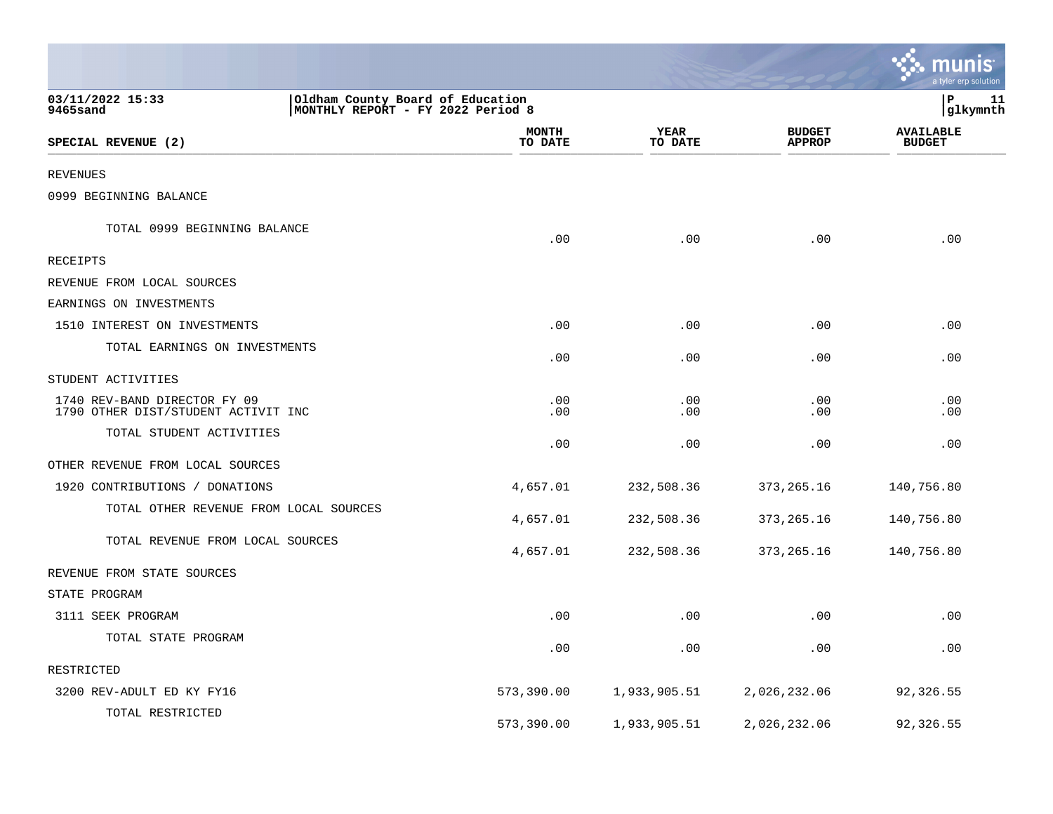|                                                                     |                                                                        |                 |                                | <u>ः munis</u><br>a tyler erp solution |
|---------------------------------------------------------------------|------------------------------------------------------------------------|-----------------|--------------------------------|----------------------------------------|
| 03/11/2022 15:33<br>9465sand                                        | Oldham County Board of Education<br> MONTHLY REPORT - FY 2022 Period 8 |                 |                                | P<br>11<br>glkymnth                    |
| SPECIAL REVENUE (2)                                                 | <b>MONTH</b><br>TO DATE                                                | YEAR<br>TO DATE | <b>BUDGET</b><br><b>APPROP</b> | <b>AVAILABLE</b><br><b>BUDGET</b>      |
| REVENUES                                                            |                                                                        |                 |                                |                                        |
| 0999 BEGINNING BALANCE                                              |                                                                        |                 |                                |                                        |
| TOTAL 0999 BEGINNING BALANCE                                        | .00                                                                    | .00             | .00                            | .00                                    |
| RECEIPTS                                                            |                                                                        |                 |                                |                                        |
| REVENUE FROM LOCAL SOURCES                                          |                                                                        |                 |                                |                                        |
| EARNINGS ON INVESTMENTS                                             |                                                                        |                 |                                |                                        |
| 1510 INTEREST ON INVESTMENTS                                        | .00                                                                    | .00             | .00                            | .00                                    |
| TOTAL EARNINGS ON INVESTMENTS                                       | .00                                                                    | .00             | .00                            | .00                                    |
| STUDENT ACTIVITIES                                                  |                                                                        |                 |                                |                                        |
| 1740 REV-BAND DIRECTOR FY 09<br>1790 OTHER DIST/STUDENT ACTIVIT INC | .00<br>.00                                                             | .00<br>.00      | .00<br>.00                     | .00<br>.00                             |
| TOTAL STUDENT ACTIVITIES                                            | .00                                                                    | .00             | .00                            | .00                                    |
| OTHER REVENUE FROM LOCAL SOURCES                                    |                                                                        |                 |                                |                                        |
| 1920 CONTRIBUTIONS / DONATIONS                                      | 4,657.01                                                               | 232,508.36      | 373, 265. 16                   | 140,756.80                             |
| TOTAL OTHER REVENUE FROM LOCAL SOURCES                              | 4,657.01                                                               | 232,508.36      | 373, 265. 16                   | 140,756.80                             |
| TOTAL REVENUE FROM LOCAL SOURCES                                    | 4,657.01                                                               | 232,508.36      | 373, 265. 16                   | 140,756.80                             |
| REVENUE FROM STATE SOURCES                                          |                                                                        |                 |                                |                                        |
| STATE PROGRAM                                                       |                                                                        |                 |                                |                                        |
| 3111 SEEK PROGRAM                                                   | .00                                                                    | .00             | .00                            | .00                                    |
| TOTAL STATE PROGRAM                                                 | .00                                                                    | .00             | .00                            | .00                                    |
| RESTRICTED                                                          |                                                                        |                 |                                |                                        |
| 3200 REV-ADULT ED KY FY16                                           | 573,390.00                                                             | 1,933,905.51    | 2,026,232.06                   | 92,326.55                              |
| TOTAL RESTRICTED                                                    | 573,390.00                                                             | 1,933,905.51    | 2,026,232.06                   | 92,326.55                              |

and the contract of the contract of the contract of the contract of the contract of the contract of the contract of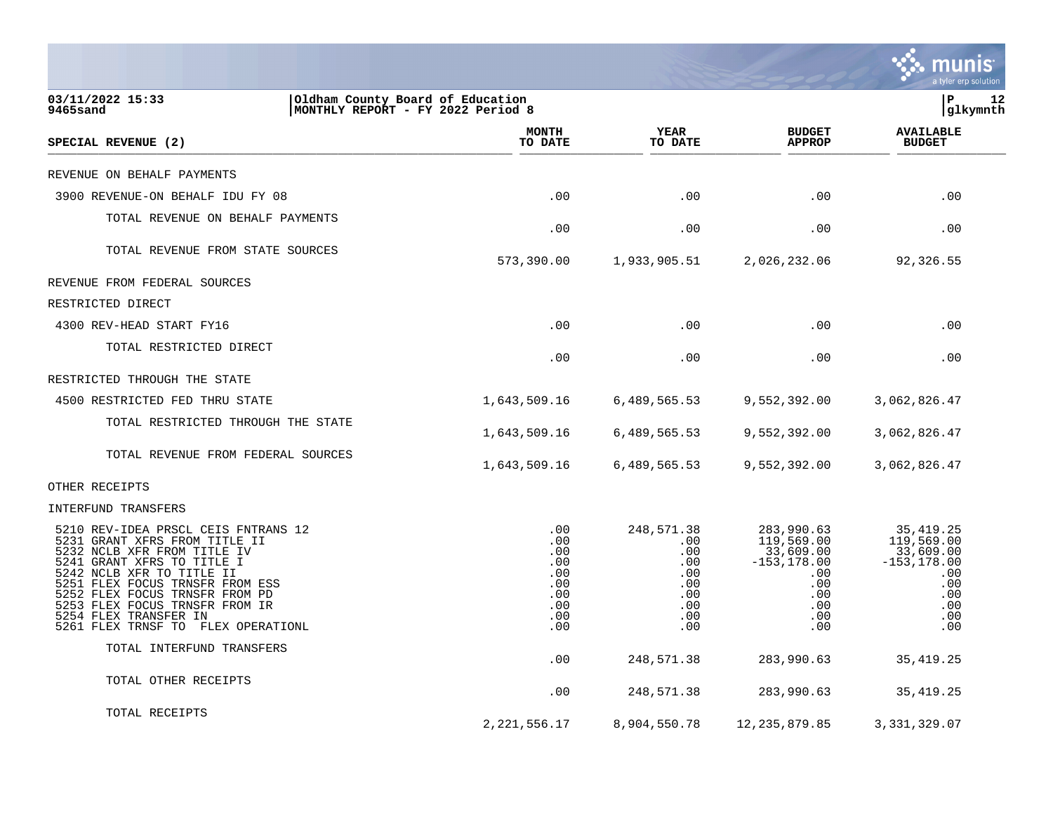|                                                                                                                                                                                                                                                                                                                                      |                                                                    |                                                                           |                                                                                                   | munis<br>a tyler erp solution                                                                     |
|--------------------------------------------------------------------------------------------------------------------------------------------------------------------------------------------------------------------------------------------------------------------------------------------------------------------------------------|--------------------------------------------------------------------|---------------------------------------------------------------------------|---------------------------------------------------------------------------------------------------|---------------------------------------------------------------------------------------------------|
| 03/11/2022 15:33<br>Oldham County Board of Education<br><b>9465sand</b>                                                                                                                                                                                                                                                              | MONTHLY REPORT - FY 2022 Period 8                                  |                                                                           |                                                                                                   | lР<br>12<br> glkymnth                                                                             |
| SPECIAL REVENUE (2)                                                                                                                                                                                                                                                                                                                  | <b>MONTH</b><br>TO DATE                                            | <b>YEAR</b><br>TO DATE                                                    | <b>BUDGET</b><br><b>APPROP</b>                                                                    | <b>AVAILABLE</b><br><b>BUDGET</b>                                                                 |
| REVENUE ON BEHALF PAYMENTS                                                                                                                                                                                                                                                                                                           |                                                                    |                                                                           |                                                                                                   |                                                                                                   |
| 3900 REVENUE-ON BEHALF IDU FY 08                                                                                                                                                                                                                                                                                                     | .00                                                                | .00                                                                       | .00                                                                                               | .00                                                                                               |
| TOTAL REVENUE ON BEHALF PAYMENTS                                                                                                                                                                                                                                                                                                     | .00                                                                | .00                                                                       | .00                                                                                               | .00                                                                                               |
| TOTAL REVENUE FROM STATE SOURCES                                                                                                                                                                                                                                                                                                     | 573,390.00                                                         | 1,933,905.51                                                              | 2,026,232.06                                                                                      | 92,326.55                                                                                         |
| REVENUE FROM FEDERAL SOURCES                                                                                                                                                                                                                                                                                                         |                                                                    |                                                                           |                                                                                                   |                                                                                                   |
| RESTRICTED DIRECT                                                                                                                                                                                                                                                                                                                    |                                                                    |                                                                           |                                                                                                   |                                                                                                   |
| 4300 REV-HEAD START FY16                                                                                                                                                                                                                                                                                                             | .00                                                                | .00                                                                       | .00                                                                                               | .00                                                                                               |
| TOTAL RESTRICTED DIRECT                                                                                                                                                                                                                                                                                                              | .00                                                                | .00                                                                       | .00                                                                                               | .00                                                                                               |
| RESTRICTED THROUGH THE STATE                                                                                                                                                                                                                                                                                                         |                                                                    |                                                                           |                                                                                                   |                                                                                                   |
| 4500 RESTRICTED FED THRU STATE                                                                                                                                                                                                                                                                                                       | 1,643,509.16                                                       | 6,489,565.53                                                              | 9,552,392.00                                                                                      | 3,062,826.47                                                                                      |
| TOTAL RESTRICTED THROUGH THE STATE                                                                                                                                                                                                                                                                                                   | 1,643,509.16                                                       | 6,489,565.53                                                              | 9,552,392.00                                                                                      | 3,062,826.47                                                                                      |
| TOTAL REVENUE FROM FEDERAL SOURCES                                                                                                                                                                                                                                                                                                   | 1,643,509.16                                                       | 6,489,565.53                                                              | 9,552,392.00                                                                                      | 3,062,826.47                                                                                      |
| OTHER RECEIPTS                                                                                                                                                                                                                                                                                                                       |                                                                    |                                                                           |                                                                                                   |                                                                                                   |
| INTERFUND TRANSFERS                                                                                                                                                                                                                                                                                                                  |                                                                    |                                                                           |                                                                                                   |                                                                                                   |
| 5210 REV-IDEA PRSCL CEIS FNTRANS 12<br>5231 GRANT XFRS FROM TITLE II<br>5232 NCLB XFR FROM TITLE IV<br>5241 GRANT XFRS TO TITLE I<br>5242 NCLB XFR TO TITLE II<br>5251 FLEX FOCUS TRNSFR FROM ESS<br>5252 FLEX FOCUS TRNSFR FROM PD<br>5253 FLEX FOCUS TRNSFR FROM IR<br>5254 FLEX TRANSFER IN<br>5261 FLEX TRNSF TO FLEX OPERATIONL | .00<br>.00<br>.00<br>.00<br>.00<br>.00<br>.00<br>.00<br>.00<br>.00 | 248,571.38<br>.00<br>.00<br>.00<br>.00<br>.00<br>.00<br>.00<br>.00<br>.00 | 283,990.63<br>119,569.00<br>33,609.00<br>$-153, 178.00$<br>.00<br>.00<br>.00<br>.00<br>.00<br>.00 | 35, 419.25<br>119,569.00<br>33,609.00<br>$-153, 178.00$<br>.00<br>.00<br>.00<br>.00<br>.00<br>.00 |
| TOTAL INTERFUND TRANSFERS                                                                                                                                                                                                                                                                                                            | .00                                                                | 248,571.38                                                                | 283,990.63                                                                                        | 35, 419. 25                                                                                       |
| TOTAL OTHER RECEIPTS                                                                                                                                                                                                                                                                                                                 | .00                                                                | 248,571.38                                                                | 283,990.63                                                                                        | 35, 419.25                                                                                        |
| TOTAL RECEIPTS                                                                                                                                                                                                                                                                                                                       | 2, 221, 556.17                                                     | 8,904,550.78                                                              | 12, 235, 879.85                                                                                   | 3, 331, 329.07                                                                                    |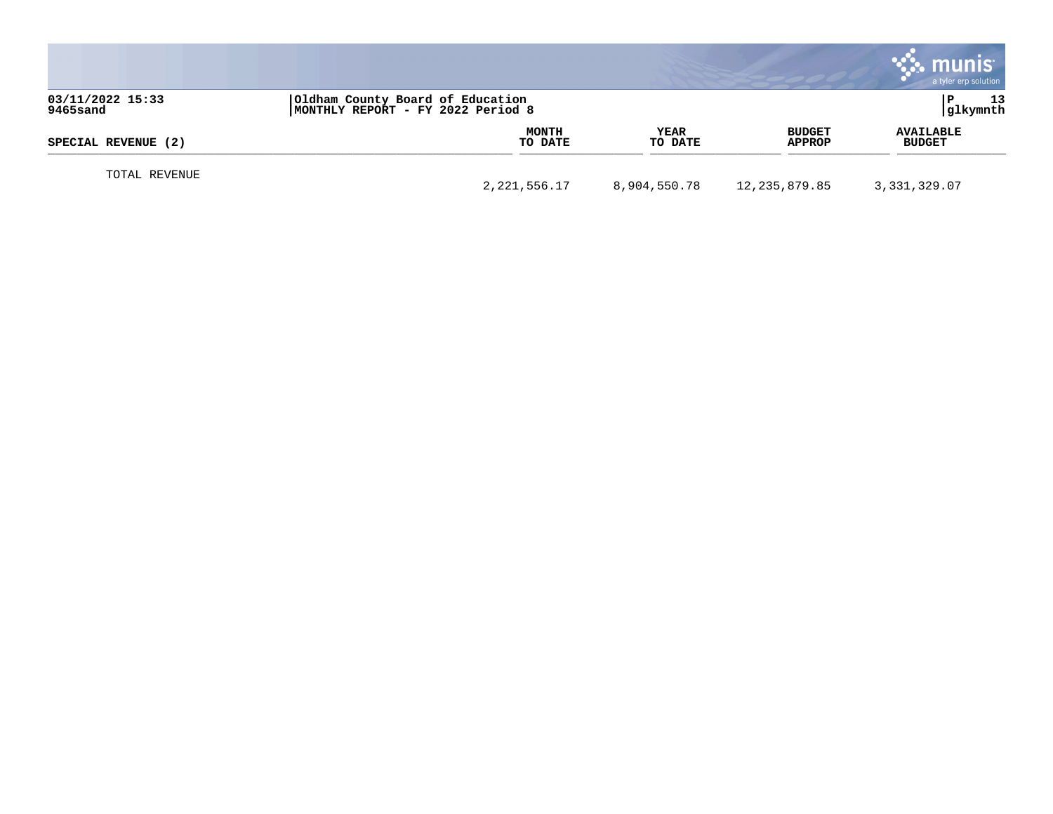|                              |                                                                       |                        |                                | munis<br>a tyler erp solution     |
|------------------------------|-----------------------------------------------------------------------|------------------------|--------------------------------|-----------------------------------|
| 03/11/2022 15:33<br>9465sand | Oldham County Board of Education<br>MONTHLY REPORT - FY 2022 Period 8 |                        |                                | 13<br>glkymnth                    |
| SPECIAL REVENUE (2)          | MONTH<br>TO DATE                                                      | <b>YEAR</b><br>TO DATE | <b>BUDGET</b><br><b>APPROP</b> | <b>AVAILABLE</b><br><b>BUDGET</b> |
| TOTAL REVENUE                | 2,221,556.17                                                          | 8,904,550.78           | 12,235,879.85                  | 3,331,329.07                      |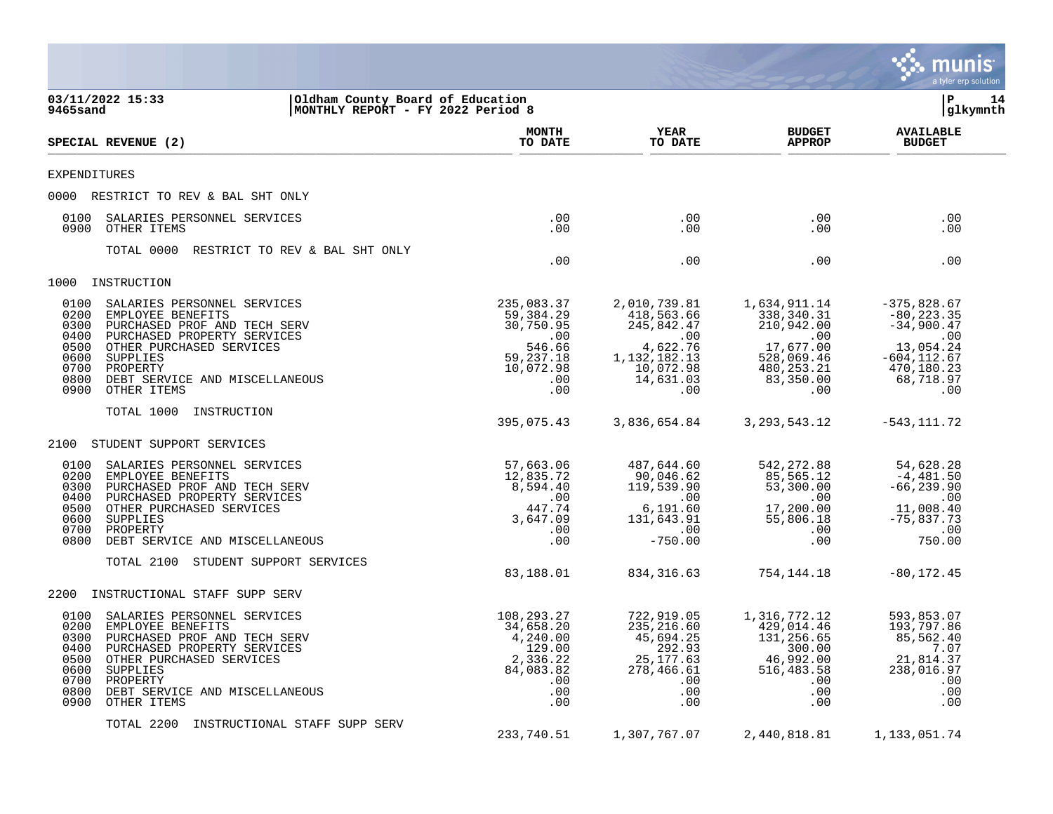|                                                                                                                                                                                                                                                                                              |                                                                                                 |                                                                                                                 |                                                                                                                   | munis<br>a tyler erp solution                                                                                          |
|----------------------------------------------------------------------------------------------------------------------------------------------------------------------------------------------------------------------------------------------------------------------------------------------|-------------------------------------------------------------------------------------------------|-----------------------------------------------------------------------------------------------------------------|-------------------------------------------------------------------------------------------------------------------|------------------------------------------------------------------------------------------------------------------------|
| 03/11/2022 15:33<br>Oldham County Board of Education<br>9465sand<br>MONTHLY REPORT - FY 2022 Period 8                                                                                                                                                                                        |                                                                                                 |                                                                                                                 |                                                                                                                   | lР<br>14<br>glkymnth                                                                                                   |
| SPECIAL REVENUE (2)                                                                                                                                                                                                                                                                          | <b>MONTH</b><br>TO DATE                                                                         | YEAR<br>TO DATE                                                                                                 | <b>BUDGET</b><br><b>APPROP</b>                                                                                    | <b>AVAILABLE</b><br><b>BUDGET</b>                                                                                      |
| <b>EXPENDITURES</b>                                                                                                                                                                                                                                                                          |                                                                                                 |                                                                                                                 |                                                                                                                   |                                                                                                                        |
| 0000 RESTRICT TO REV & BAL SHT ONLY                                                                                                                                                                                                                                                          |                                                                                                 |                                                                                                                 |                                                                                                                   |                                                                                                                        |
| 0100<br>SALARIES PERSONNEL SERVICES<br>0900<br>OTHER ITEMS                                                                                                                                                                                                                                   | .00<br>.00                                                                                      | .00<br>.00                                                                                                      | $.00 \,$<br>$.00 \,$                                                                                              | .00<br>.00                                                                                                             |
| TOTAL 0000<br>RESTRICT TO REV & BAL SHT ONLY                                                                                                                                                                                                                                                 | .00                                                                                             | .00                                                                                                             | $.00 \,$                                                                                                          | .00                                                                                                                    |
| 1000<br>INSTRUCTION                                                                                                                                                                                                                                                                          |                                                                                                 |                                                                                                                 |                                                                                                                   |                                                                                                                        |
| 0100<br>SALARIES PERSONNEL SERVICES<br>0200<br>EMPLOYEE BENEFITS<br>0300<br>PURCHASED PROF AND TECH SERV<br>0400<br>PURCHASED PROPERTY SERVICES<br>OTHER PURCHASED SERVICES<br>0500<br>0600<br>SUPPLIES<br>0700<br>PROPERTY<br>0800<br>DEBT SERVICE AND MISCELLANEOUS<br>0900<br>OTHER ITEMS | 235,083.37<br>59,384.29<br>30,750.95<br>.00<br>546.66<br>59, 237. 18<br>10,072.98<br>.00<br>.00 | 2,010,739.81<br>418,563.66<br>245,842.47<br>.00<br>4,622.76<br>1, 132, 182. 13<br>10,072.98<br>14,631.03<br>.00 | 1,634,911.14<br>338,340.31<br>210,942.00<br>.00<br>17,677.00<br>528,069.46<br>480,253.21<br>83,350.00<br>$.00 \,$ | $-375,828.67$<br>$-80, 223.35$<br>$-34,900.47$<br>.00<br>13,054.24<br>$-604, 112.67$<br>470,180.23<br>68,718.97<br>.00 |
| TOTAL 1000<br>INSTRUCTION                                                                                                                                                                                                                                                                    | 395,075.43                                                                                      | 3,836,654.84                                                                                                    | 3, 293, 543. 12                                                                                                   | $-543, 111.72$                                                                                                         |
| 2100<br>STUDENT SUPPORT SERVICES                                                                                                                                                                                                                                                             |                                                                                                 |                                                                                                                 |                                                                                                                   |                                                                                                                        |
| 0100<br>SALARIES PERSONNEL SERVICES<br>0200<br>EMPLOYEE BENEFITS<br>0300<br>PURCHASED PROF AND TECH SERV<br>0400<br>PURCHASED PROPERTY SERVICES<br>0500<br>OTHER PURCHASED SERVICES<br>0600<br>SUPPLIES<br>0700<br>PROPERTY<br>0800<br>DEBT SERVICE AND MISCELLANEOUS                        | 57,663.06<br>12,835.72<br>8,594.40<br>.00<br>447.74<br>3,647.09<br>.00<br>.00                   | 487,644.60<br>90,046.62<br>119,539.90<br>.00<br>6,191.60<br>131,643.91<br>.00<br>$-750.00$                      | 542, 272.88<br>85,565.12<br>53,300.00<br>$.00 \,$<br>17,200.00<br>55,806.18<br>$.00 \,$<br>.00                    | 54,628.28<br>$-4,481.50$<br>$-66, 239.90$<br>.00<br>11,008.40<br>$-75,837.73$<br>.00<br>750.00                         |
| TOTAL 2100<br>STUDENT SUPPORT SERVICES                                                                                                                                                                                                                                                       | 83,188.01                                                                                       | 834, 316.63                                                                                                     | 754,144.18                                                                                                        | $-80, 172.45$                                                                                                          |
| 2200<br>INSTRUCTIONAL STAFF SUPP SERV                                                                                                                                                                                                                                                        |                                                                                                 |                                                                                                                 |                                                                                                                   |                                                                                                                        |
| 0100<br>SALARIES PERSONNEL SERVICES<br>0200<br>EMPLOYEE BENEFITS<br>0300 PURCHASED PROF AND TECH SERV<br>0400 PURCHASED PROPERTY SERVICES<br>0500<br>OTHER PURCHASED SERVICES<br>0600<br>SUPPLIES<br>0700<br>PROPERTY<br>0800<br>DEBT SERVICE AND MISCELLANEOUS<br>0900<br>OTHER ITEMS       | 108,293.27<br>34,658.20<br>4,240.00<br>129.00<br>2,336.22<br>84,083.82<br>.00<br>.00<br>.00     | 722,919.05<br>235, 216.60<br>45,694.25<br>292.93<br>25, 177.63<br>278,466.61<br>.00<br>.00<br>.00               | 1,316,772.12<br>429,014.46<br>131,256.65<br>300.00<br>46,992.00<br>516,483.58<br>.00<br>$.00 \,$<br>.00           | 593,853.07<br>193,797.86<br>85,562.40<br>7.07<br>21,814.37<br>238,016.97<br>.00<br>.00<br>.00                          |
| TOTAL 2200<br>INSTRUCTIONAL STAFF SUPP SERV                                                                                                                                                                                                                                                  | 233,740.51                                                                                      | 1,307,767.07                                                                                                    | 2,440,818.81                                                                                                      | 1,133,051.74                                                                                                           |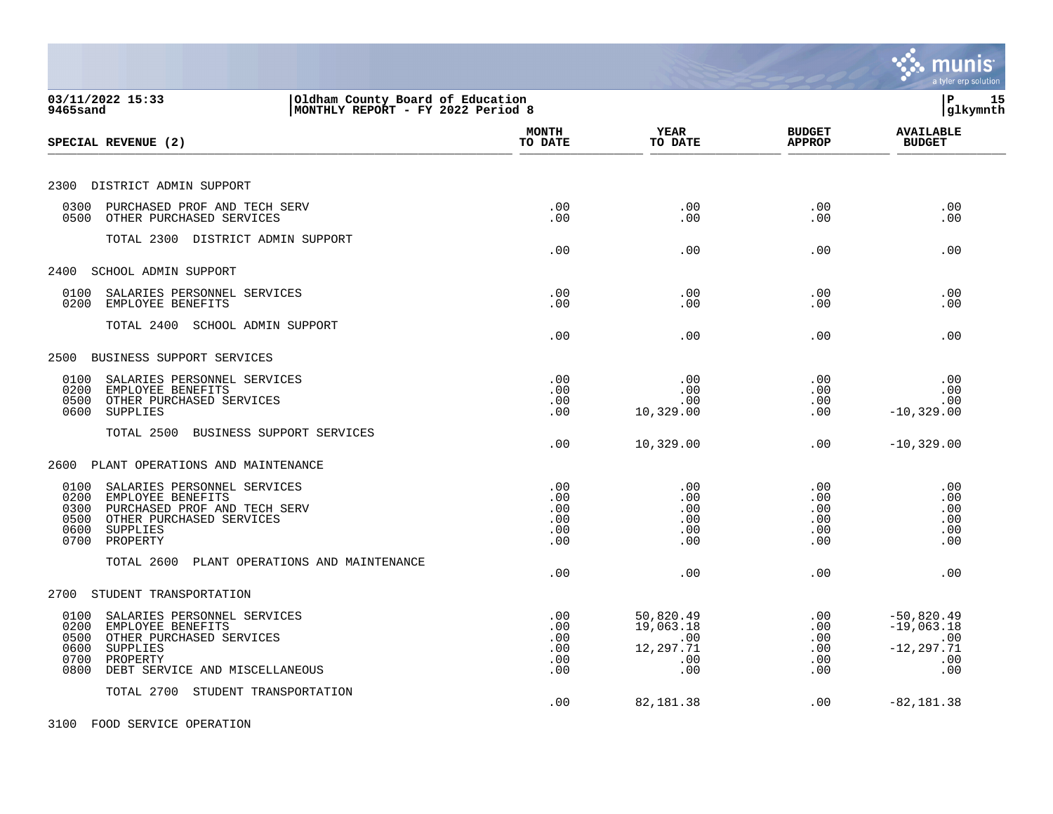|                                                                                                                                                                                        |                                        |                                                          |                                             | a tyler erp solution                                               |
|----------------------------------------------------------------------------------------------------------------------------------------------------------------------------------------|----------------------------------------|----------------------------------------------------------|---------------------------------------------|--------------------------------------------------------------------|
| 03/11/2022 15:33<br>Oldham County Board of Education<br>MONTHLY REPORT - FY 2022 Period 8<br>9465sand                                                                                  |                                        |                                                          |                                             | l P<br>15<br> glkymnth                                             |
| SPECIAL REVENUE (2)                                                                                                                                                                    | <b>MONTH</b><br>TO DATE                | YEAR<br>TO DATE                                          | <b>BUDGET</b><br><b>APPROP</b>              | <b>AVAILABLE</b><br><b>BUDGET</b>                                  |
| 2300 DISTRICT ADMIN SUPPORT                                                                                                                                                            |                                        |                                                          |                                             |                                                                    |
| 0300<br>PURCHASED PROF AND TECH SERV<br>0500<br>OTHER PURCHASED SERVICES                                                                                                               | .00<br>.00                             | .00<br>.00                                               | .00<br>.00                                  | .00<br>.00                                                         |
| TOTAL 2300 DISTRICT ADMIN SUPPORT                                                                                                                                                      | .00                                    | .00                                                      | .00                                         | .00                                                                |
| 2400<br>SCHOOL ADMIN SUPPORT                                                                                                                                                           |                                        |                                                          |                                             |                                                                    |
| 0100<br>SALARIES PERSONNEL SERVICES<br>0200<br>EMPLOYEE BENEFITS                                                                                                                       | .00<br>.00                             | .00<br>.00                                               | .00<br>.00                                  | .00<br>.00                                                         |
| TOTAL 2400 SCHOOL ADMIN SUPPORT                                                                                                                                                        | .00                                    | .00                                                      | .00                                         | .00                                                                |
| BUSINESS SUPPORT SERVICES<br>2500                                                                                                                                                      |                                        |                                                          |                                             |                                                                    |
| 0100<br>SALARIES PERSONNEL SERVICES<br>0200<br>EMPLOYEE BENEFITS<br>OTHER PURCHASED SERVICES<br>0500<br><b>SUPPLIES</b><br>0600                                                        | .00<br>.00<br>.00<br>.00               | .00<br>.00<br>.00<br>10,329.00                           | .00<br>.00<br>$.00 \,$<br>.00               | .00<br>.00<br>.00<br>$-10, 329.00$                                 |
| TOTAL 2500<br>BUSINESS SUPPORT SERVICES                                                                                                                                                | .00                                    | 10,329.00                                                | .00                                         | $-10, 329.00$                                                      |
| 2600<br>PLANT OPERATIONS AND MAINTENANCE                                                                                                                                               |                                        |                                                          |                                             |                                                                    |
| 0100<br>SALARIES PERSONNEL SERVICES<br>0200<br>EMPLOYEE BENEFITS<br>PURCHASED PROF AND TECH SERV<br>0300<br>OTHER PURCHASED SERVICES<br>0500<br>0600<br>SUPPLIES<br>0700<br>PROPERTY   | .00<br>.00<br>.00<br>.00<br>.00<br>.00 | .00<br>.00<br>.00<br>.00<br>.00<br>.00                   | .00<br>.00<br>$.00 \,$<br>.00<br>.00<br>.00 | .00<br>.00<br>.00<br>.00<br>.00<br>.00                             |
| TOTAL 2600 PLANT OPERATIONS AND MAINTENANCE                                                                                                                                            | .00                                    | .00                                                      | .00                                         | .00                                                                |
| STUDENT TRANSPORTATION<br>2700                                                                                                                                                         |                                        |                                                          |                                             |                                                                    |
| 0100<br>SALARIES PERSONNEL SERVICES<br>0200<br>EMPLOYEE BENEFITS<br>0500<br>OTHER PURCHASED SERVICES<br>0600<br>SUPPLIES<br>0700<br>PROPERTY<br>DEBT SERVICE AND MISCELLANEOUS<br>0800 | .00<br>.00<br>.00<br>.00<br>.00<br>.00 | 50,820.49<br>19,063.18<br>.00<br>12,297.71<br>.00<br>.00 | .00<br>.00<br>.00<br>.00<br>.00<br>$.00 \,$ | $-50,820.49$<br>$-19,063.18$<br>.00<br>$-12, 297.71$<br>.00<br>.00 |
| TOTAL 2700 STUDENT TRANSPORTATION                                                                                                                                                      | .00                                    | 82,181.38                                                | .00                                         | $-82, 181.38$                                                      |
| 3100 FOOD SERVICE OPERATION                                                                                                                                                            |                                        |                                                          |                                             |                                                                    |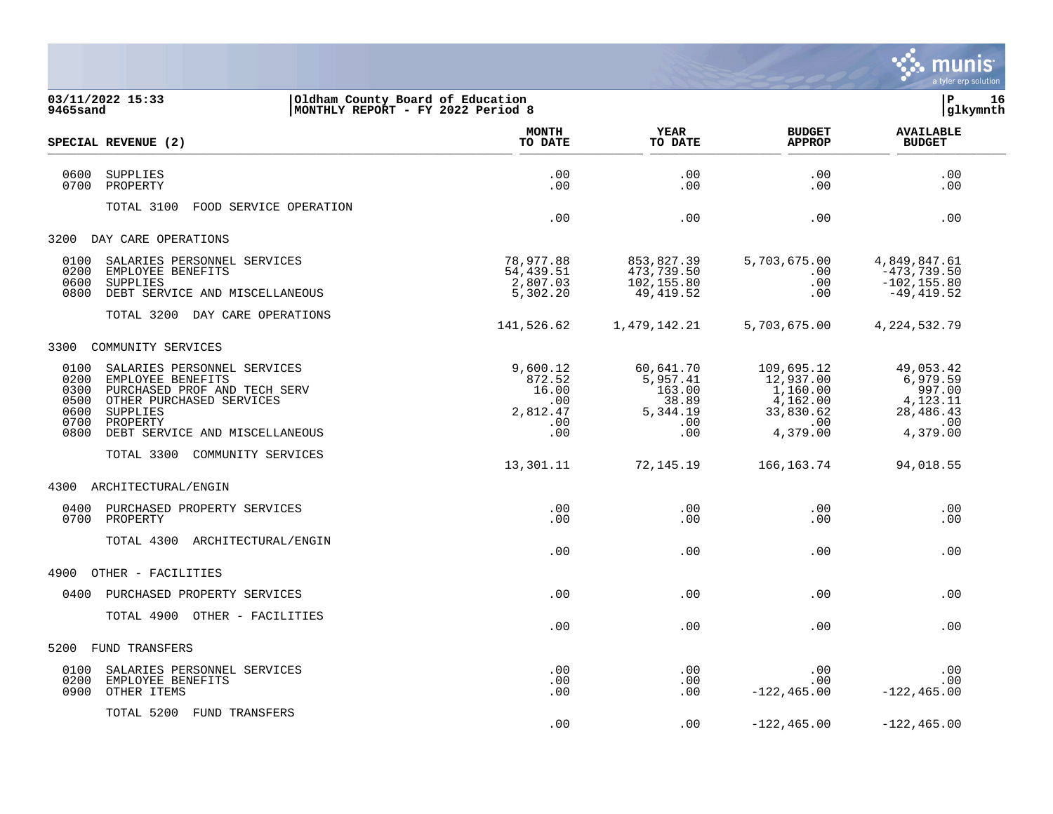

| 9465sand                                             | 03/11/2022 15:33<br>Oldham County Board of Education<br>MONTHLY REPORT - FY 2022 Period 8                                                                              |                                                              |                                                                    |                                                                                 | 16<br> P<br> glkymnth                                                       |  |
|------------------------------------------------------|------------------------------------------------------------------------------------------------------------------------------------------------------------------------|--------------------------------------------------------------|--------------------------------------------------------------------|---------------------------------------------------------------------------------|-----------------------------------------------------------------------------|--|
|                                                      | SPECIAL REVENUE (2)                                                                                                                                                    | <b>MONTH</b><br>TO DATE                                      | <b>YEAR</b><br>TO DATE                                             | <b>BUDGET</b><br><b>APPROP</b>                                                  | <b>AVAILABLE</b><br><b>BUDGET</b>                                           |  |
| 0600<br>0700                                         | SUPPLIES<br>PROPERTY                                                                                                                                                   | .00<br>.00                                                   | .00<br>.00                                                         | .00<br>.00                                                                      | .00<br>.00                                                                  |  |
|                                                      | TOTAL 3100<br>FOOD SERVICE OPERATION                                                                                                                                   | .00                                                          | .00                                                                | .00                                                                             | .00                                                                         |  |
|                                                      | 3200 DAY CARE OPERATIONS                                                                                                                                               |                                                              |                                                                    |                                                                                 |                                                                             |  |
| 0100<br>0200<br>0600<br>0800                         | SALARIES PERSONNEL SERVICES<br>EMPLOYEE BENEFITS<br>SUPPLIES<br>DEBT SERVICE AND MISCELLANEOUS                                                                         | 78,977.88<br>54,439.51<br>2,807.03<br>5,302.20               | 853,827.39<br>473,739.50<br>102,155.80<br>49,419.52                | 5,703,675.00<br>.00<br>.00<br>.00                                               | 4,849,847.61<br>$-473,739.50$<br>$-102, 155.80$<br>$-49, 419.52$            |  |
|                                                      | TOTAL 3200 DAY CARE OPERATIONS                                                                                                                                         | 141,526.62                                                   | 1,479,142.21                                                       | 5,703,675.00                                                                    | 4, 224, 532. 79                                                             |  |
| 3300                                                 | COMMUNITY SERVICES                                                                                                                                                     |                                                              |                                                                    |                                                                                 |                                                                             |  |
| 0100<br>0200<br>0300<br>0500<br>0600<br>0700<br>0800 | SALARIES PERSONNEL SERVICES<br>EMPLOYEE BENEFITS<br>PURCHASED PROF AND TECH SERV<br>OTHER PURCHASED SERVICES<br>SUPPLIES<br>PROPERTY<br>DEBT SERVICE AND MISCELLANEOUS | 9,600.12<br>872.52<br>16.00<br>.00<br>2,812.47<br>.00<br>.00 | 60,641.70<br>5,957.41<br>163.00<br>38.89<br>5,344.19<br>.00<br>.00 | 109,695.12<br>12,937.00<br>1,160.00<br>4,162.00<br>33,830.62<br>.00<br>4,379.00 | 49,053.42<br>6,979.59<br>997.00<br>4,123.11<br>28,486.43<br>.00<br>4,379.00 |  |
|                                                      | TOTAL 3300<br>COMMUNITY SERVICES                                                                                                                                       | 13,301.11                                                    | 72,145.19                                                          | 166,163.74                                                                      | 94,018.55                                                                   |  |
| 4300                                                 | ARCHITECTURAL/ENGIN                                                                                                                                                    |                                                              |                                                                    |                                                                                 |                                                                             |  |
| 0400<br>0700                                         | PURCHASED PROPERTY SERVICES<br>PROPERTY                                                                                                                                | .00<br>.00                                                   | .00<br>.00                                                         | .00<br>.00                                                                      | .00<br>.00                                                                  |  |
|                                                      | TOTAL 4300<br>ARCHITECTURAL/ENGIN                                                                                                                                      | .00                                                          | .00                                                                | .00                                                                             | .00                                                                         |  |
| 4900                                                 | OTHER - FACILITIES                                                                                                                                                     |                                                              |                                                                    |                                                                                 |                                                                             |  |
| 0400                                                 | PURCHASED PROPERTY SERVICES                                                                                                                                            | .00                                                          | .00                                                                | .00                                                                             | .00                                                                         |  |
|                                                      | TOTAL 4900<br>OTHER - FACILITIES                                                                                                                                       | .00                                                          | .00                                                                | .00                                                                             | .00                                                                         |  |
| 5200                                                 | <b>FUND TRANSFERS</b>                                                                                                                                                  |                                                              |                                                                    |                                                                                 |                                                                             |  |
| 0100<br>0200<br>0900                                 | SALARIES PERSONNEL SERVICES<br>EMPLOYEE BENEFITS<br>OTHER ITEMS                                                                                                        | .00<br>.00<br>.00                                            | .00<br>.00<br>.00                                                  | .00<br>.00<br>$-122, 465.00$                                                    | .00<br>.00<br>$-122, 465.00$                                                |  |
|                                                      | TOTAL 5200<br>FUND TRANSFERS                                                                                                                                           | .00                                                          | .00                                                                | $-122, 465.00$                                                                  | $-122, 465.00$                                                              |  |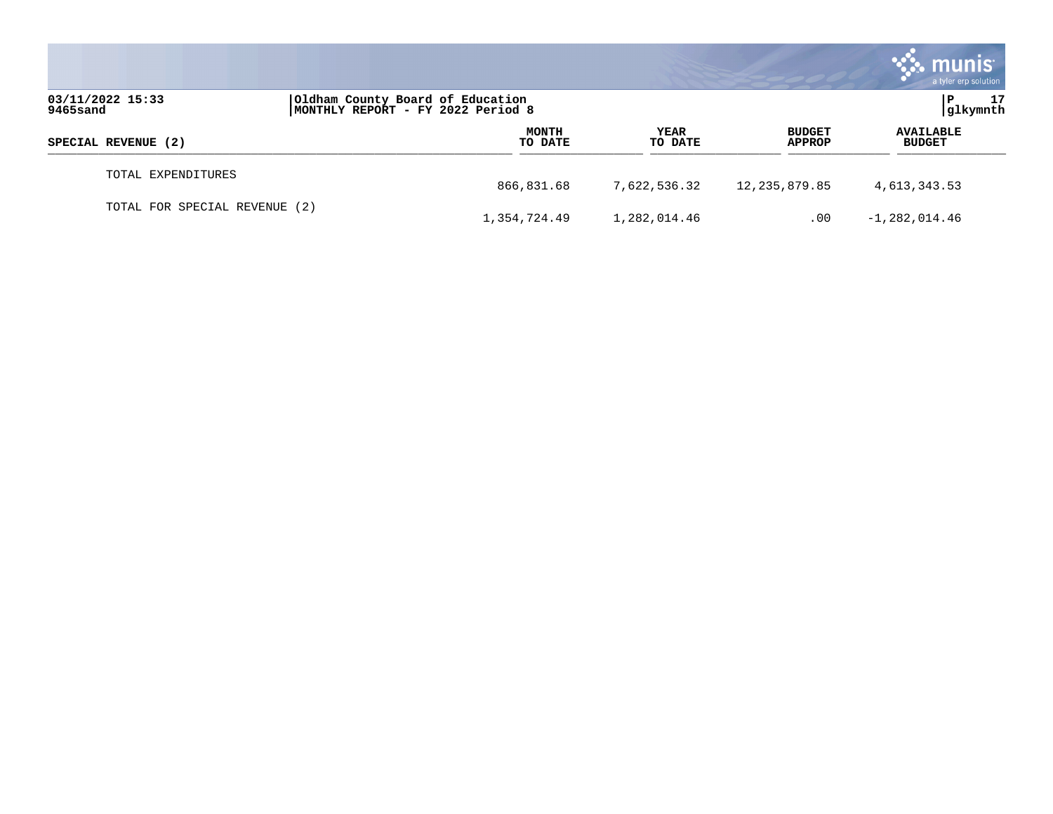|                               |                                                                       |                         |                 |                                | <b>munis</b><br>a tyler erp solution |  |
|-------------------------------|-----------------------------------------------------------------------|-------------------------|-----------------|--------------------------------|--------------------------------------|--|
| 03/11/2022 15:33<br>9465sand  | Oldham County Board of Education<br>MONTHLY REPORT - FY 2022 Period 8 |                         |                 |                                | 17<br>P<br> glkymnth                 |  |
| SPECIAL REVENUE (2)           |                                                                       | <b>MONTH</b><br>TO DATE | YEAR<br>TO DATE | <b>BUDGET</b><br><b>APPROP</b> | <b>AVAILABLE</b><br><b>BUDGET</b>    |  |
| TOTAL EXPENDITURES            | 866,831.68                                                            |                         | 7,622,536.32    | 12,235,879.85                  | 4,613,343.53                         |  |
| TOTAL FOR SPECIAL REVENUE (2) | 1,354,724.49                                                          |                         | 1,282,014.46    | .00                            | $-1,282,014.46$                      |  |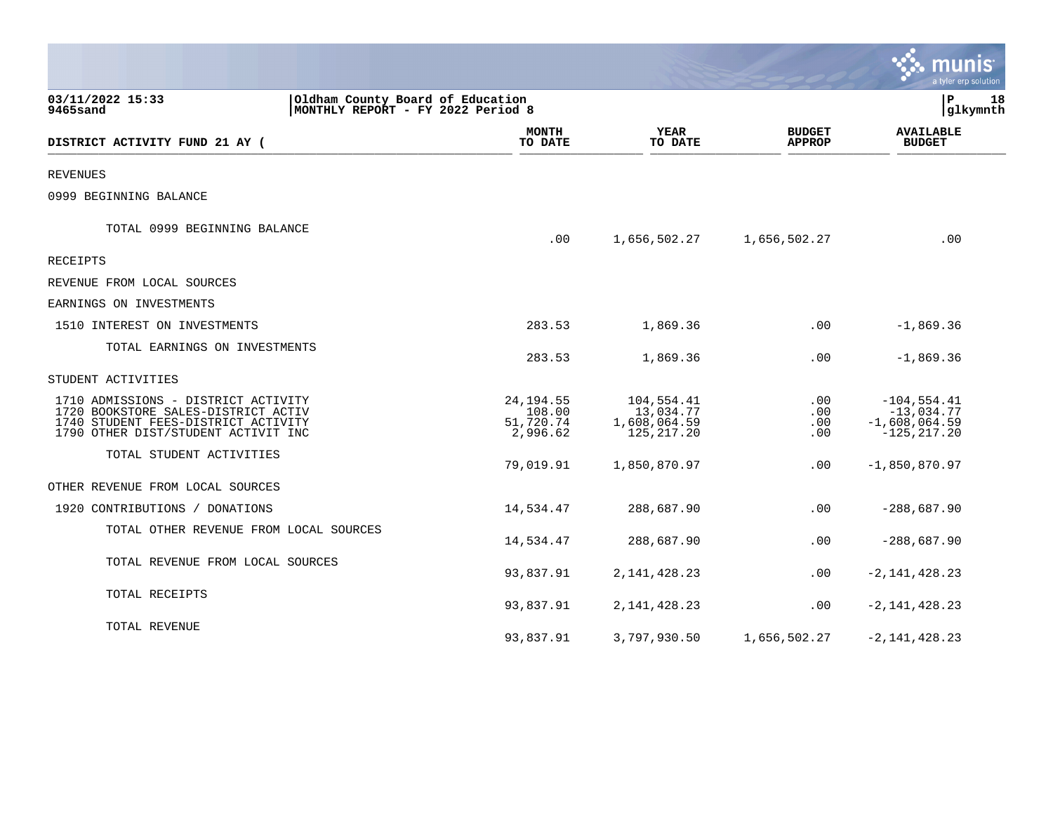|                                                                                                                                                          |                                                                       |                                                        |                                    | munis<br>a tyler erp solution                                       |
|----------------------------------------------------------------------------------------------------------------------------------------------------------|-----------------------------------------------------------------------|--------------------------------------------------------|------------------------------------|---------------------------------------------------------------------|
| 03/11/2022 15:33<br>9465sand                                                                                                                             | Oldham County Board of Education<br>MONTHLY REPORT - FY 2022 Period 8 |                                                        |                                    | l P<br>18<br>glkymnth                                               |
| DISTRICT ACTIVITY FUND 21 AY (                                                                                                                           | <b>MONTH</b><br>TO DATE                                               | <b>YEAR</b><br>TO DATE                                 | <b>BUDGET</b><br><b>APPROP</b>     | <b>AVAILABLE</b><br><b>BUDGET</b>                                   |
| <b>REVENUES</b>                                                                                                                                          |                                                                       |                                                        |                                    |                                                                     |
| 0999 BEGINNING BALANCE                                                                                                                                   |                                                                       |                                                        |                                    |                                                                     |
| TOTAL 0999 BEGINNING BALANCE                                                                                                                             | .00                                                                   | 1,656,502.27                                           | 1,656,502.27                       | .00                                                                 |
| RECEIPTS                                                                                                                                                 |                                                                       |                                                        |                                    |                                                                     |
| REVENUE FROM LOCAL SOURCES                                                                                                                               |                                                                       |                                                        |                                    |                                                                     |
| EARNINGS ON INVESTMENTS                                                                                                                                  |                                                                       |                                                        |                                    |                                                                     |
| 1510 INTEREST ON INVESTMENTS                                                                                                                             | 283.53                                                                | 1,869.36                                               | .00                                | $-1,869.36$                                                         |
| TOTAL EARNINGS ON INVESTMENTS                                                                                                                            | 283.53                                                                | 1,869.36                                               | .00                                | $-1,869.36$                                                         |
| STUDENT ACTIVITIES                                                                                                                                       |                                                                       |                                                        |                                    |                                                                     |
| 1710 ADMISSIONS - DISTRICT ACTIVITY<br>1720 BOOKSTORE SALES-DISTRICT ACTIV<br>1740 STUDENT FEES-DISTRICT ACTIVITY<br>1790 OTHER DIST/STUDENT ACTIVIT INC | 24, 194.55<br>108.00<br>51,720.74<br>2,996.62                         | 104,554.41<br>13,034.77<br>1,608,064.59<br>125, 217.20 | $.00 \,$<br>.00<br>$.00 \,$<br>.00 | $-104, 554.41$<br>$-13,034.77$<br>$-1,608,064.59$<br>$-125, 217.20$ |
| TOTAL STUDENT ACTIVITIES                                                                                                                                 | 79,019.91                                                             | 1,850,870.97                                           | .00                                | $-1,850,870.97$                                                     |
| OTHER REVENUE FROM LOCAL SOURCES                                                                                                                         |                                                                       |                                                        |                                    |                                                                     |
| 1920 CONTRIBUTIONS / DONATIONS                                                                                                                           | 14,534.47                                                             | 288,687.90                                             | .00                                | $-288,687.90$                                                       |
| TOTAL OTHER REVENUE FROM LOCAL SOURCES                                                                                                                   | 14,534.47                                                             | 288,687.90                                             | .00                                | $-288,687.90$                                                       |
| TOTAL REVENUE FROM LOCAL SOURCES                                                                                                                         | 93,837.91                                                             | 2, 141, 428. 23                                        | .00                                | $-2,141,428.23$                                                     |
| TOTAL RECEIPTS                                                                                                                                           | 93,837.91                                                             | 2, 141, 428. 23                                        | $.00 \,$                           | $-2,141,428.23$                                                     |
| TOTAL REVENUE                                                                                                                                            | 93,837.91                                                             | 3,797,930.50                                           | 1,656,502.27                       | $-2,141,428.23$                                                     |

a sa mga magaalang na mga magaalang ng mga magaalang ng mga magaalang ng magaalang ng magaalang ng magaalang n

the contract of the contract of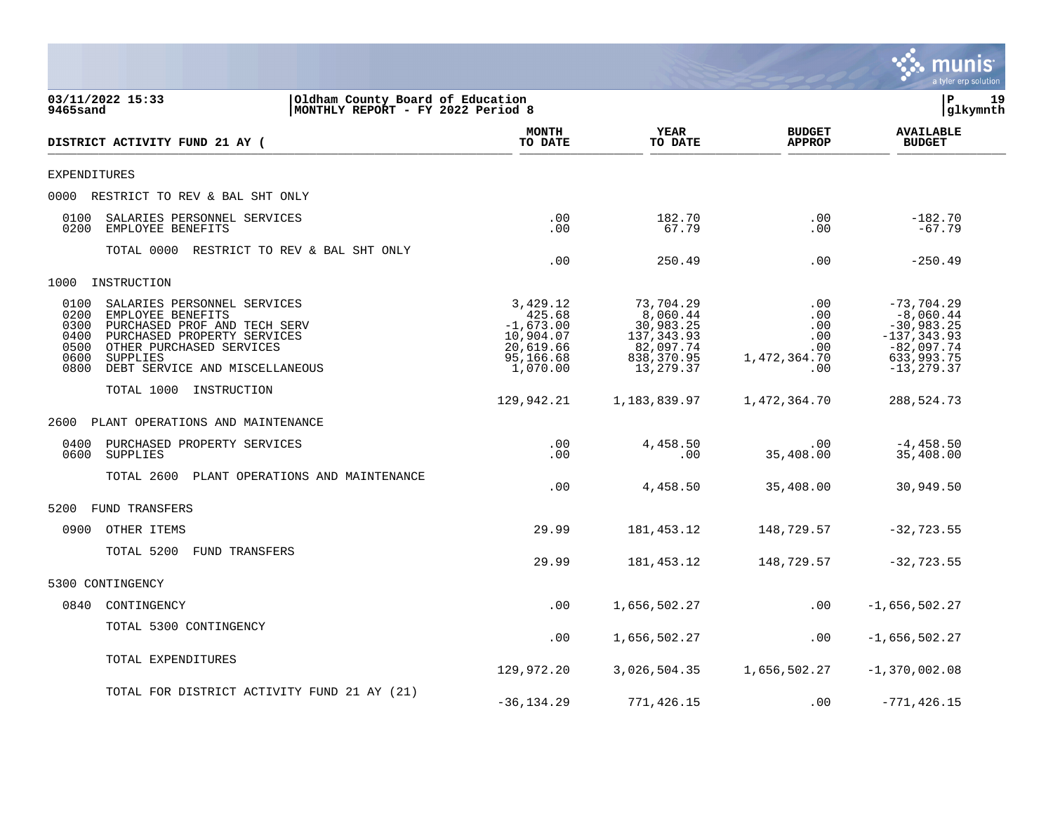

| 03/11/2022 15:33<br>9465sand                                                                                                                                                                                                                      | Oldham County Board of Education<br>MONTHLY REPORT - FY 2022 Period 8 |                                                                                      |                                                                                           | l P                                                    | 19<br> glkymnth                                                                                              |  |
|---------------------------------------------------------------------------------------------------------------------------------------------------------------------------------------------------------------------------------------------------|-----------------------------------------------------------------------|--------------------------------------------------------------------------------------|-------------------------------------------------------------------------------------------|--------------------------------------------------------|--------------------------------------------------------------------------------------------------------------|--|
| DISTRICT ACTIVITY FUND 21 AY (                                                                                                                                                                                                                    |                                                                       | <b>MONTH</b><br>TO DATE                                                              | YEAR<br>TO DATE                                                                           | <b>BUDGET</b><br><b>APPROP</b>                         | <b>AVAILABLE</b><br><b>BUDGET</b>                                                                            |  |
| EXPENDITURES                                                                                                                                                                                                                                      |                                                                       |                                                                                      |                                                                                           |                                                        |                                                                                                              |  |
| 0000 RESTRICT TO REV & BAL SHT ONLY                                                                                                                                                                                                               |                                                                       |                                                                                      |                                                                                           |                                                        |                                                                                                              |  |
| 0100<br>SALARIES PERSONNEL SERVICES<br>0200<br>EMPLOYEE BENEFITS                                                                                                                                                                                  |                                                                       | .00<br>.00                                                                           | 182.70<br>67.79                                                                           | .00<br>.00                                             | $-182.70$<br>$-67.79$                                                                                        |  |
| TOTAL 0000 RESTRICT TO REV & BAL SHT ONLY                                                                                                                                                                                                         |                                                                       | .00                                                                                  | 250.49                                                                                    | .00                                                    | $-250.49$                                                                                                    |  |
| 1000<br>INSTRUCTION                                                                                                                                                                                                                               |                                                                       |                                                                                      |                                                                                           |                                                        |                                                                                                              |  |
| 0100<br>SALARIES PERSONNEL SERVICES<br>0200<br>EMPLOYEE BENEFITS<br>0300<br>PURCHASED PROF AND TECH SERV<br>0400<br>PURCHASED PROPERTY SERVICES<br>0500<br>OTHER PURCHASED SERVICES<br>0600<br>SUPPLIES<br>0800<br>DEBT SERVICE AND MISCELLANEOUS |                                                                       | 3,429.12<br>425.68<br>$-1,673.00$<br>10,904.07<br>20,619.66<br>95,166.68<br>1,070.00 | 73,704.29<br>8,060.44<br>30,983.25<br>137, 343.93<br>82,097.74<br>838,370.95<br>13,279.37 | .00<br>.00<br>.00<br>.00<br>.00<br>1,472,364.70<br>.00 | $-73,704.29$<br>$-8,060.44$<br>$-30,983.25$<br>$-137, 343.93$<br>$-82,097.74$<br>633,993.75<br>$-13, 279.37$ |  |
| TOTAL 1000 INSTRUCTION                                                                                                                                                                                                                            |                                                                       | 129,942.21                                                                           | 1,183,839.97                                                                              | 1,472,364.70                                           | 288,524.73                                                                                                   |  |
| 2600<br>PLANT OPERATIONS AND MAINTENANCE                                                                                                                                                                                                          |                                                                       |                                                                                      |                                                                                           |                                                        |                                                                                                              |  |
| 0400<br>PURCHASED PROPERTY SERVICES<br>0600<br>SUPPLIES                                                                                                                                                                                           |                                                                       | .00<br>.00                                                                           | 4,458.50<br>.00                                                                           | $.00 \,$<br>35,408.00                                  | $-4,458.50$<br>35,408.00                                                                                     |  |
| TOTAL 2600<br>PLANT OPERATIONS AND MAINTENANCE                                                                                                                                                                                                    |                                                                       | .00                                                                                  | 4,458.50                                                                                  | 35,408.00                                              | 30,949.50                                                                                                    |  |
| 5200<br><b>FUND TRANSFERS</b>                                                                                                                                                                                                                     |                                                                       |                                                                                      |                                                                                           |                                                        |                                                                                                              |  |
| 0900<br>OTHER ITEMS                                                                                                                                                                                                                               |                                                                       | 29.99                                                                                | 181, 453. 12                                                                              | 148,729.57                                             | $-32, 723.55$                                                                                                |  |
| TOTAL 5200<br>FUND TRANSFERS                                                                                                                                                                                                                      |                                                                       | 29.99                                                                                | 181,453.12                                                                                | 148,729.57                                             | $-32, 723.55$                                                                                                |  |
| 5300 CONTINGENCY                                                                                                                                                                                                                                  |                                                                       |                                                                                      |                                                                                           |                                                        |                                                                                                              |  |
| 0840<br>CONTINGENCY                                                                                                                                                                                                                               |                                                                       | .00                                                                                  | 1,656,502.27                                                                              | .00                                                    | $-1,656,502.27$                                                                                              |  |
| TOTAL 5300 CONTINGENCY                                                                                                                                                                                                                            |                                                                       | .00                                                                                  | 1,656,502.27                                                                              | $.00 \,$                                               | $-1,656,502.27$                                                                                              |  |
| TOTAL EXPENDITURES                                                                                                                                                                                                                                |                                                                       | 129,972.20                                                                           | 3,026,504.35                                                                              | 1,656,502.27                                           | $-1,370,002.08$                                                                                              |  |
| TOTAL FOR DISTRICT ACTIVITY FUND 21 AY (21)                                                                                                                                                                                                       |                                                                       | $-36, 134.29$                                                                        | 771,426.15                                                                                | .00                                                    | $-771, 426.15$                                                                                               |  |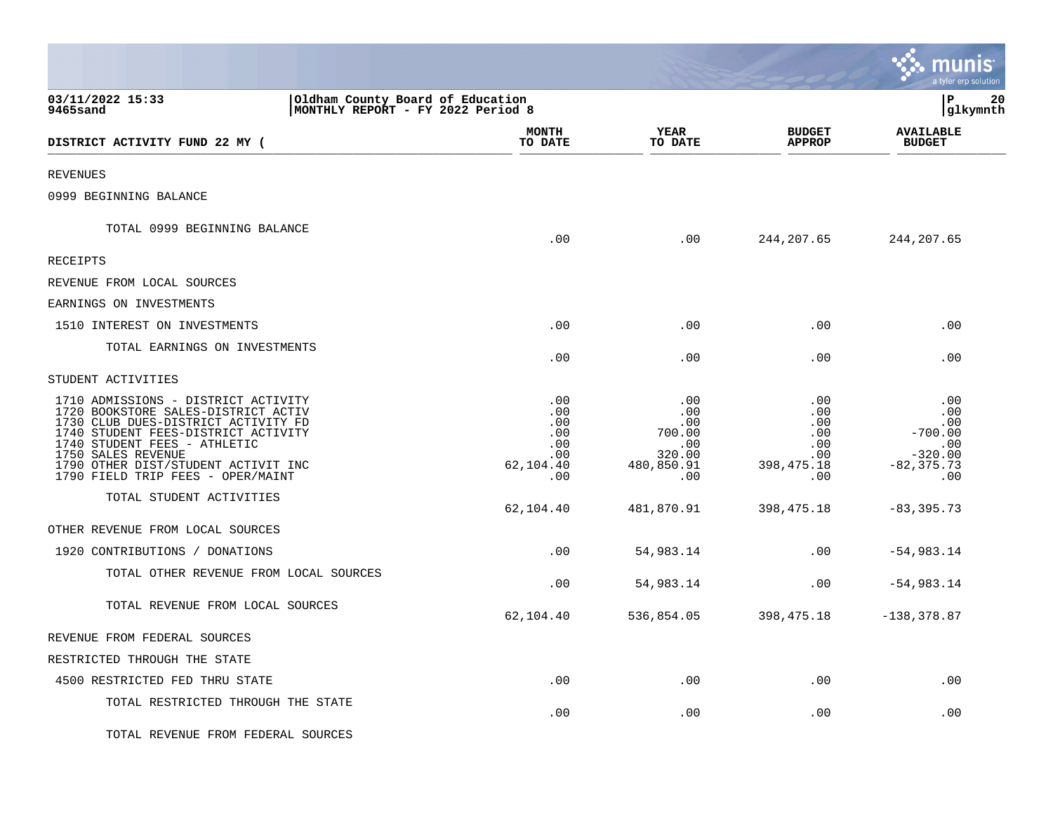|                                                                                                                                                                                                                                                                                            |                                                            |                                                                   |                                                                                 | munis<br>a tyler erp solution                                              |    |
|--------------------------------------------------------------------------------------------------------------------------------------------------------------------------------------------------------------------------------------------------------------------------------------------|------------------------------------------------------------|-------------------------------------------------------------------|---------------------------------------------------------------------------------|----------------------------------------------------------------------------|----|
| 03/11/2022 15:33<br>Oldham County Board of Education<br>9465sand<br>MONTHLY REPORT - FY 2022 Period 8                                                                                                                                                                                      |                                                            |                                                                   |                                                                                 | l P<br> glkymnth                                                           | 20 |
| DISTRICT ACTIVITY FUND 22 MY (                                                                                                                                                                                                                                                             | <b>MONTH</b><br>TO DATE                                    | YEAR<br>TO DATE                                                   | <b>BUDGET</b><br><b>APPROP</b>                                                  | <b>AVAILABLE</b><br><b>BUDGET</b>                                          |    |
| <b>REVENUES</b>                                                                                                                                                                                                                                                                            |                                                            |                                                                   |                                                                                 |                                                                            |    |
| 0999 BEGINNING BALANCE                                                                                                                                                                                                                                                                     |                                                            |                                                                   |                                                                                 |                                                                            |    |
| TOTAL 0999 BEGINNING BALANCE                                                                                                                                                                                                                                                               | .00                                                        | .00                                                               | 244, 207.65                                                                     | 244, 207.65                                                                |    |
| RECEIPTS                                                                                                                                                                                                                                                                                   |                                                            |                                                                   |                                                                                 |                                                                            |    |
| REVENUE FROM LOCAL SOURCES                                                                                                                                                                                                                                                                 |                                                            |                                                                   |                                                                                 |                                                                            |    |
| EARNINGS ON INVESTMENTS                                                                                                                                                                                                                                                                    |                                                            |                                                                   |                                                                                 |                                                                            |    |
| 1510 INTEREST ON INVESTMENTS                                                                                                                                                                                                                                                               | .00                                                        | .00                                                               | .00                                                                             | .00                                                                        |    |
| TOTAL EARNINGS ON INVESTMENTS                                                                                                                                                                                                                                                              | .00                                                        | .00                                                               | .00                                                                             | .00                                                                        |    |
| STUDENT ACTIVITIES                                                                                                                                                                                                                                                                         |                                                            |                                                                   |                                                                                 |                                                                            |    |
| 1710 ADMISSIONS - DISTRICT ACTIVITY<br>1720 BOOKSTORE SALES-DISTRICT ACTIV<br>1730 CLUB DUES-DISTRICT ACTIVITY FD<br>1740 STUDENT FEES-DISTRICT ACTIVITY<br>1740 STUDENT FEES - ATHLETIC<br>1750 SALES REVENUE<br>1790 OTHER DIST/STUDENT ACTIVIT INC<br>1790 FIELD TRIP FEES - OPER/MAINT | .00<br>.00<br>.00<br>.00<br>.00<br>.00<br>62,104.40<br>.00 | .00<br>.00<br>.00<br>700.00<br>.00<br>320.00<br>480,850.91<br>.00 | .00<br>$.00 \,$<br>$.00 \ \rm$<br>.00<br>.00<br>$.00 \,$<br>398, 475. 18<br>.00 | .00<br>.00<br>.00<br>$-700.00$<br>.00<br>$-320.00$<br>$-82, 375.73$<br>.00 |    |
| TOTAL STUDENT ACTIVITIES                                                                                                                                                                                                                                                                   | 62,104.40                                                  | 481,870.91                                                        | 398, 475. 18                                                                    | $-83, 395.73$                                                              |    |
| OTHER REVENUE FROM LOCAL SOURCES                                                                                                                                                                                                                                                           |                                                            |                                                                   |                                                                                 |                                                                            |    |
| 1920 CONTRIBUTIONS / DONATIONS                                                                                                                                                                                                                                                             | .00                                                        | 54,983.14                                                         | $.00 \times$                                                                    | $-54,983.14$                                                               |    |
| TOTAL OTHER REVENUE FROM LOCAL SOURCES                                                                                                                                                                                                                                                     | .00                                                        | 54,983.14                                                         | $.00 \ \rm$                                                                     | $-54,983.14$                                                               |    |
| TOTAL REVENUE FROM LOCAL SOURCES                                                                                                                                                                                                                                                           | 62,104.40                                                  | 536,854.05                                                        | 398,475.18                                                                      | $-138, 378.87$                                                             |    |
| REVENUE FROM FEDERAL SOURCES                                                                                                                                                                                                                                                               |                                                            |                                                                   |                                                                                 |                                                                            |    |
| RESTRICTED THROUGH THE STATE                                                                                                                                                                                                                                                               |                                                            |                                                                   |                                                                                 |                                                                            |    |
| 4500 RESTRICTED FED THRU STATE                                                                                                                                                                                                                                                             | .00                                                        | .00                                                               | .00                                                                             | .00                                                                        |    |
| TOTAL RESTRICTED THROUGH THE STATE                                                                                                                                                                                                                                                         | .00                                                        | .00                                                               | .00                                                                             | .00                                                                        |    |
| TOTAL REVENUE FROM FEDERAL SOURCES                                                                                                                                                                                                                                                         |                                                            |                                                                   |                                                                                 |                                                                            |    |

 $\mathcal{L}$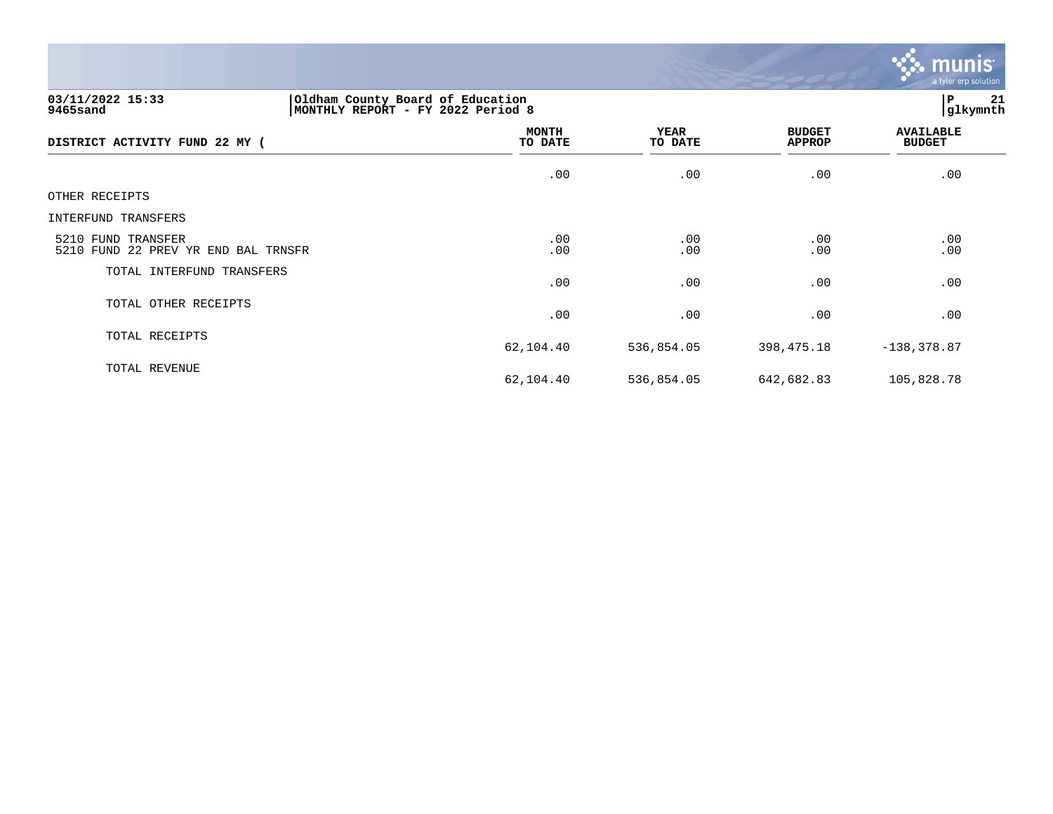

# **03/11/2022 15:33 |Oldham County Board of Education |P 21 9465sand |MONTHLY REPORT - FY 2022 Period 8 |glkymnth**

| DISTRICT ACTIVITY FUND 22 MY (                            | <b>MONTH</b><br>TO DATE | <b>YEAR</b><br>TO DATE | <b>BUDGET</b><br>APPROP | <b>AVAILABLE</b><br><b>BUDGET</b> |
|-----------------------------------------------------------|-------------------------|------------------------|-------------------------|-----------------------------------|
|                                                           | .00                     | .00                    | .00                     | .00                               |
| OTHER RECEIPTS                                            |                         |                        |                         |                                   |
| INTERFUND TRANSFERS                                       |                         |                        |                         |                                   |
| 5210 FUND TRANSFER<br>5210 FUND 22 PREV YR END BAL TRNSFR | .00<br>.00              | .00<br>.00             | .00<br>.00              | .00<br>.00                        |
| TOTAL INTERFUND TRANSFERS                                 | .00                     | .00                    | .00                     | .00                               |
| TOTAL OTHER RECEIPTS                                      | .00                     | .00                    | .00                     | .00                               |
| TOTAL RECEIPTS                                            | 62,104.40               | 536,854.05             | 398,475.18              | $-138, 378.87$                    |
| TOTAL REVENUE                                             | 62,104.40               | 536,854.05             | 642,682.83              | 105,828.78                        |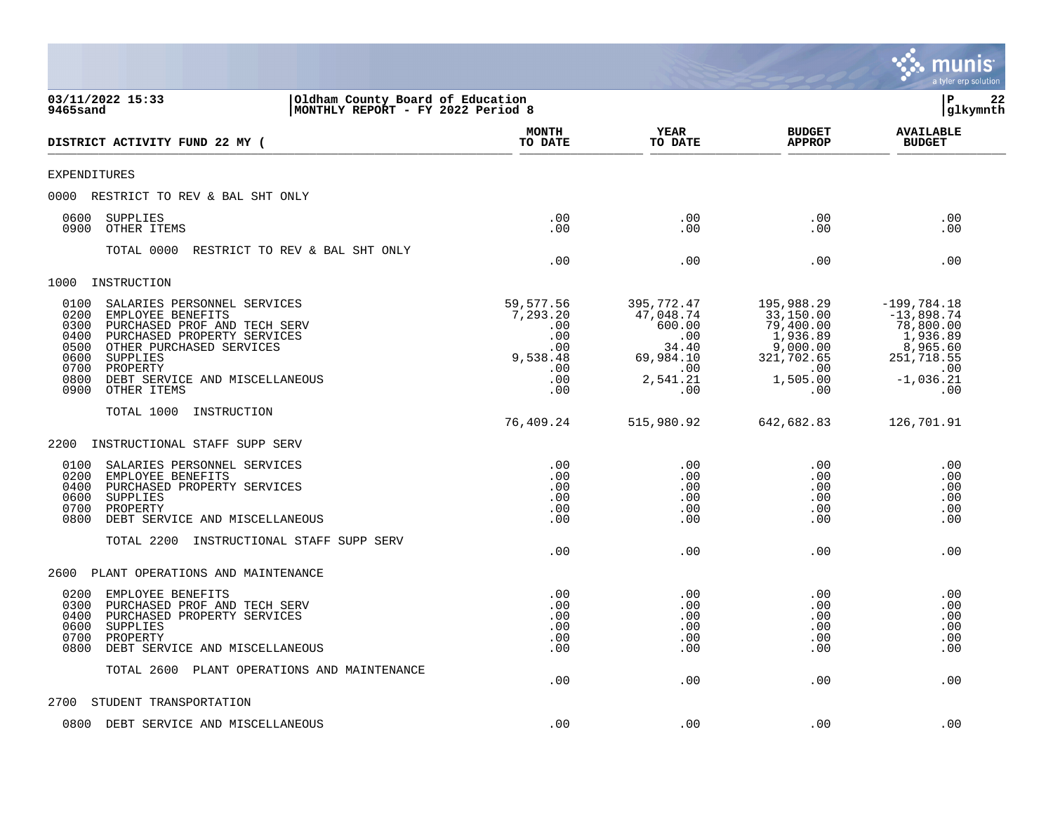|                                                                                                                                                                                                                                                                                              |                                                                             |                                                                                          |                                                                                                      | a tyler erp solution                                                                                          |
|----------------------------------------------------------------------------------------------------------------------------------------------------------------------------------------------------------------------------------------------------------------------------------------------|-----------------------------------------------------------------------------|------------------------------------------------------------------------------------------|------------------------------------------------------------------------------------------------------|---------------------------------------------------------------------------------------------------------------|
| 03/11/2022 15:33<br>Oldham County Board of Education<br>9465sand<br>MONTHLY REPORT - FY 2022 Period 8                                                                                                                                                                                        |                                                                             |                                                                                          |                                                                                                      | P<br>22<br>glkymnth                                                                                           |
| DISTRICT ACTIVITY FUND 22 MY (                                                                                                                                                                                                                                                               | <b>MONTH</b><br>TO DATE                                                     | <b>YEAR</b><br>TO DATE                                                                   | <b>BUDGET</b><br><b>APPROP</b>                                                                       | <b>AVAILABLE</b><br><b>BUDGET</b>                                                                             |
| <b>EXPENDITURES</b>                                                                                                                                                                                                                                                                          |                                                                             |                                                                                          |                                                                                                      |                                                                                                               |
| 0000<br>RESTRICT TO REV & BAL SHT ONLY                                                                                                                                                                                                                                                       |                                                                             |                                                                                          |                                                                                                      |                                                                                                               |
| 0600<br>SUPPLIES<br>0900<br>OTHER ITEMS                                                                                                                                                                                                                                                      | .00<br>.00                                                                  | .00<br>.00                                                                               | .00<br>.00                                                                                           | .00<br>.00                                                                                                    |
| TOTAL 0000<br>RESTRICT TO REV & BAL SHT ONLY                                                                                                                                                                                                                                                 | .00                                                                         | .00                                                                                      | .00                                                                                                  | .00                                                                                                           |
| 1000<br>INSTRUCTION                                                                                                                                                                                                                                                                          |                                                                             |                                                                                          |                                                                                                      |                                                                                                               |
| 0100<br>SALARIES PERSONNEL SERVICES<br>0200<br>EMPLOYEE BENEFITS<br>0300<br>PURCHASED PROF AND TECH SERV<br>0400<br>PURCHASED PROPERTY SERVICES<br>0500<br>OTHER PURCHASED SERVICES<br>0600<br>SUPPLIES<br>0700<br>PROPERTY<br>0800<br>DEBT SERVICE AND MISCELLANEOUS<br>0900<br>OTHER ITEMS | 59,577.56<br>7,293.20<br>.00<br>.00<br>.00<br>9,538.48<br>.00<br>.00<br>.00 | 395,772.47<br>47,048.74<br>600.00<br>.00<br>34.40<br>69,984.10<br>.00<br>2,541.21<br>.00 | 195,988.29<br>33,150.00<br>79,400.00<br>1,936.89<br>9,000.00<br>321,702.65<br>.00<br>1,505.00<br>.00 | $-199,784.18$<br>$-13,898.74$<br>78,800.00<br>1,936.89<br>8,965.60<br>251,718.55<br>.00<br>$-1,036.21$<br>.00 |
| TOTAL 1000<br>INSTRUCTION                                                                                                                                                                                                                                                                    |                                                                             |                                                                                          |                                                                                                      |                                                                                                               |
|                                                                                                                                                                                                                                                                                              | 76,409.24                                                                   | 515,980.92                                                                               | 642,682.83                                                                                           | 126,701.91                                                                                                    |
| 2200<br>INSTRUCTIONAL STAFF SUPP SERV                                                                                                                                                                                                                                                        |                                                                             |                                                                                          |                                                                                                      |                                                                                                               |
| 0100<br>SALARIES PERSONNEL SERVICES<br>0200<br>EMPLOYEE BENEFITS<br>0400<br>PURCHASED PROPERTY SERVICES<br>0600<br>SUPPLIES<br>0700<br>PROPERTY<br>0800<br>DEBT SERVICE AND MISCELLANEOUS                                                                                                    | .00<br>.00<br>.00<br>.00<br>.00<br>.00                                      | .00<br>.00<br>.00<br>.00<br>.00<br>.00                                                   | .00<br>.00<br>.00<br>.00<br>.00<br>.00                                                               | .00<br>.00<br>.00<br>.00<br>.00<br>.00                                                                        |
| TOTAL 2200<br>INSTRUCTIONAL STAFF SUPP SERV                                                                                                                                                                                                                                                  | .00                                                                         | .00                                                                                      | .00                                                                                                  | .00                                                                                                           |
| 2600<br>PLANT OPERATIONS AND MAINTENANCE                                                                                                                                                                                                                                                     |                                                                             |                                                                                          |                                                                                                      |                                                                                                               |
| 0200<br>EMPLOYEE BENEFITS<br>0300<br>PURCHASED PROF AND TECH SERV<br>0400<br>PURCHASED PROPERTY SERVICES<br>0600<br>SUPPLIES<br>0700<br>PROPERTY<br>0800<br>DEBT SERVICE AND MISCELLANEOUS                                                                                                   | .00<br>.00<br>.00<br>.00<br>.00<br>.00                                      | .00<br>.00<br>.00<br>.00<br>.00<br>.00                                                   | .00<br>.00<br>.00<br>.00<br>.00<br>.00                                                               | .00<br>.00<br>.00<br>.00<br>.00<br>.00                                                                        |
| TOTAL 2600<br>PLANT OPERATIONS AND MAINTENANCE                                                                                                                                                                                                                                               | .00                                                                         | .00                                                                                      | .00                                                                                                  | .00                                                                                                           |
| STUDENT TRANSPORTATION<br>2700                                                                                                                                                                                                                                                               |                                                                             |                                                                                          |                                                                                                      |                                                                                                               |
| 0800<br>DEBT SERVICE AND MISCELLANEOUS                                                                                                                                                                                                                                                       | .00                                                                         | .00                                                                                      | .00                                                                                                  | .00                                                                                                           |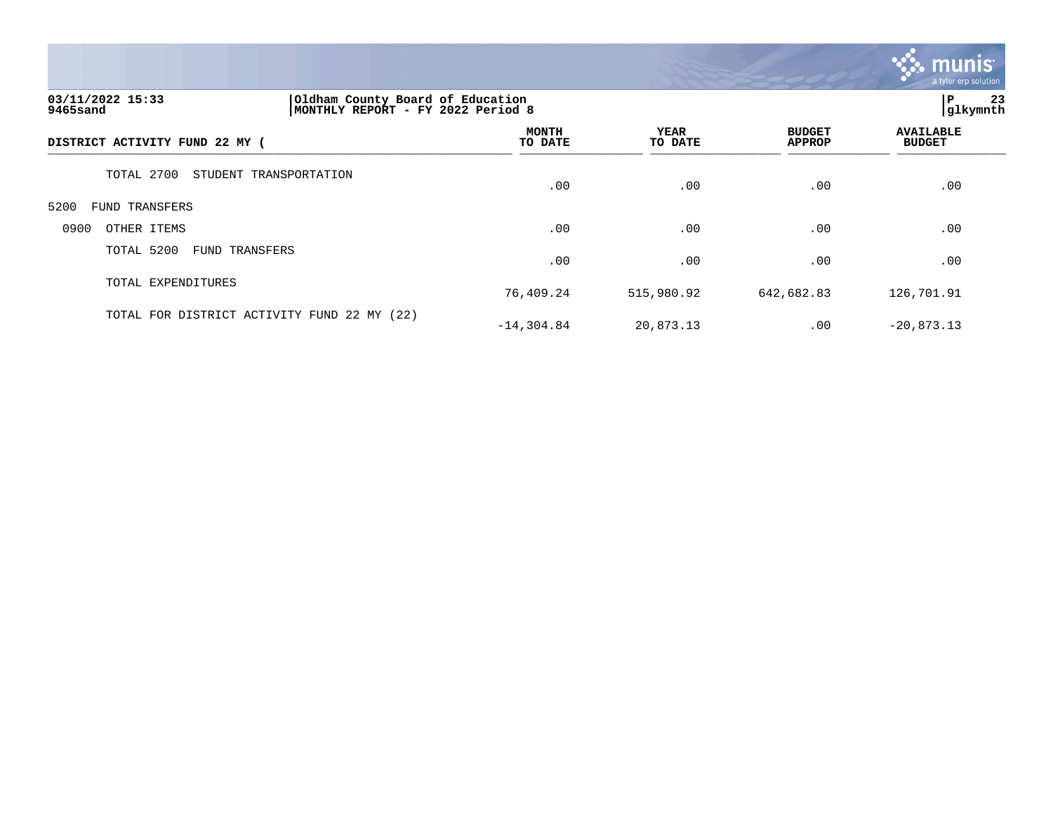

# **03/11/2022 15:33 |Oldham County Board of Education |P 23 9465sand |MONTHLY REPORT - FY 2022 Period 8 |glkymnth**

| DISTRICT ACTIVITY FUND 22 MY (              | MONTH<br>TO DATE | YEAR<br>TO DATE | <b>BUDGET</b><br><b>APPROP</b> | <b>AVAILABLE</b><br><b>BUDGET</b> |  |
|---------------------------------------------|------------------|-----------------|--------------------------------|-----------------------------------|--|
| TOTAL 2700<br>STUDENT TRANSPORTATION        | .00              | .00             | .00                            | .00                               |  |
| 5200<br>FUND TRANSFERS                      |                  |                 |                                |                                   |  |
| 0900<br>OTHER ITEMS                         | .00              | .00             | .00                            | .00                               |  |
| TOTAL 5200<br>FUND TRANSFERS                | .00              | .00             | .00                            | .00                               |  |
| TOTAL EXPENDITURES                          | 76,409.24        | 515,980.92      | 642,682.83                     | 126,701.91                        |  |
| TOTAL FOR DISTRICT ACTIVITY FUND 22 MY (22) | $-14, 304.84$    | 20,873.13       | .00                            | $-20,873.13$                      |  |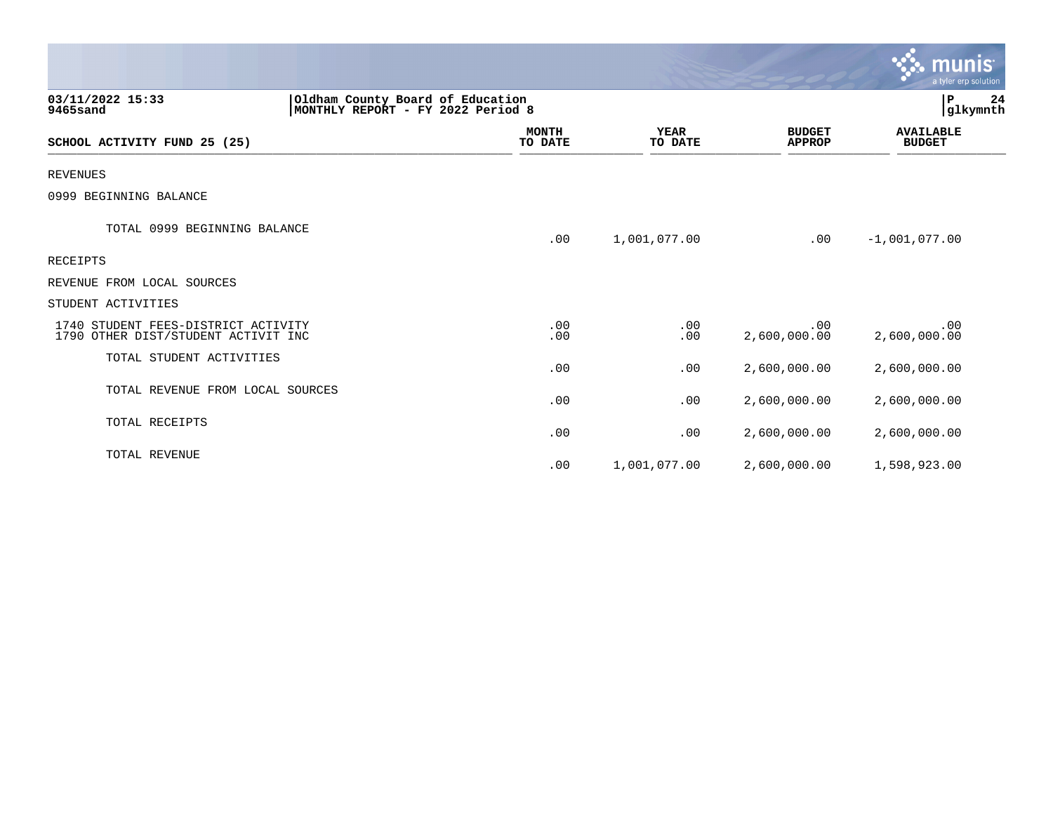|                                                                            |                                                                       |                         |                        |                                | munis <sup>.</sup><br>a tyler erp solution |
|----------------------------------------------------------------------------|-----------------------------------------------------------------------|-------------------------|------------------------|--------------------------------|--------------------------------------------|
| 03/11/2022 15:33<br>9465sand                                               | Oldham County Board of Education<br>MONTHLY REPORT - FY 2022 Period 8 |                         |                        |                                | $\mathbf P$<br>24<br>glkymnth              |
| SCHOOL ACTIVITY FUND 25 (25)                                               |                                                                       | <b>MONTH</b><br>TO DATE | <b>YEAR</b><br>TO DATE | <b>BUDGET</b><br><b>APPROP</b> | <b>AVAILABLE</b><br><b>BUDGET</b>          |
| <b>REVENUES</b>                                                            |                                                                       |                         |                        |                                |                                            |
| 0999 BEGINNING BALANCE                                                     |                                                                       |                         |                        |                                |                                            |
| TOTAL 0999 BEGINNING BALANCE                                               |                                                                       | .00                     | 1,001,077.00           | .00                            | $-1,001,077.00$                            |
| RECEIPTS                                                                   |                                                                       |                         |                        |                                |                                            |
| REVENUE FROM LOCAL SOURCES                                                 |                                                                       |                         |                        |                                |                                            |
| STUDENT ACTIVITIES                                                         |                                                                       |                         |                        |                                |                                            |
| 1740 STUDENT FEES-DISTRICT ACTIVITY<br>1790 OTHER DIST/STUDENT ACTIVIT INC |                                                                       | .00<br>.00              | .00<br>.00             | .00<br>2,600,000.00            | .00<br>2,600,000.00                        |
| TOTAL STUDENT ACTIVITIES                                                   |                                                                       | .00                     | .00                    | 2,600,000.00                   | 2,600,000.00                               |
| TOTAL REVENUE FROM LOCAL SOURCES                                           |                                                                       | .00                     | .00                    | 2,600,000.00                   | 2,600,000.00                               |
| TOTAL RECEIPTS                                                             |                                                                       | .00                     | .00                    | 2,600,000.00                   | 2,600,000.00                               |
| TOTAL REVENUE                                                              |                                                                       | .00                     | 1,001,077.00           | 2,600,000.00                   | 1,598,923.00                               |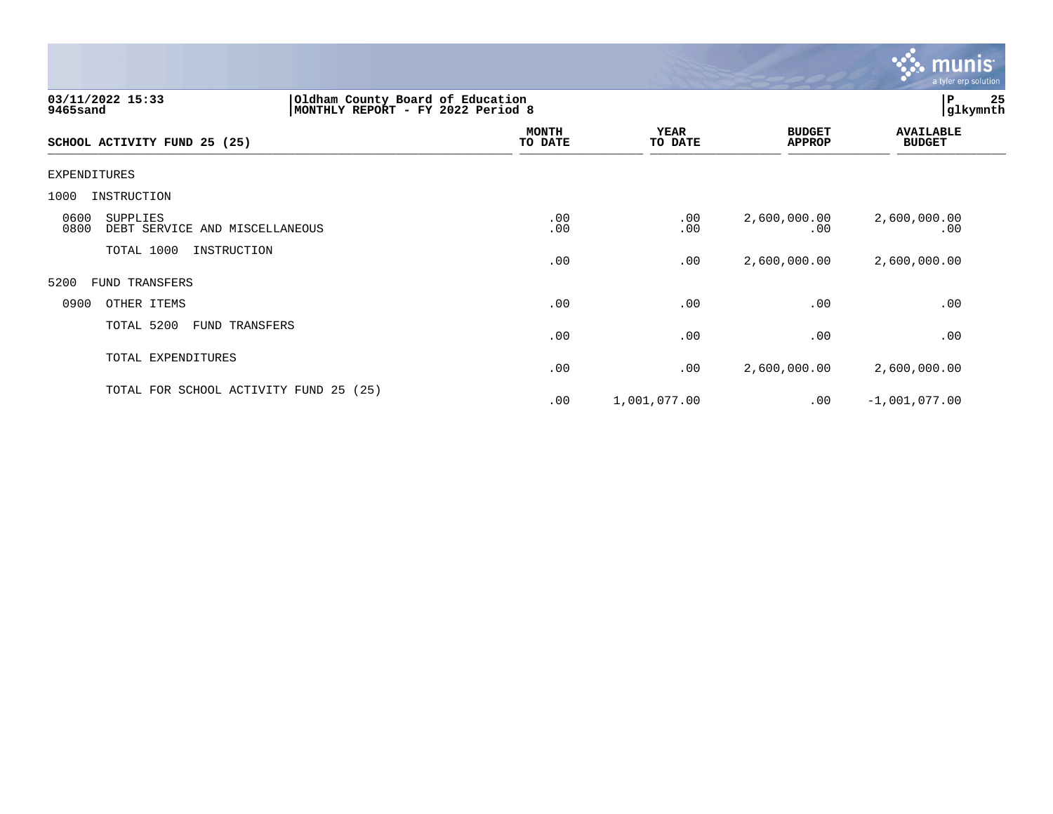

| 03/11/2022 15:33<br>9465sand                               | Oldham County Board of Education<br>MONTHLY REPORT - FY 2022 Period 8 |                        |                                | P<br> glkymnth                    | 25 |
|------------------------------------------------------------|-----------------------------------------------------------------------|------------------------|--------------------------------|-----------------------------------|----|
| SCHOOL ACTIVITY FUND 25 (25)                               | <b>MONTH</b><br>TO DATE                                               | <b>YEAR</b><br>TO DATE | <b>BUDGET</b><br><b>APPROP</b> | <b>AVAILABLE</b><br><b>BUDGET</b> |    |
| EXPENDITURES                                               |                                                                       |                        |                                |                                   |    |
| 1000<br>INSTRUCTION                                        |                                                                       |                        |                                |                                   |    |
| 0600<br>SUPPLIES<br>0800<br>DEBT SERVICE AND MISCELLANEOUS | .00<br>.00                                                            | .00<br>.00             | 2,600,000.00<br>.00            | 2,600,000.00<br>.00               |    |
| TOTAL 1000<br>INSTRUCTION                                  | .00                                                                   | .00                    | 2,600,000.00                   | 2,600,000.00                      |    |
| 5200<br><b>FUND TRANSFERS</b>                              |                                                                       |                        |                                |                                   |    |
| 0900<br>OTHER ITEMS                                        | .00                                                                   | .00                    | .00                            | .00                               |    |
| TOTAL 5200<br>FUND TRANSFERS                               | .00                                                                   | .00                    | .00                            | .00                               |    |
| TOTAL EXPENDITURES                                         | .00                                                                   | .00                    | 2,600,000.00                   | 2,600,000.00                      |    |
| TOTAL FOR SCHOOL ACTIVITY FUND 25 (25)                     | .00                                                                   | 1,001,077.00           | .00                            | $-1,001,077.00$                   |    |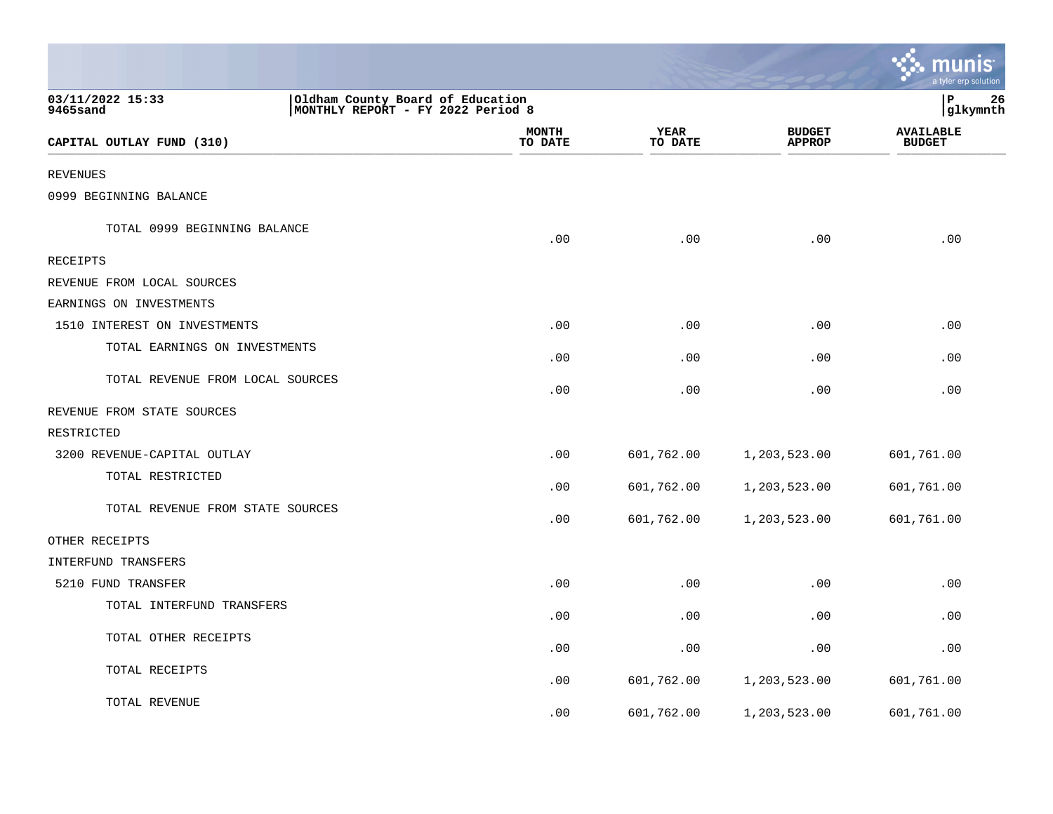|                                                                                                       |                         |                        |                                | <u>ः munis</u><br>a tyler erp solution |
|-------------------------------------------------------------------------------------------------------|-------------------------|------------------------|--------------------------------|----------------------------------------|
| 03/11/2022 15:33<br>Oldham County Board of Education<br>9465sand<br>MONTHLY REPORT - FY 2022 Period 8 |                         |                        |                                | P<br>26<br> glkymnth                   |
| CAPITAL OUTLAY FUND (310)                                                                             | <b>MONTH</b><br>TO DATE | <b>YEAR</b><br>TO DATE | <b>BUDGET</b><br><b>APPROP</b> | <b>AVAILABLE</b><br><b>BUDGET</b>      |
| <b>REVENUES</b>                                                                                       |                         |                        |                                |                                        |
| 0999 BEGINNING BALANCE                                                                                |                         |                        |                                |                                        |
| TOTAL 0999 BEGINNING BALANCE                                                                          | .00                     | .00                    | .00                            | .00                                    |
| RECEIPTS                                                                                              |                         |                        |                                |                                        |
| REVENUE FROM LOCAL SOURCES                                                                            |                         |                        |                                |                                        |
| EARNINGS ON INVESTMENTS                                                                               |                         |                        |                                |                                        |
| 1510 INTEREST ON INVESTMENTS                                                                          | .00                     | .00                    | .00                            | .00                                    |
| TOTAL EARNINGS ON INVESTMENTS                                                                         | .00                     | .00                    | .00                            | .00                                    |
| TOTAL REVENUE FROM LOCAL SOURCES                                                                      | .00                     | .00                    | .00                            | .00                                    |
| REVENUE FROM STATE SOURCES                                                                            |                         |                        |                                |                                        |
| RESTRICTED                                                                                            |                         |                        |                                |                                        |
| 3200 REVENUE-CAPITAL OUTLAY                                                                           | .00                     | 601,762.00             | 1,203,523.00                   | 601,761.00                             |
| TOTAL RESTRICTED                                                                                      | .00                     | 601,762.00             | 1,203,523.00                   | 601,761.00                             |
| TOTAL REVENUE FROM STATE SOURCES                                                                      | .00                     | 601,762.00             | 1,203,523.00                   | 601,761.00                             |
| OTHER RECEIPTS                                                                                        |                         |                        |                                |                                        |
| <b>INTERFUND TRANSFERS</b>                                                                            |                         |                        |                                |                                        |
| 5210 FUND TRANSFER                                                                                    | .00                     | .00                    | .00                            | .00                                    |
| TOTAL INTERFUND TRANSFERS                                                                             | .00                     | .00                    | .00                            | .00                                    |
| TOTAL OTHER RECEIPTS                                                                                  | .00                     | .00                    | .00                            | .00                                    |
| TOTAL RECEIPTS                                                                                        | .00                     | 601,762.00             | 1,203,523.00                   | 601,761.00                             |
| TOTAL REVENUE                                                                                         | .00                     | 601,762.00             | 1,203,523.00                   | 601,761.00                             |

the contract of the state of the con-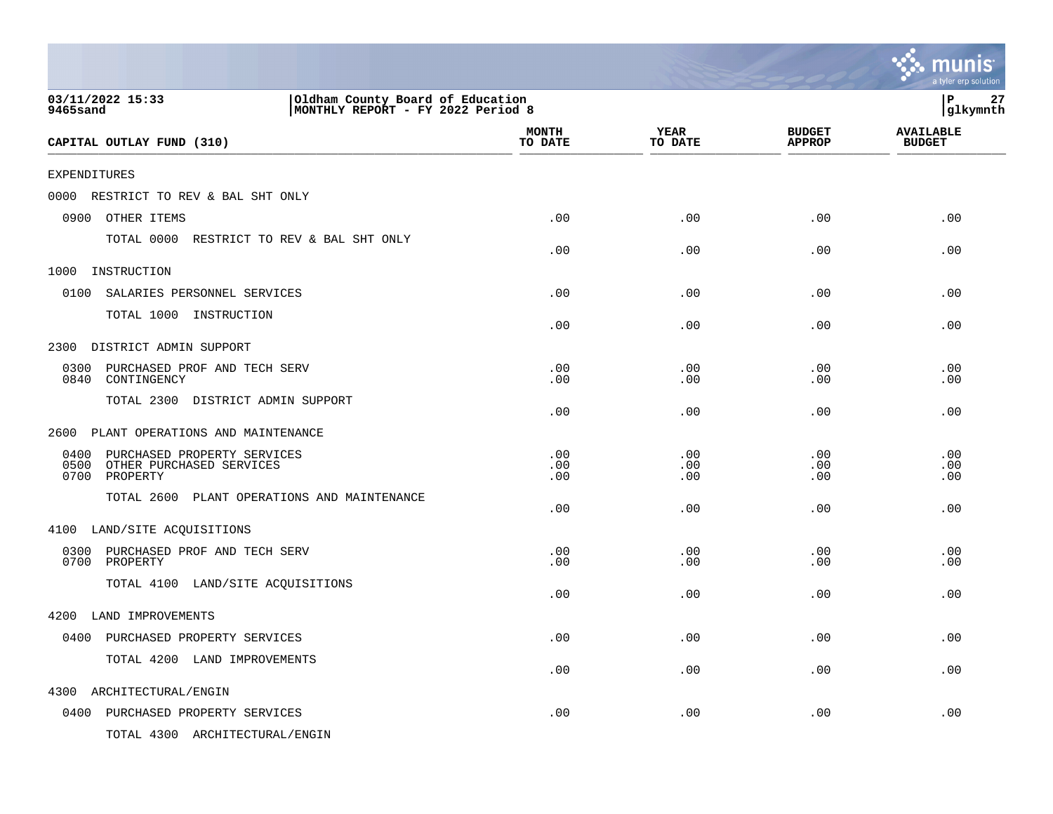|                                                                                                       |                         |                        |                                | munis<br>a tyler erp solution     |
|-------------------------------------------------------------------------------------------------------|-------------------------|------------------------|--------------------------------|-----------------------------------|
| 03/11/2022 15:33<br>Oldham County Board of Education<br>MONTHLY REPORT - FY 2022 Period 8<br>9465sand |                         |                        |                                | 27<br>P<br> glkymnth              |
| CAPITAL OUTLAY FUND (310)                                                                             | <b>MONTH</b><br>TO DATE | <b>YEAR</b><br>TO DATE | <b>BUDGET</b><br><b>APPROP</b> | <b>AVAILABLE</b><br><b>BUDGET</b> |
| <b>EXPENDITURES</b>                                                                                   |                         |                        |                                |                                   |
| 0000<br>RESTRICT TO REV & BAL SHT ONLY                                                                |                         |                        |                                |                                   |
| 0900<br>OTHER ITEMS                                                                                   | .00                     | .00                    | .00                            | .00                               |
| TOTAL 0000 RESTRICT TO REV & BAL SHT ONLY                                                             | .00                     | .00                    | .00                            | .00                               |
| 1000<br>INSTRUCTION                                                                                   |                         |                        |                                |                                   |
| 0100<br>SALARIES PERSONNEL SERVICES                                                                   | .00                     | .00                    | .00                            | .00                               |
| TOTAL 1000 INSTRUCTION                                                                                | .00                     | .00                    | .00                            | .00                               |
| DISTRICT ADMIN SUPPORT<br>2300                                                                        |                         |                        |                                |                                   |
| 0300<br>PURCHASED PROF AND TECH SERV<br>0840<br>CONTINGENCY                                           | .00<br>.00              | .00<br>.00             | .00<br>.00                     | .00<br>.00                        |
| TOTAL 2300 DISTRICT ADMIN SUPPORT                                                                     | .00                     | .00                    | .00                            | .00                               |
| PLANT OPERATIONS AND MAINTENANCE<br>2600                                                              |                         |                        |                                |                                   |
| 0400<br>PURCHASED PROPERTY SERVICES<br>0500<br>OTHER PURCHASED SERVICES<br>0700<br>PROPERTY           | .00<br>.00<br>.00       | .00<br>.00<br>.00      | .00<br>.00<br>.00              | .00<br>.00<br>.00                 |
| TOTAL 2600 PLANT OPERATIONS AND MAINTENANCE                                                           | .00                     | .00                    | .00                            | .00                               |
| 4100 LAND/SITE ACQUISITIONS                                                                           |                         |                        |                                |                                   |
| 0300<br>PURCHASED PROF AND TECH SERV<br>0700<br>PROPERTY                                              | .00<br>.00              | .00<br>.00             | .00<br>.00                     | .00<br>.00                        |
| TOTAL 4100 LAND/SITE ACQUISITIONS                                                                     | .00                     | .00                    | .00                            | .00                               |
| 4200 LAND IMPROVEMENTS                                                                                |                         |                        |                                |                                   |
| 0400 PURCHASED PROPERTY SERVICES                                                                      | .00                     | .00                    | .00                            | .00                               |
| TOTAL 4200 LAND IMPROVEMENTS                                                                          | .00                     | .00                    | .00                            | .00                               |
| 4300<br>ARCHITECTURAL/ENGIN                                                                           |                         |                        |                                |                                   |
| 0400 PURCHASED PROPERTY SERVICES                                                                      | .00                     | .00                    | .00                            | .00                               |
| TOTAL 4300 ARCHITECTURAL/ENGIN                                                                        |                         |                        |                                |                                   |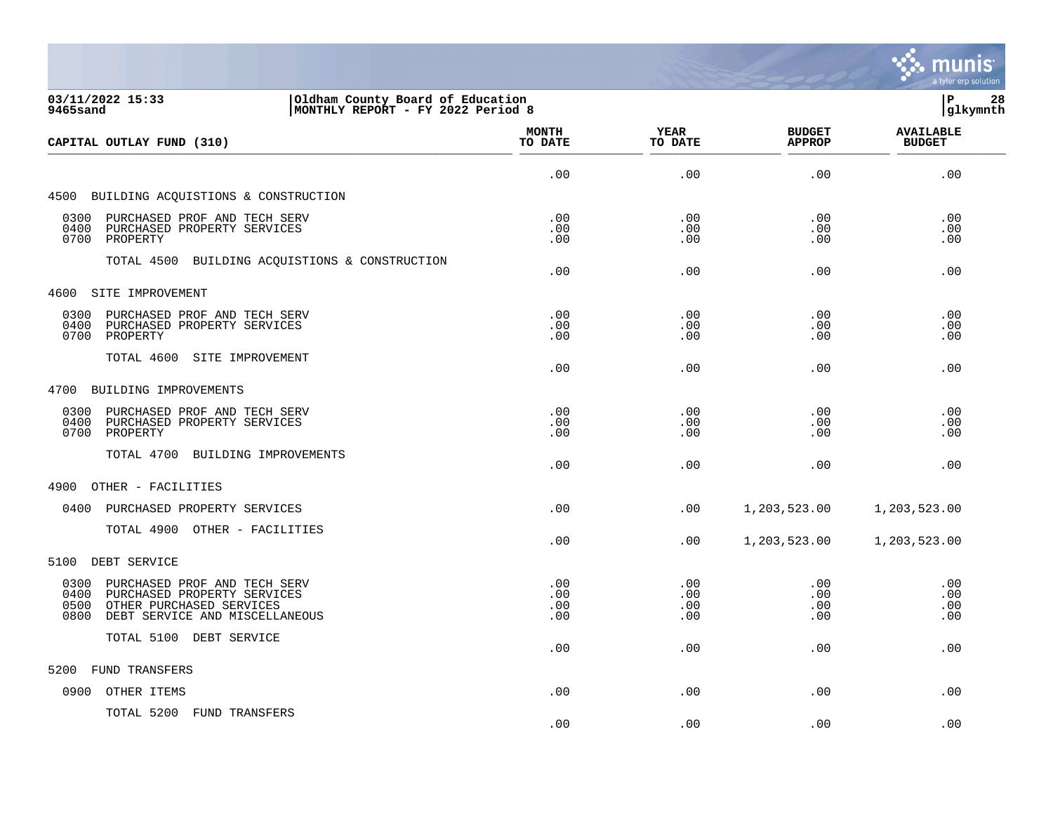

| 03/11/2022 15:33<br>Oldham County Board of Education<br>MONTHLY REPORT - FY 2022 Period 8<br>9465sand                                                     |                          |                          | lР<br>28<br> glkymnth          |                                   |
|-----------------------------------------------------------------------------------------------------------------------------------------------------------|--------------------------|--------------------------|--------------------------------|-----------------------------------|
| CAPITAL OUTLAY FUND (310)                                                                                                                                 | <b>MONTH</b><br>TO DATE  | <b>YEAR</b><br>TO DATE   | <b>BUDGET</b><br><b>APPROP</b> | <b>AVAILABLE</b><br><b>BUDGET</b> |
|                                                                                                                                                           | .00                      | .00                      | .00                            | .00                               |
| 4500 BUILDING ACQUISTIONS & CONSTRUCTION                                                                                                                  |                          |                          |                                |                                   |
| 0300<br>PURCHASED PROF AND TECH SERV<br>PURCHASED PROPERTY SERVICES<br>0400<br>0700<br>PROPERTY                                                           | .00<br>.00<br>.00        | .00<br>.00<br>.00        | .00<br>.00<br>.00              | .00<br>.00<br>.00                 |
| TOTAL 4500 BUILDING ACQUISTIONS & CONSTRUCTION                                                                                                            | .00                      | .00                      | .00                            | .00                               |
| 4600<br>SITE IMPROVEMENT                                                                                                                                  |                          |                          |                                |                                   |
| 0300<br>PURCHASED PROF AND TECH SERV<br>0400<br>PURCHASED PROPERTY SERVICES<br>0700<br>PROPERTY                                                           | .00<br>.00<br>.00        | .00<br>.00<br>.00        | .00<br>.00<br>.00              | .00<br>.00<br>.00                 |
| TOTAL 4600<br>SITE IMPROVEMENT                                                                                                                            | .00                      | .00                      | .00                            | .00                               |
| 4700<br>BUILDING IMPROVEMENTS                                                                                                                             |                          |                          |                                |                                   |
| 0300<br>PURCHASED PROF AND TECH SERV<br>0400<br>PURCHASED PROPERTY SERVICES<br>0700<br>PROPERTY                                                           | .00<br>.00<br>.00        | .00<br>.00<br>.00        | .00<br>.00<br>.00              | .00<br>.00<br>.00                 |
| TOTAL 4700 BUILDING IMPROVEMENTS                                                                                                                          | .00                      | .00                      | .00                            | .00                               |
| 4900<br>OTHER - FACILITIES                                                                                                                                |                          |                          |                                |                                   |
| 0400<br>PURCHASED PROPERTY SERVICES                                                                                                                       | .00                      | .00                      | 1,203,523.00                   | 1,203,523.00                      |
| TOTAL 4900 OTHER - FACILITIES                                                                                                                             | .00                      | .00                      | 1,203,523.00                   | 1,203,523.00                      |
| 5100<br>DEBT SERVICE                                                                                                                                      |                          |                          |                                |                                   |
| 0300<br>PURCHASED PROF AND TECH SERV<br>0400<br>PURCHASED PROPERTY SERVICES<br>0500<br>OTHER PURCHASED SERVICES<br>0800<br>DEBT SERVICE AND MISCELLANEOUS | .00<br>.00<br>.00<br>.00 | .00<br>.00<br>.00<br>.00 | .00<br>.00<br>.00<br>.00       | .00<br>.00<br>.00<br>.00          |
| TOTAL 5100 DEBT SERVICE                                                                                                                                   | .00                      | .00                      | .00                            | .00                               |
| <b>FUND TRANSFERS</b><br>5200                                                                                                                             |                          |                          |                                |                                   |
| OTHER ITEMS<br>0900                                                                                                                                       | .00                      | .00                      | .00                            | .00                               |
| TOTAL 5200 FUND TRANSFERS                                                                                                                                 | .00                      | .00                      | .00                            | .00                               |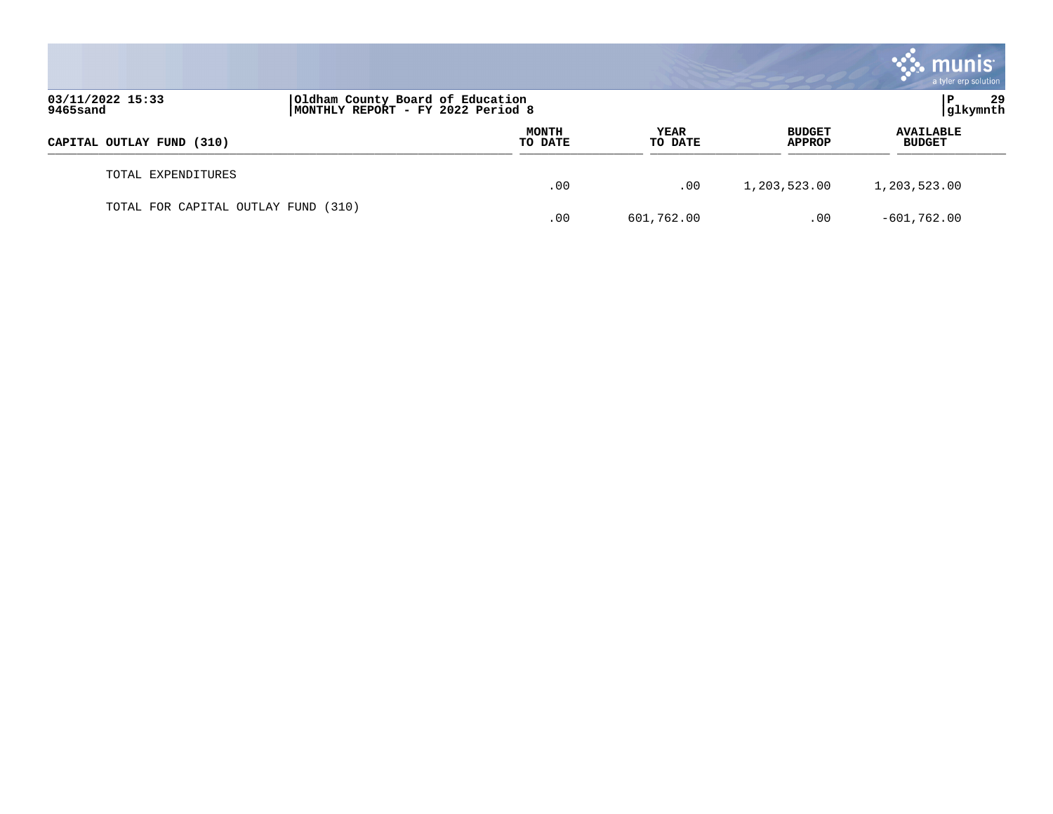|                                     |                                                                       |                         |                        |                                | munis <sup>®</sup><br>a tyler erp solution |
|-------------------------------------|-----------------------------------------------------------------------|-------------------------|------------------------|--------------------------------|--------------------------------------------|
| 03/11/2022 15:33<br>9465sand        | Oldham County Board of Education<br>MONTHLY REPORT - FY 2022 Period 8 |                         |                        | 29<br> glkymnth                |                                            |
| CAPITAL OUTLAY FUND (310)           |                                                                       | <b>MONTH</b><br>TO DATE | <b>YEAR</b><br>TO DATE | <b>BUDGET</b><br><b>APPROP</b> | <b>AVAILABLE</b><br><b>BUDGET</b>          |
| TOTAL EXPENDITURES                  |                                                                       | .00                     | .00                    | 1,203,523.00                   | 1,203,523.00                               |
| TOTAL FOR CAPITAL OUTLAY FUND (310) |                                                                       | .00                     | 601,762.00             | .00                            | $-601,762.00$                              |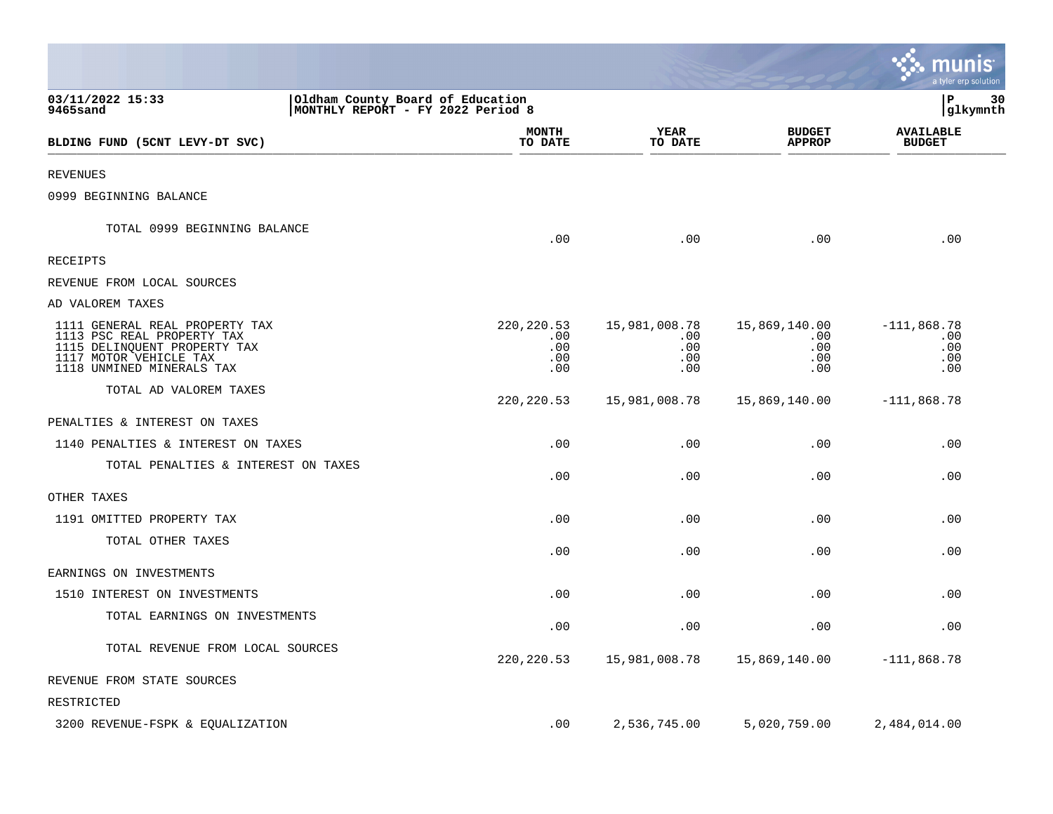|                                                                                                                                                     |                                                                       |                                         |                                           |                                           | munis<br>a tyler erp solution             |
|-----------------------------------------------------------------------------------------------------------------------------------------------------|-----------------------------------------------------------------------|-----------------------------------------|-------------------------------------------|-------------------------------------------|-------------------------------------------|
| 03/11/2022 15:33<br>9465sand                                                                                                                        | Oldham County Board of Education<br>MONTHLY REPORT - FY 2022 Period 8 |                                         |                                           |                                           | lР<br>30<br> glkymnth                     |
| BLDING FUND (5CNT LEVY-DT SVC)                                                                                                                      |                                                                       | <b>MONTH</b><br>TO DATE                 | YEAR<br>TO DATE                           | <b>BUDGET</b><br><b>APPROP</b>            | <b>AVAILABLE</b><br><b>BUDGET</b>         |
| REVENUES                                                                                                                                            |                                                                       |                                         |                                           |                                           |                                           |
| 0999 BEGINNING BALANCE                                                                                                                              |                                                                       |                                         |                                           |                                           |                                           |
| TOTAL 0999 BEGINNING BALANCE                                                                                                                        |                                                                       | .00                                     | .00                                       | .00                                       | .00                                       |
| RECEIPTS                                                                                                                                            |                                                                       |                                         |                                           |                                           |                                           |
| REVENUE FROM LOCAL SOURCES                                                                                                                          |                                                                       |                                         |                                           |                                           |                                           |
| AD VALOREM TAXES                                                                                                                                    |                                                                       |                                         |                                           |                                           |                                           |
| 1111 GENERAL REAL PROPERTY TAX<br>1113 PSC REAL PROPERTY TAX<br>1115 DELINQUENT PROPERTY TAX<br>1117 MOTOR VEHICLE TAX<br>1118 UNMINED MINERALS TAX |                                                                       | 220, 220.53<br>.00<br>.00<br>.00<br>.00 | 15,981,008.78<br>.00<br>.00<br>.00<br>.00 | 15,869,140.00<br>.00<br>.00<br>.00<br>.00 | $-111,868.78$<br>.00<br>.00<br>.00<br>.00 |
| TOTAL AD VALOREM TAXES                                                                                                                              |                                                                       | 220, 220.53                             | 15,981,008.78                             | 15,869,140.00                             | $-111,868.78$                             |
| PENALTIES & INTEREST ON TAXES                                                                                                                       |                                                                       |                                         |                                           |                                           |                                           |
| 1140 PENALTIES & INTEREST ON TAXES                                                                                                                  |                                                                       | .00                                     | .00                                       | .00                                       | .00                                       |
| TOTAL PENALTIES & INTEREST ON TAXES                                                                                                                 |                                                                       | .00                                     | .00                                       | .00                                       | .00                                       |
| OTHER TAXES                                                                                                                                         |                                                                       |                                         |                                           |                                           |                                           |
| 1191 OMITTED PROPERTY TAX                                                                                                                           |                                                                       | .00                                     | .00                                       | .00                                       | .00                                       |
| TOTAL OTHER TAXES                                                                                                                                   |                                                                       | .00                                     | .00                                       | .00                                       | .00                                       |
| EARNINGS ON INVESTMENTS                                                                                                                             |                                                                       |                                         |                                           |                                           |                                           |
| 1510 INTEREST ON INVESTMENTS                                                                                                                        |                                                                       | .00                                     | .00                                       | .00                                       | .00                                       |
| TOTAL EARNINGS ON INVESTMENTS                                                                                                                       |                                                                       | .00                                     | .00                                       | .00                                       | .00                                       |
| TOTAL REVENUE FROM LOCAL SOURCES                                                                                                                    |                                                                       | 220, 220.53                             | 15,981,008.78                             | 15,869,140.00                             | $-111,868.78$                             |
| REVENUE FROM STATE SOURCES                                                                                                                          |                                                                       |                                         |                                           |                                           |                                           |
| RESTRICTED                                                                                                                                          |                                                                       |                                         |                                           |                                           |                                           |
| 3200 REVENUE-FSPK & EQUALIZATION                                                                                                                    |                                                                       | .00                                     | 2,536,745.00                              | 5,020,759.00                              | 2,484,014.00                              |

**Tara**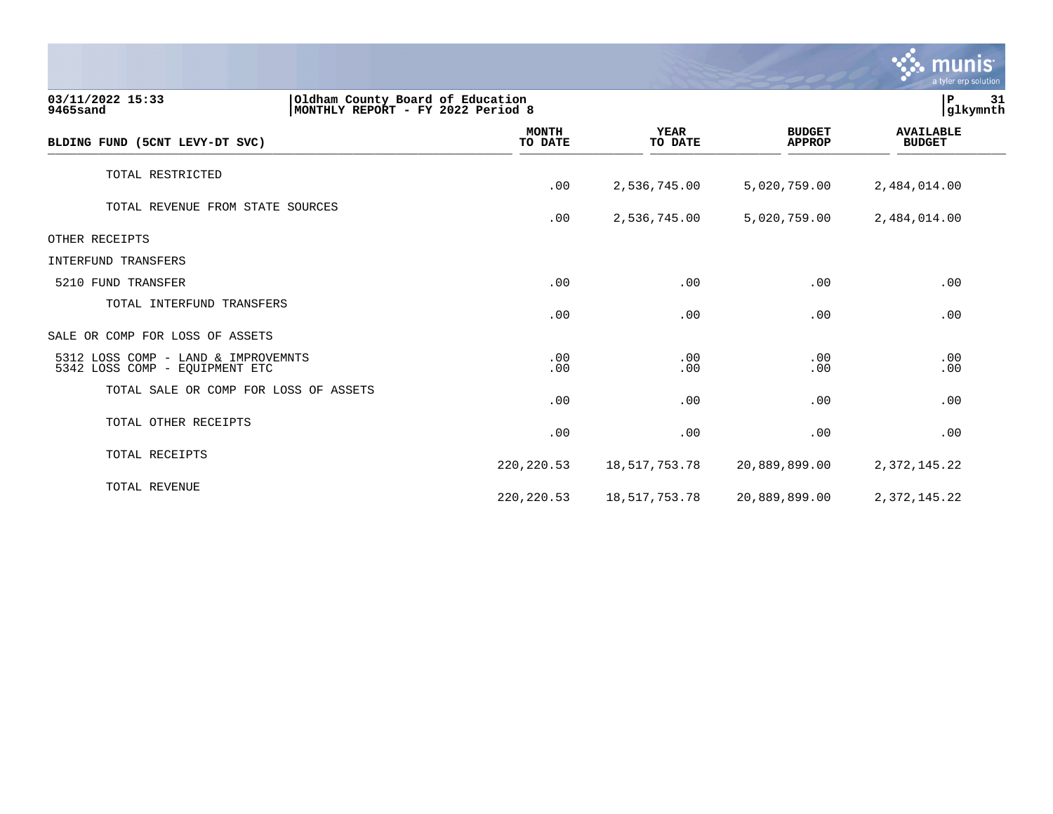|                                                                       |                                                                       |                        |                                | munis<br>a tyler erp solution     |  |
|-----------------------------------------------------------------------|-----------------------------------------------------------------------|------------------------|--------------------------------|-----------------------------------|--|
| 03/11/2022 15:33<br>9465sand                                          | Oldham County Board of Education<br>MONTHLY REPORT - FY 2022 Period 8 |                        |                                | P<br>31<br>glkymnth               |  |
| BLDING FUND (5CNT LEVY-DT SVC)                                        | <b>MONTH</b><br>TO DATE                                               | <b>YEAR</b><br>TO DATE | <b>BUDGET</b><br><b>APPROP</b> | <b>AVAILABLE</b><br><b>BUDGET</b> |  |
| TOTAL RESTRICTED                                                      | .00                                                                   | 2,536,745.00           | 5,020,759.00                   | 2,484,014.00                      |  |
| TOTAL REVENUE FROM STATE SOURCES                                      | .00                                                                   | 2,536,745.00           | 5,020,759.00                   | 2,484,014.00                      |  |
| OTHER RECEIPTS                                                        |                                                                       |                        |                                |                                   |  |
| INTERFUND TRANSFERS                                                   |                                                                       |                        |                                |                                   |  |
| 5210 FUND TRANSFER                                                    | .00                                                                   | .00                    | .00                            | .00                               |  |
| TOTAL INTERFUND TRANSFERS                                             | .00                                                                   | .00                    | .00                            | .00                               |  |
| SALE OR COMP FOR LOSS OF ASSETS                                       |                                                                       |                        |                                |                                   |  |
| 5312 LOSS COMP - LAND & IMPROVEMNTS<br>5342 LOSS COMP - EQUIPMENT ETC | .00<br>.00                                                            | .00<br>.00             | .00<br>.00                     | .00<br>.00                        |  |
| TOTAL SALE OR COMP FOR LOSS OF ASSETS                                 | .00                                                                   | .00                    | .00                            | .00                               |  |
| TOTAL OTHER RECEIPTS                                                  | .00                                                                   | .00                    | .00                            | .00                               |  |
| TOTAL RECEIPTS                                                        | 220, 220.53                                                           | 18,517,753.78          | 20,889,899.00                  | 2,372,145.22                      |  |
| TOTAL REVENUE                                                         | 220, 220.53                                                           | 18,517,753.78          | 20,889,899.00                  | 2,372,145.22                      |  |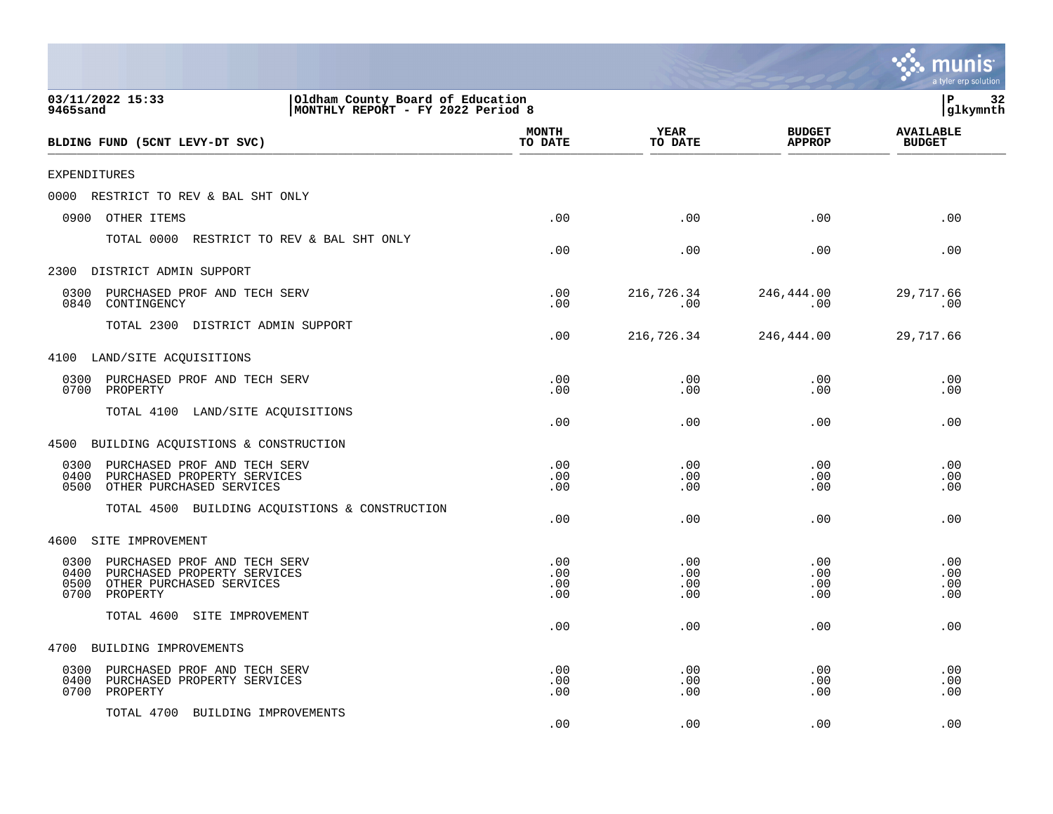|                                                                                                                                     |                                                                       |                          |                          |                                | a tyler erp solution              |
|-------------------------------------------------------------------------------------------------------------------------------------|-----------------------------------------------------------------------|--------------------------|--------------------------|--------------------------------|-----------------------------------|
| 03/11/2022 15:33<br>9465sand                                                                                                        | Oldham County Board of Education<br>MONTHLY REPORT - FY 2022 Period 8 |                          |                          |                                | P<br>32<br>glkymnth               |
| BLDING FUND (5CNT LEVY-DT SVC)                                                                                                      |                                                                       | <b>MONTH</b><br>TO DATE  | YEAR<br>TO DATE          | <b>BUDGET</b><br><b>APPROP</b> | <b>AVAILABLE</b><br><b>BUDGET</b> |
| <b>EXPENDITURES</b>                                                                                                                 |                                                                       |                          |                          |                                |                                   |
| 0000<br>RESTRICT TO REV & BAL SHT ONLY                                                                                              |                                                                       |                          |                          |                                |                                   |
| 0900<br>OTHER ITEMS                                                                                                                 |                                                                       | .00                      | .00                      | .00                            | .00                               |
| TOTAL 0000                                                                                                                          | RESTRICT TO REV & BAL SHT ONLY                                        | .00                      | .00                      | .00                            | .00                               |
| 2300<br>DISTRICT ADMIN SUPPORT                                                                                                      |                                                                       |                          |                          |                                |                                   |
| 0300<br>PURCHASED PROF AND TECH SERV<br>0840<br>CONTINGENCY                                                                         |                                                                       | .00<br>.00               | 216,726.34<br>.00        | 246,444.00<br>.00              | 29,717.66<br>.00                  |
| TOTAL 2300 DISTRICT ADMIN SUPPORT                                                                                                   |                                                                       | .00                      | 216,726.34               | 246,444.00                     | 29,717.66                         |
| 4100 LAND/SITE ACQUISITIONS                                                                                                         |                                                                       |                          |                          |                                |                                   |
| 0300<br>PURCHASED PROF AND TECH SERV<br>0700<br>PROPERTY                                                                            |                                                                       | .00<br>.00               | .00<br>.00               | .00<br>.00                     | .00<br>.00                        |
| TOTAL 4100<br>LAND/SITE ACQUISITIONS                                                                                                |                                                                       | .00                      | .00                      | .00                            | .00                               |
| BUILDING ACQUISTIONS & CONSTRUCTION<br>4500                                                                                         |                                                                       |                          |                          |                                |                                   |
| 0300<br>PURCHASED PROF AND TECH SERV<br>PURCHASED PROPERTY SERVICES<br>0400<br>0500<br>OTHER PURCHASED SERVICES                     |                                                                       | .00<br>.00<br>.00        | .00<br>.00<br>.00        | .00<br>.00<br>.00              | .00<br>.00<br>.00                 |
| TOTAL 4500                                                                                                                          | BUILDING ACQUISTIONS & CONSTRUCTION                                   | .00                      | .00                      | .00                            | .00                               |
| 4600<br>SITE IMPROVEMENT                                                                                                            |                                                                       |                          |                          |                                |                                   |
| 0300<br>PURCHASED PROF AND TECH SERV<br>0400<br>PURCHASED PROPERTY SERVICES<br>0500<br>OTHER PURCHASED SERVICES<br>0700<br>PROPERTY |                                                                       | .00<br>.00<br>.00<br>.00 | .00<br>.00<br>.00<br>.00 | .00<br>.00<br>.00<br>.00       | .00<br>.00<br>.00<br>.00          |
| TOTAL 4600<br>SITE IMPROVEMENT                                                                                                      |                                                                       | .00                      | .00                      | .00                            | .00                               |
| 4700<br>BUILDING IMPROVEMENTS                                                                                                       |                                                                       |                          |                          |                                |                                   |
| PURCHASED PROF AND TECH SERV<br>0300<br>0400<br>PURCHASED PROPERTY SERVICES<br>0700<br>PROPERTY                                     |                                                                       | .00<br>.00<br>.00        | .00<br>.00<br>.00        | .00<br>.00<br>.00              | .00<br>.00<br>.00                 |
| TOTAL 4700<br>BUILDING IMPROVEMENTS                                                                                                 |                                                                       | .00                      | .00                      | .00                            | .00                               |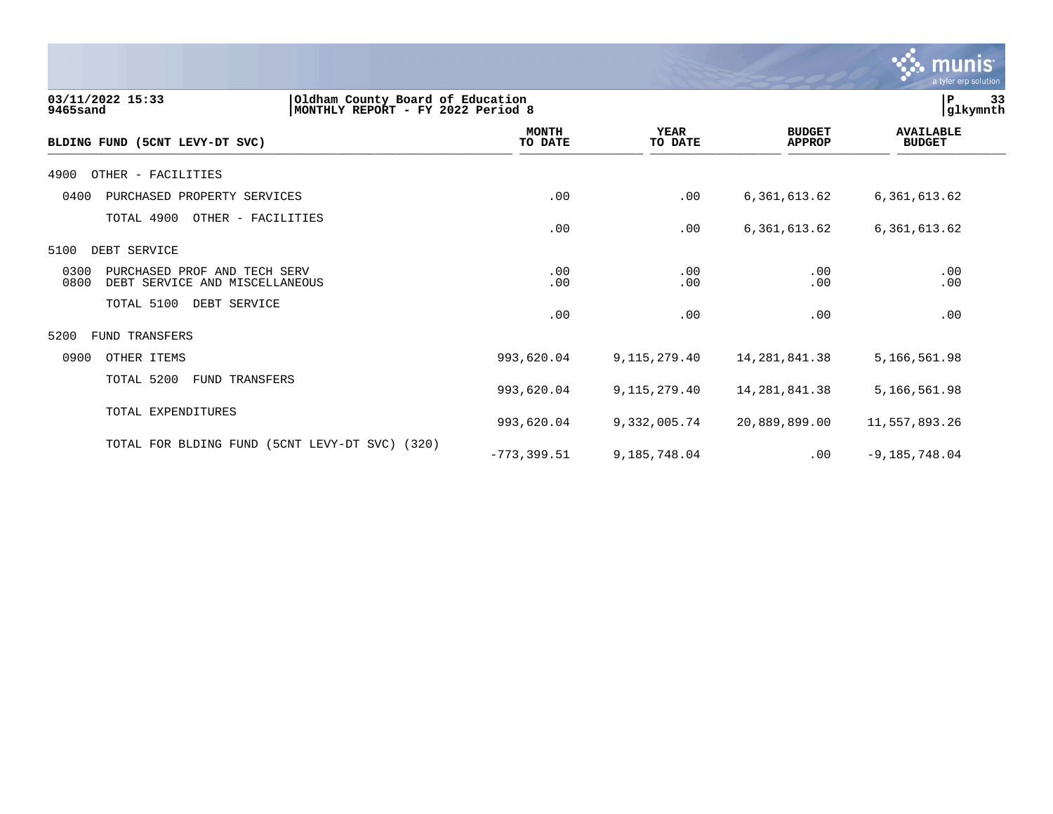|                                                                                                       |                         |                        |                                | <b>munis</b><br>a tyler erp solution |    |
|-------------------------------------------------------------------------------------------------------|-------------------------|------------------------|--------------------------------|--------------------------------------|----|
| Oldham County Board of Education<br>03/11/2022 15:33<br>MONTHLY REPORT - FY 2022 Period 8<br>9465sand |                         |                        |                                | P<br> glkymnth                       | 33 |
| BLDING FUND (5CNT LEVY-DT SVC)                                                                        | <b>MONTH</b><br>TO DATE | <b>YEAR</b><br>TO DATE | <b>BUDGET</b><br><b>APPROP</b> | <b>AVAILABLE</b><br><b>BUDGET</b>    |    |
| OTHER - FACILITIES<br>4900                                                                            |                         |                        |                                |                                      |    |
| 0400<br>PURCHASED PROPERTY SERVICES                                                                   | .00                     | .00                    | 6, 361, 613.62                 | 6,361,613.62                         |    |
| TOTAL 4900<br>OTHER - FACILITIES                                                                      | .00                     | .00                    | 6, 361, 613.62                 | 6,361,613.62                         |    |
| DEBT SERVICE<br>5100                                                                                  |                         |                        |                                |                                      |    |
| 0300<br>PURCHASED PROF AND TECH SERV<br>0800<br>DEBT SERVICE AND MISCELLANEOUS                        | .00<br>.00              | .00<br>.00             | .00<br>.00                     | .00<br>.00                           |    |
| TOTAL 5100<br>DEBT SERVICE                                                                            | .00                     | .00                    | .00                            | .00                                  |    |
| FUND TRANSFERS<br>5200                                                                                |                         |                        |                                |                                      |    |
| 0900<br>OTHER ITEMS                                                                                   | 993,620.04              | 9, 115, 279. 40        | 14, 281, 841.38                | 5,166,561.98                         |    |
| TOTAL 5200<br><b>FUND TRANSFERS</b>                                                                   | 993,620.04              | 9, 115, 279. 40        | 14, 281, 841.38                | 5,166,561.98                         |    |
| TOTAL EXPENDITURES                                                                                    | 993,620.04              | 9,332,005.74           | 20,889,899.00                  | 11,557,893.26                        |    |
| TOTAL FOR BLDING FUND<br>(5CNT LEVY-DT SVC) (320)                                                     | $-773, 399.51$          | 9,185,748.04           | .00                            | $-9,185,748.04$                      |    |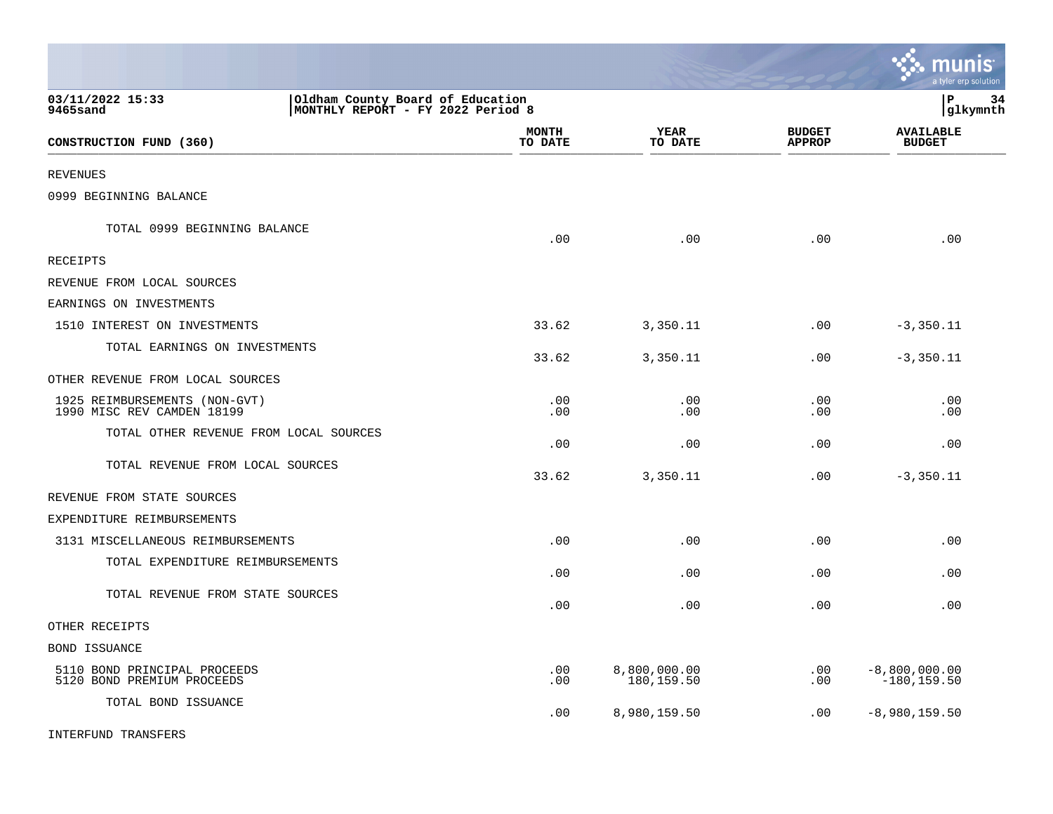|                                                             |                                                                       |                            |                                | <u>munis</u><br>a tyler erp solution |    |
|-------------------------------------------------------------|-----------------------------------------------------------------------|----------------------------|--------------------------------|--------------------------------------|----|
| 03/11/2022 15:33<br>9465sand                                | Oldham County Board of Education<br>MONTHLY REPORT - FY 2022 Period 8 |                            |                                | l P<br> glkymnth                     | 34 |
| CONSTRUCTION FUND (360)                                     | <b>MONTH</b><br>TO DATE                                               | YEAR<br>TO DATE            | <b>BUDGET</b><br><b>APPROP</b> | <b>AVAILABLE</b><br><b>BUDGET</b>    |    |
| <b>REVENUES</b>                                             |                                                                       |                            |                                |                                      |    |
| 0999 BEGINNING BALANCE                                      |                                                                       |                            |                                |                                      |    |
| TOTAL 0999 BEGINNING BALANCE                                | .00                                                                   | .00                        | .00                            | .00                                  |    |
| RECEIPTS                                                    |                                                                       |                            |                                |                                      |    |
| REVENUE FROM LOCAL SOURCES                                  |                                                                       |                            |                                |                                      |    |
| EARNINGS ON INVESTMENTS                                     |                                                                       |                            |                                |                                      |    |
| 1510 INTEREST ON INVESTMENTS                                | 33.62                                                                 | 3,350.11                   | .00                            | $-3,350.11$                          |    |
| TOTAL EARNINGS ON INVESTMENTS                               | 33.62                                                                 | 3,350.11                   | .00                            | $-3, 350.11$                         |    |
| OTHER REVENUE FROM LOCAL SOURCES                            |                                                                       |                            |                                |                                      |    |
| 1925 REIMBURSEMENTS (NON-GVT)<br>1990 MISC REV CAMDEN 18199 | .00<br>.00                                                            | .00<br>.00                 | .00<br>.00                     | .00<br>.00                           |    |
| TOTAL OTHER REVENUE FROM LOCAL SOURCES                      | .00                                                                   | .00                        | .00                            | .00                                  |    |
| TOTAL REVENUE FROM LOCAL SOURCES                            | 33.62                                                                 | 3,350.11                   | .00                            | $-3, 350.11$                         |    |
| REVENUE FROM STATE SOURCES                                  |                                                                       |                            |                                |                                      |    |
| EXPENDITURE REIMBURSEMENTS                                  |                                                                       |                            |                                |                                      |    |
| 3131 MISCELLANEOUS REIMBURSEMENTS                           | .00                                                                   | .00                        | .00                            | .00                                  |    |
| TOTAL EXPENDITURE REIMBURSEMENTS                            | .00                                                                   | .00                        | .00                            | .00                                  |    |
| TOTAL REVENUE FROM STATE SOURCES                            | .00                                                                   | .00                        | .00                            | .00                                  |    |
| OTHER RECEIPTS                                              |                                                                       |                            |                                |                                      |    |
| <b>BOND ISSUANCE</b>                                        |                                                                       |                            |                                |                                      |    |
| 5110 BOND PRINCIPAL PROCEEDS<br>5120 BOND PREMIUM PROCEEDS  | .00<br>.00                                                            | 8,800,000.00<br>180,159.50 | .00<br>.00                     | $-8,800,000.00$<br>$-180, 159.50$    |    |
| TOTAL BOND ISSUANCE                                         | .00                                                                   | 8,980,159.50               | $.00 \,$                       | $-8,980,159.50$                      |    |
| INTERFUND TRANSFERS                                         |                                                                       |                            |                                |                                      |    |

 $\mathcal{L}$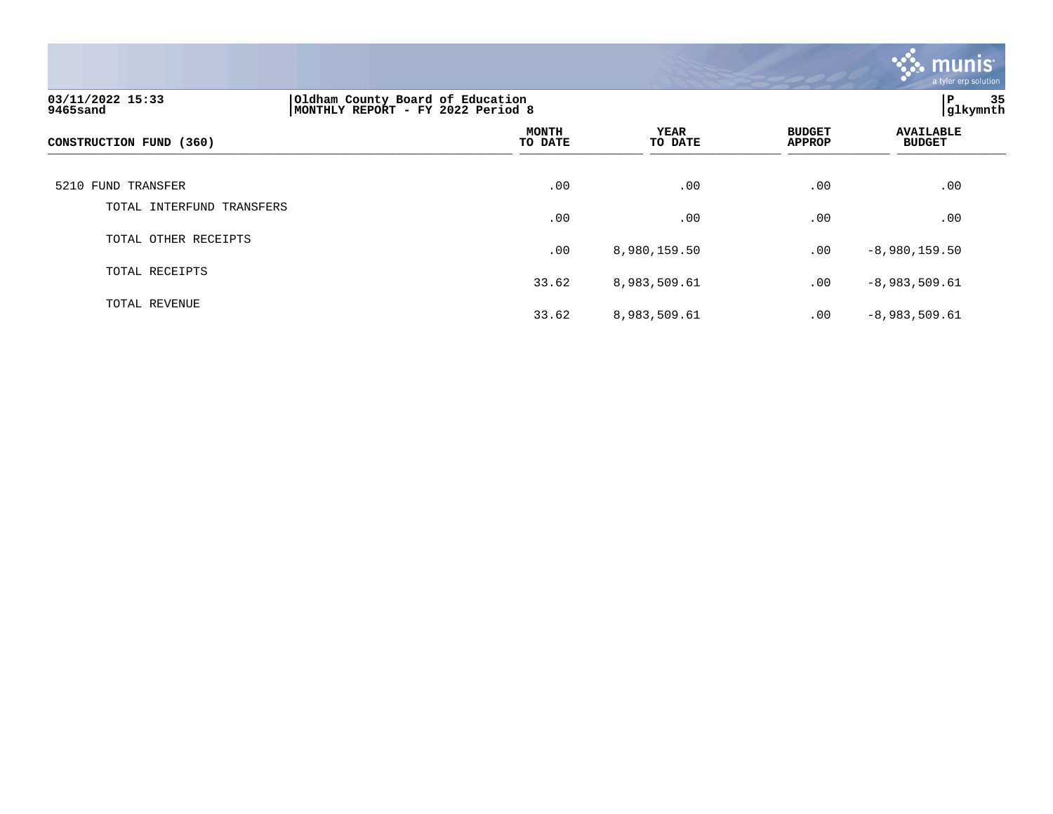

| 03/11/2022 15:33<br>9465sand | Oldham County Board of Education<br>MONTHLY REPORT - FY 2022 Period 8 | 35<br>P<br> glkymnth   |                                |                                   |
|------------------------------|-----------------------------------------------------------------------|------------------------|--------------------------------|-----------------------------------|
| CONSTRUCTION FUND (360)      | <b>MONTH</b><br>TO DATE                                               | <b>YEAR</b><br>TO DATE | <b>BUDGET</b><br><b>APPROP</b> | <b>AVAILABLE</b><br><b>BUDGET</b> |
| 5210 FUND TRANSFER           | .00                                                                   | .00                    | .00                            | .00                               |
| TOTAL INTERFUND TRANSFERS    | .00                                                                   | .00                    | .00                            | .00                               |
| TOTAL OTHER RECEIPTS         | .00                                                                   | 8,980,159.50           | .00                            | $-8,980,159.50$                   |
| TOTAL RECEIPTS               | 33.62                                                                 | 8,983,509.61           | .00                            | $-8,983,509.61$                   |
| TOTAL REVENUE                | 33.62                                                                 | 8,983,509.61           | .00                            | $-8,983,509.61$                   |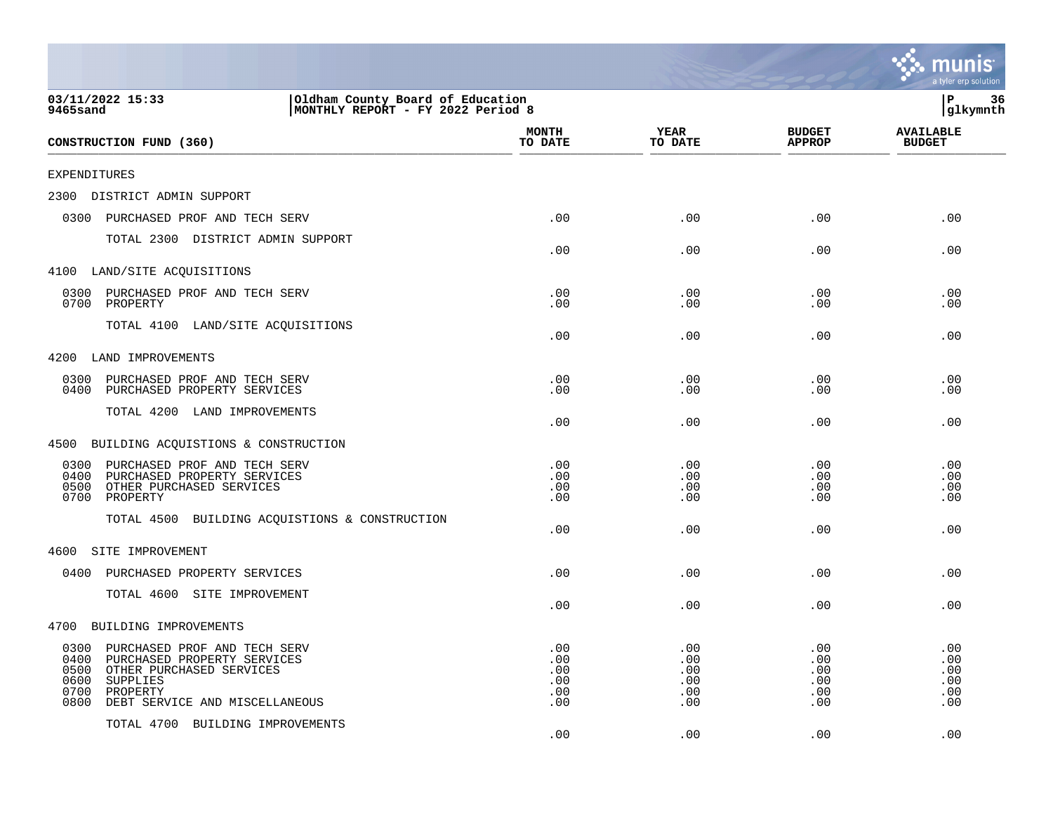|                                                                                                                                                                                                   |                                        |                                        |                                        | mu<br>a tyler erp solution             |
|---------------------------------------------------------------------------------------------------------------------------------------------------------------------------------------------------|----------------------------------------|----------------------------------------|----------------------------------------|----------------------------------------|
| 03/11/2022 15:33<br>Oldham County Board of Education<br>MONTHLY REPORT - FY 2022 Period 8<br>9465sand                                                                                             |                                        |                                        |                                        | ΙP<br>36<br>glkymnth                   |
| CONSTRUCTION FUND (360)                                                                                                                                                                           | <b>MONTH</b><br>TO DATE                | <b>YEAR</b><br>TO DATE                 | <b>BUDGET</b><br><b>APPROP</b>         | <b>AVAILABLE</b><br><b>BUDGET</b>      |
| <b>EXPENDITURES</b>                                                                                                                                                                               |                                        |                                        |                                        |                                        |
| 2300<br>DISTRICT ADMIN SUPPORT                                                                                                                                                                    |                                        |                                        |                                        |                                        |
| 0300<br>PURCHASED PROF AND TECH SERV                                                                                                                                                              | .00                                    | .00                                    | .00                                    | .00                                    |
| TOTAL 2300 DISTRICT ADMIN SUPPORT                                                                                                                                                                 | .00                                    | .00                                    | .00                                    | .00                                    |
| 4100 LAND/SITE ACQUISITIONS                                                                                                                                                                       |                                        |                                        |                                        |                                        |
| 0300<br>PURCHASED PROF AND TECH SERV<br>0700<br>PROPERTY                                                                                                                                          | .00<br>.00                             | .00<br>.00                             | .00<br>.00                             | .00<br>.00                             |
| TOTAL 4100 LAND/SITE ACQUISITIONS                                                                                                                                                                 | .00                                    | .00                                    | .00                                    | .00                                    |
| 4200<br>LAND IMPROVEMENTS                                                                                                                                                                         |                                        |                                        |                                        |                                        |
| 0300<br>PURCHASED PROF AND TECH SERV<br>0400<br>PURCHASED PROPERTY SERVICES                                                                                                                       | .00<br>.00                             | .00<br>.00                             | .00<br>.00                             | .00<br>.00                             |
| TOTAL 4200 LAND IMPROVEMENTS                                                                                                                                                                      | .00                                    | .00                                    | .00                                    | .00                                    |
| 4500<br>BUILDING ACQUISTIONS & CONSTRUCTION                                                                                                                                                       |                                        |                                        |                                        |                                        |
| 0300<br>PURCHASED PROF AND TECH SERV<br>0400<br>PURCHASED PROPERTY SERVICES<br>0500<br>OTHER PURCHASED SERVICES<br>0700<br>PROPERTY<br>TOTAL 4500<br>BUILDING ACQUISTIONS & CONSTRUCTION          | .00<br>.00<br>.00<br>.00<br>.00        | .00<br>.00<br>.00<br>.00<br>.00        | .00<br>.00<br>.00<br>.00<br>.00        | .00<br>.00<br>.00<br>.00<br>.00        |
| SITE IMPROVEMENT<br>4600                                                                                                                                                                          |                                        |                                        |                                        |                                        |
| 0400<br>PURCHASED PROPERTY SERVICES                                                                                                                                                               | .00                                    | .00                                    | .00                                    | .00                                    |
| TOTAL 4600 SITE IMPROVEMENT                                                                                                                                                                       | .00                                    | .00                                    | .00                                    | .00                                    |
| 4700<br>BUILDING IMPROVEMENTS                                                                                                                                                                     |                                        |                                        |                                        |                                        |
| 0300<br>PURCHASED PROF AND TECH SERV<br>0400<br>PURCHASED PROPERTY SERVICES<br>0500<br>OTHER PURCHASED SERVICES<br>0600<br>SUPPLIES<br>0700<br>PROPERTY<br>0800<br>DEBT SERVICE AND MISCELLANEOUS | .00<br>.00<br>.00<br>.00<br>.00<br>.00 | .00<br>.00<br>.00<br>.00<br>.00<br>.00 | .00<br>.00<br>.00<br>.00<br>.00<br>.00 | .00<br>.00<br>.00<br>.00<br>.00<br>.00 |
| TOTAL 4700 BUILDING IMPROVEMENTS                                                                                                                                                                  | .00                                    | .00                                    | .00                                    | .00                                    |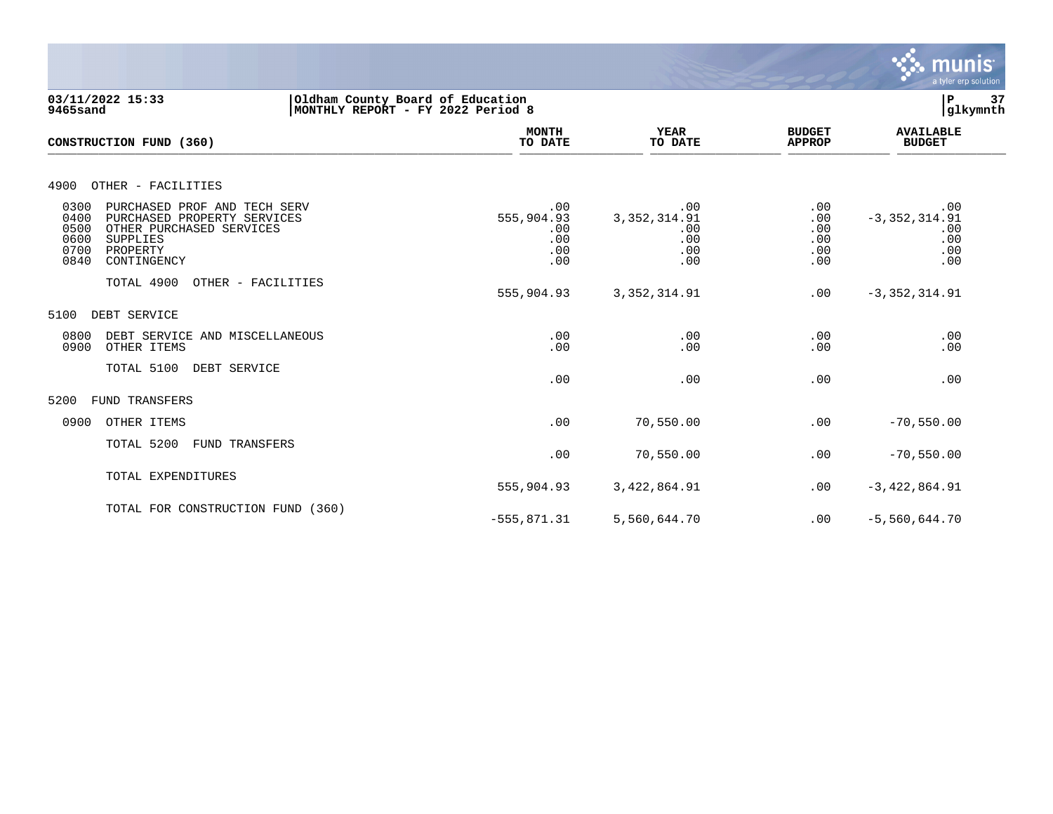

**03/11/2022 15:33 |Oldham County Board of Education |P 37**  $MONTHLY$  REPORT - FY 2022 Period 8  **MONTH AVAILABLE YEAR BUDGET** AVAILABLE **CONSTRUCTION FUND (360) TO DATE TO DATE APPROP BUDGET**  \_\_\_\_\_\_\_\_\_\_\_\_\_\_\_\_\_\_\_\_\_\_\_\_\_\_\_\_\_\_\_\_\_\_\_\_\_\_\_\_\_\_\_\_\_\_\_\_\_\_\_\_\_\_\_\_\_\_\_\_\_\_\_\_ \_\_\_\_\_\_\_\_\_\_\_\_\_\_\_\_\_ \_\_\_\_\_\_\_\_\_\_\_\_\_\_\_\_\_\_ \_\_\_\_\_\_\_\_\_\_\_\_\_\_ \_\_\_\_\_\_\_\_\_\_\_\_\_\_\_ 4900 OTHER - FACILITIES 0300 PURCHASED PROF AND TECH SERV .00 .00 .00 .00 0400 PURCHASED PROPERTY SERVICES 555,904.93 3,352,314.91 .00 -3,352,314.91 0500 OTHER PURCHASED SERVICES .00 .00 .00 .00 0600 SUPPLIES .00 .00 .00 .00 0700 PROPERTY .00 .00 .00 .00 0840 CONTINGENCY .00 .00 .00 .00 TOTAL 4900 OTHER - FACILITIES 555,904.93 3,352,314.91 .00 -3,352,314.91 5100 DEBT SERVICE 0800 DEBT SERVICE AND MISCELLANEOUS .00 .00 .00 .00 0900 OTHER ITEMS TOTAL 5100 DEBT SERVICE .00 .00 .00 .00 5200 FUND TRANSFERS 0900 OTHER ITEMS .00 70,550.00 .00 -70,550.00 TOTAL 5200 FUND TRANSFERS  $.00$  70,550.00  $.00$   $-70,550.00$ TOTAL EXPENDITURES 555,904.93 3,422,864.91 .00 -3,422,864.91 TOTAL FOR CONSTRUCTION FUND (360) -555,871.31 5,560,644.70 .00 -5,560,644.70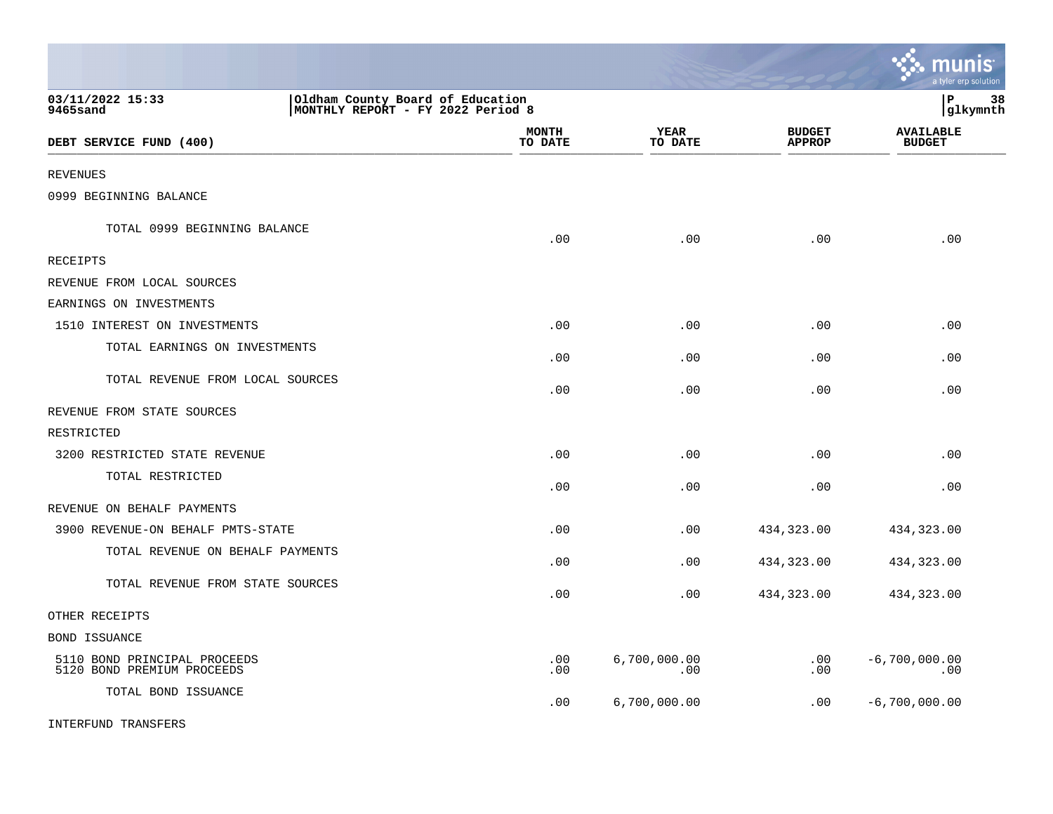|                                                            |                                                                       |                         |                        |                                | munis<br>a tyler erp solution     |    |
|------------------------------------------------------------|-----------------------------------------------------------------------|-------------------------|------------------------|--------------------------------|-----------------------------------|----|
| 03/11/2022 15:33<br>9465sand                               | Oldham County Board of Education<br>MONTHLY REPORT - FY 2022 Period 8 |                         |                        |                                | P<br>glkymnth                     | 38 |
| DEBT SERVICE FUND (400)                                    |                                                                       | <b>MONTH</b><br>TO DATE | <b>YEAR</b><br>TO DATE | <b>BUDGET</b><br><b>APPROP</b> | <b>AVAILABLE</b><br><b>BUDGET</b> |    |
| REVENUES                                                   |                                                                       |                         |                        |                                |                                   |    |
| 0999 BEGINNING BALANCE                                     |                                                                       |                         |                        |                                |                                   |    |
| TOTAL 0999 BEGINNING BALANCE                               |                                                                       | .00                     | .00                    | .00                            | .00                               |    |
| <b>RECEIPTS</b>                                            |                                                                       |                         |                        |                                |                                   |    |
| REVENUE FROM LOCAL SOURCES                                 |                                                                       |                         |                        |                                |                                   |    |
| EARNINGS ON INVESTMENTS                                    |                                                                       |                         |                        |                                |                                   |    |
| 1510 INTEREST ON INVESTMENTS                               |                                                                       | .00                     | .00                    | .00                            | .00                               |    |
| TOTAL EARNINGS ON INVESTMENTS                              |                                                                       | .00                     | .00                    | .00                            | .00                               |    |
| TOTAL REVENUE FROM LOCAL SOURCES                           |                                                                       | .00                     | .00                    | .00                            | .00                               |    |
| REVENUE FROM STATE SOURCES                                 |                                                                       |                         |                        |                                |                                   |    |
| RESTRICTED                                                 |                                                                       |                         |                        |                                |                                   |    |
| 3200 RESTRICTED STATE REVENUE                              |                                                                       | .00                     | .00                    | .00                            | .00                               |    |
| TOTAL RESTRICTED                                           |                                                                       | .00                     | .00                    | .00                            | .00                               |    |
| REVENUE ON BEHALF PAYMENTS                                 |                                                                       |                         |                        |                                |                                   |    |
| 3900 REVENUE-ON BEHALF PMTS-STATE                          |                                                                       | .00                     | .00                    | 434,323.00                     | 434,323.00                        |    |
| TOTAL REVENUE ON BEHALF PAYMENTS                           |                                                                       | .00                     | .00                    | 434,323.00                     | 434,323.00                        |    |
| TOTAL REVENUE FROM STATE SOURCES                           |                                                                       | .00                     | .00                    | 434,323.00                     | 434,323.00                        |    |
| OTHER RECEIPTS                                             |                                                                       |                         |                        |                                |                                   |    |
| BOND ISSUANCE                                              |                                                                       |                         |                        |                                |                                   |    |
| 5110 BOND PRINCIPAL PROCEEDS<br>5120 BOND PREMIUM PROCEEDS |                                                                       | .00<br>.00              | 6,700,000.00<br>.00    | .00<br>.00                     | $-6,700,000.00$<br>.00            |    |
| TOTAL BOND ISSUANCE                                        |                                                                       | .00                     | 6,700,000.00           | .00                            | $-6,700,000.00$                   |    |
| INTERFUND TRANSFERS                                        |                                                                       |                         |                        |                                |                                   |    |

 $\mathcal{L}^{\bullet}$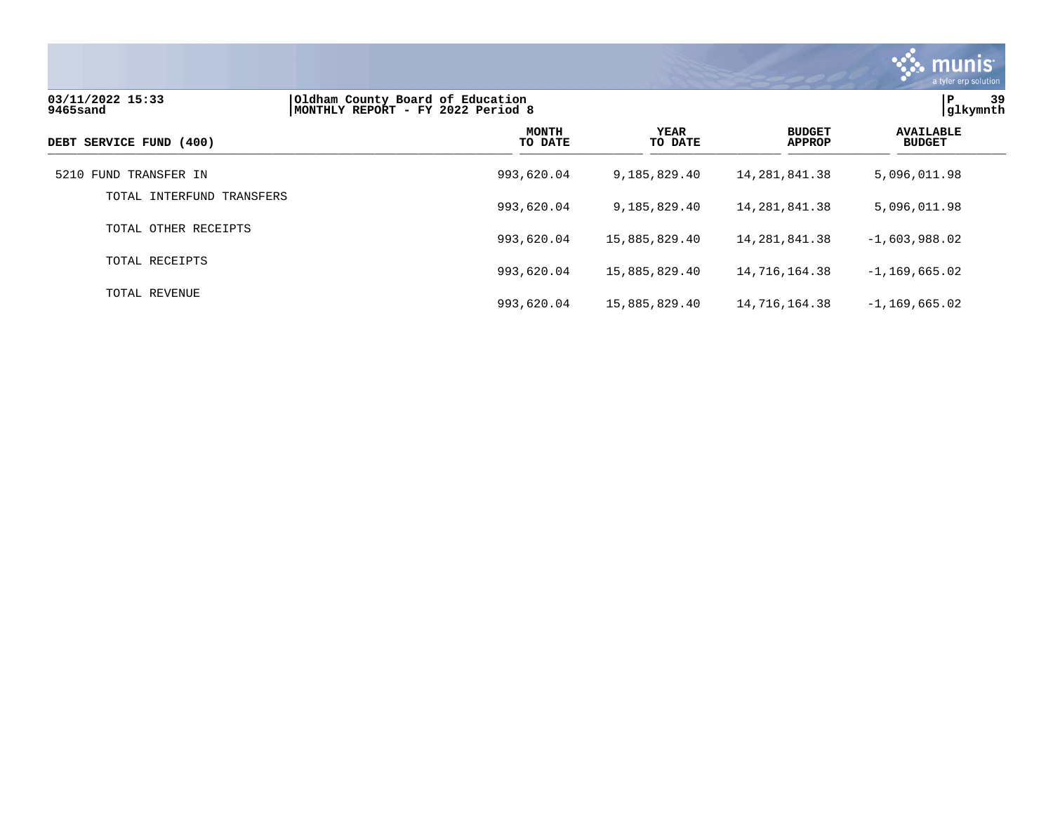

| 03/11/2022 15:33<br>9465sand | Oldham County Board of Education<br>MONTHLY REPORT - FY 2022 Period 8 |  |                        |                  |                                | ΙP<br>39<br> glkymnth             |
|------------------------------|-----------------------------------------------------------------------|--|------------------------|------------------|--------------------------------|-----------------------------------|
| DEBT SERVICE FUND (400)      | <b>MONTH</b><br>TO DATE                                               |  | <b>YEAR</b><br>TO DATE |                  | <b>BUDGET</b><br><b>APPROP</b> | <b>AVAILABLE</b><br><b>BUDGET</b> |
| 5210 FUND TRANSFER IN        | 993,620.04                                                            |  | 9,185,829.40           | 14, 281, 841, 38 |                                | 5,096,011.98                      |
| TOTAL INTERFUND TRANSFERS    | 993,620.04                                                            |  | 9,185,829.40           | 14,281,841.38    |                                | 5,096,011.98                      |
| TOTAL OTHER RECEIPTS         | 993,620.04                                                            |  | 15,885,829.40          | 14,281,841.38    |                                | $-1,603,988.02$                   |
| TOTAL RECEIPTS               | 993,620.04                                                            |  | 15,885,829.40          | 14,716,164.38    |                                | $-1,169,665.02$                   |
| TOTAL REVENUE                | 993,620.04                                                            |  | 15,885,829.40          | 14,716,164.38    |                                | $-1,169,665.02$                   |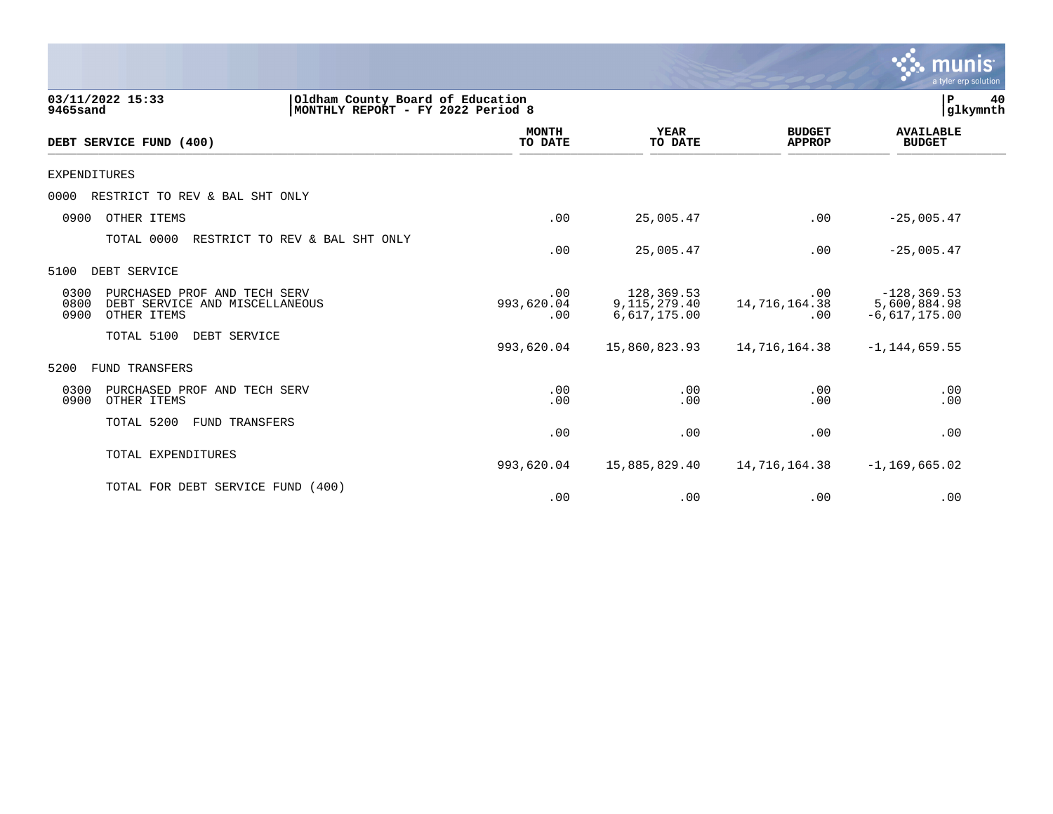|                                                                                                       |                          |                                               |                                | <b>munis</b><br>a tyler erp solution              |
|-------------------------------------------------------------------------------------------------------|--------------------------|-----------------------------------------------|--------------------------------|---------------------------------------------------|
| 03/11/2022 15:33<br>Oldham County Board of Education<br>9465sand<br>MONTHLY REPORT - FY 2022 Period 8 |                          |                                               |                                | 40<br>P<br>glkymnth                               |
| DEBT SERVICE FUND (400)                                                                               | <b>MONTH</b><br>TO DATE  | <b>YEAR</b><br>TO DATE                        | <b>BUDGET</b><br><b>APPROP</b> | <b>AVAILABLE</b><br><b>BUDGET</b>                 |
| <b>EXPENDITURES</b>                                                                                   |                          |                                               |                                |                                                   |
| 0000<br>RESTRICT TO REV & BAL SHT ONLY                                                                |                          |                                               |                                |                                                   |
| 0900<br>OTHER ITEMS                                                                                   | .00                      | 25,005.47                                     | .00                            | $-25,005.47$                                      |
| TOTAL 0000<br>RESTRICT TO REV & BAL SHT ONLY                                                          | .00                      | 25,005.47                                     | .00                            | $-25,005.47$                                      |
| DEBT SERVICE<br>5100                                                                                  |                          |                                               |                                |                                                   |
| 0300<br>PURCHASED PROF AND TECH SERV<br>0800<br>DEBT SERVICE AND MISCELLANEOUS<br>0900<br>OTHER ITEMS | .00<br>993,620.04<br>.00 | 128,369.53<br>9, 115, 279. 40<br>6,617,175.00 | .00<br>14,716,164.38<br>.00    | $-128, 369.53$<br>5,600,884.98<br>$-6,617,175.00$ |
| TOTAL 5100<br>DEBT SERVICE                                                                            | 993,620.04               | 15,860,823.93                                 | 14,716,164.38                  | $-1, 144, 659.55$                                 |
| 5200<br>FUND TRANSFERS                                                                                |                          |                                               |                                |                                                   |
| 0300<br>PURCHASED PROF AND TECH SERV<br>0900<br>OTHER ITEMS                                           | .00<br>.00               | .00<br>.00                                    | .00<br>.00                     | .00<br>.00                                        |
| TOTAL 5200<br>FUND TRANSFERS                                                                          | .00                      | .00                                           | .00                            | .00                                               |
| TOTAL EXPENDITURES                                                                                    | 993,620.04               | 15,885,829.40                                 | 14,716,164.38                  | $-1, 169, 665.02$                                 |
| TOTAL FOR DEBT SERVICE FUND (400)                                                                     | .00                      | .00                                           | .00                            | .00                                               |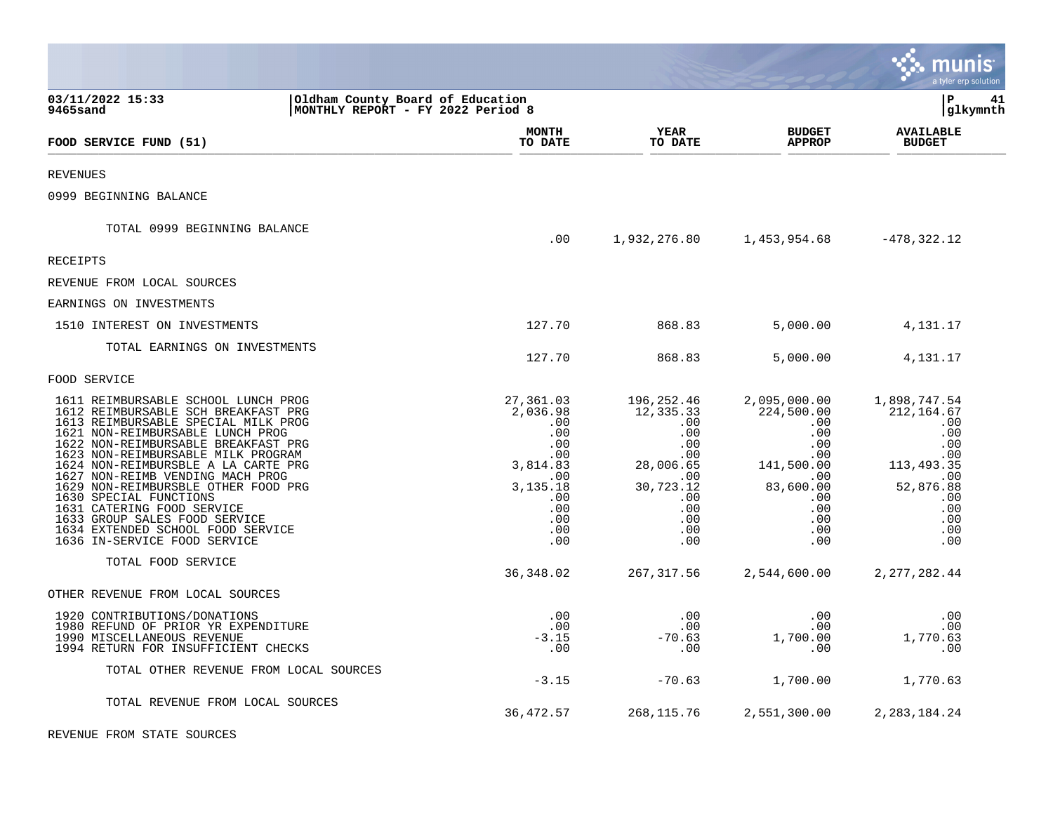|                                                                                                                                                                                                                                                                                                                                                                                                                                                                                    |                                                                                                                   |                                                                                                                       |                                                                                                                                | a tyler erp solution                                                                                                   |
|------------------------------------------------------------------------------------------------------------------------------------------------------------------------------------------------------------------------------------------------------------------------------------------------------------------------------------------------------------------------------------------------------------------------------------------------------------------------------------|-------------------------------------------------------------------------------------------------------------------|-----------------------------------------------------------------------------------------------------------------------|--------------------------------------------------------------------------------------------------------------------------------|------------------------------------------------------------------------------------------------------------------------|
| 03/11/2022 15:33<br>9465sand                                                                                                                                                                                                                                                                                                                                                                                                                                                       | Oldham County Board of Education<br>MONTHLY REPORT - FY 2022 Period 8                                             |                                                                                                                       |                                                                                                                                | l P<br>41<br> glkymnth                                                                                                 |
| FOOD SERVICE FUND (51)                                                                                                                                                                                                                                                                                                                                                                                                                                                             | <b>MONTH</b><br>TO DATE                                                                                           | YEAR<br>TO DATE                                                                                                       | <b>BUDGET</b><br><b>APPROP</b>                                                                                                 | <b>AVAILABLE</b><br><b>BUDGET</b>                                                                                      |
| <b>REVENUES</b>                                                                                                                                                                                                                                                                                                                                                                                                                                                                    |                                                                                                                   |                                                                                                                       |                                                                                                                                |                                                                                                                        |
| 0999 BEGINNING BALANCE                                                                                                                                                                                                                                                                                                                                                                                                                                                             |                                                                                                                   |                                                                                                                       |                                                                                                                                |                                                                                                                        |
| TOTAL 0999 BEGINNING BALANCE                                                                                                                                                                                                                                                                                                                                                                                                                                                       | .00                                                                                                               | 1,932,276.80                                                                                                          | 1,453,954.68                                                                                                                   | $-478, 322.12$                                                                                                         |
| RECEIPTS                                                                                                                                                                                                                                                                                                                                                                                                                                                                           |                                                                                                                   |                                                                                                                       |                                                                                                                                |                                                                                                                        |
| REVENUE FROM LOCAL SOURCES                                                                                                                                                                                                                                                                                                                                                                                                                                                         |                                                                                                                   |                                                                                                                       |                                                                                                                                |                                                                                                                        |
| EARNINGS ON INVESTMENTS                                                                                                                                                                                                                                                                                                                                                                                                                                                            |                                                                                                                   |                                                                                                                       |                                                                                                                                |                                                                                                                        |
| 1510 INTEREST ON INVESTMENTS                                                                                                                                                                                                                                                                                                                                                                                                                                                       | 127.70                                                                                                            | 868.83                                                                                                                | 5,000.00                                                                                                                       | 4,131.17                                                                                                               |
| TOTAL EARNINGS ON INVESTMENTS                                                                                                                                                                                                                                                                                                                                                                                                                                                      | 127.70                                                                                                            | 868.83                                                                                                                | 5,000.00                                                                                                                       | 4,131.17                                                                                                               |
| FOOD SERVICE                                                                                                                                                                                                                                                                                                                                                                                                                                                                       |                                                                                                                   |                                                                                                                       |                                                                                                                                |                                                                                                                        |
| 1611 REIMBURSABLE SCHOOL LUNCH PROG<br>1612 REIMBURSABLE SCH BREAKFAST PRG<br>1613 REIMBURSABLE SPECIAL MILK PROG<br>1621 NON-REIMBURSABLE LUNCH PROG<br>1622 NON-REIMBURSABLE BREAKFAST PRG<br>1623 NON-REIMBURSABLE MILK PROGRAM<br>1624 NON-REIMBURSBLE A LA CARTE PRG<br>1627 NON-REIMB VENDING MACH PROG<br>1629 NON-REIMBURSBLE OTHER FOOD PRG<br>1630 SPECIAL FUNCTIONS<br>1631 CATERING FOOD SERVICE<br>1633 GROUP SALES FOOD SERVICE<br>1634 EXTENDED SCHOOL FOOD SERVICE | 27,361.03<br>2,036.98<br>.00<br>.00<br>.00<br>$.00 \,$<br>3,814.83<br>.00<br>3,135.18<br>.00<br>.00<br>.00<br>.00 | 196,252.46<br>12,335.33<br>.00<br>.00<br>.00<br>$.00 \,$<br>28,006.65<br>.00<br>30,723.12<br>.00<br>.00<br>.00<br>.00 | 2,095,000.00<br>224,500.00<br>.00<br>.00<br>.00<br>$.00 \,$<br>141,500.00<br>.00<br>83,600.00<br>.00<br>.00<br>$.00 \,$<br>.00 | 1,898,747.54<br>212, 164.67<br>.00<br>.00<br>.00<br>.00<br>113, 493.35<br>.00<br>52,876.88<br>.00<br>.00<br>.00<br>.00 |
| 1636 IN-SERVICE FOOD SERVICE                                                                                                                                                                                                                                                                                                                                                                                                                                                       | .00                                                                                                               | .00                                                                                                                   | .00                                                                                                                            | .00                                                                                                                    |
| TOTAL FOOD SERVICE                                                                                                                                                                                                                                                                                                                                                                                                                                                                 | 36, 348.02                                                                                                        | 267, 317.56                                                                                                           | 2,544,600.00                                                                                                                   | 2, 277, 282.44                                                                                                         |
| OTHER REVENUE FROM LOCAL SOURCES                                                                                                                                                                                                                                                                                                                                                                                                                                                   |                                                                                                                   |                                                                                                                       |                                                                                                                                |                                                                                                                        |
| 1920 CONTRIBUTIONS/DONATIONS<br>1980 REFUND OF PRIOR YR EXPENDITURE<br>1990 MISCELLANEOUS REVENUE<br>1994 RETURN FOR INSUFFICIENT CHECKS                                                                                                                                                                                                                                                                                                                                           | .00<br>.00<br>$-3.15$<br>.00                                                                                      | .00<br>.00<br>$-70.63$<br>.00                                                                                         | .00<br>$.00 \,$<br>1,700.00<br>$.00 \,$                                                                                        | .00<br>.00<br>1,770.63<br>.00                                                                                          |
| TOTAL OTHER REVENUE FROM LOCAL SOURCES                                                                                                                                                                                                                                                                                                                                                                                                                                             | $-3.15$                                                                                                           | $-70.63$                                                                                                              | 1,700.00                                                                                                                       | 1,770.63                                                                                                               |
| TOTAL REVENUE FROM LOCAL SOURCES                                                                                                                                                                                                                                                                                                                                                                                                                                                   | 36,472.57                                                                                                         | 268, 115.76                                                                                                           | 2,551,300.00                                                                                                                   | 2, 283, 184. 24                                                                                                        |
| REVENUE FROM STATE SOURCES                                                                                                                                                                                                                                                                                                                                                                                                                                                         |                                                                                                                   |                                                                                                                       |                                                                                                                                |                                                                                                                        |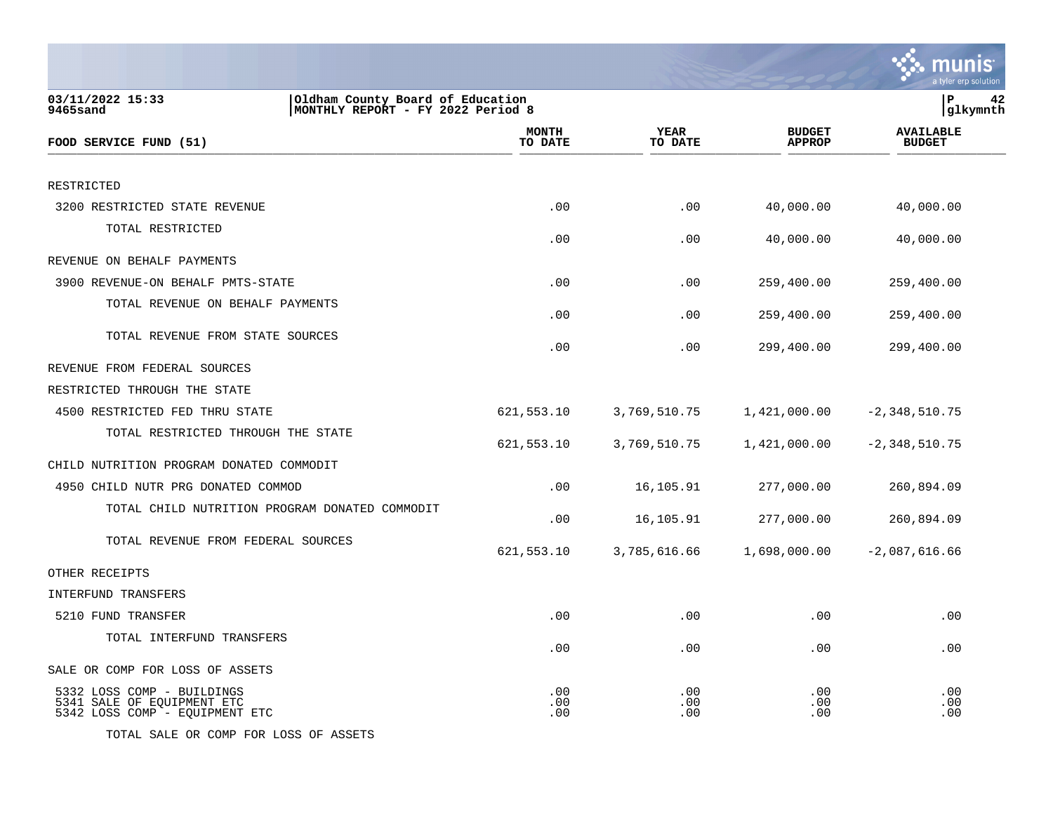|                                                                                            |                                                                       |                        |                                | a tyler erp solutior              |
|--------------------------------------------------------------------------------------------|-----------------------------------------------------------------------|------------------------|--------------------------------|-----------------------------------|
| 03/11/2022 15:33<br>9465sand                                                               | Oldham County Board of Education<br>MONTHLY REPORT - FY 2022 Period 8 |                        |                                | P<br>42<br> glkymnth              |
| FOOD SERVICE FUND (51)                                                                     | <b>MONTH</b><br>TO DATE                                               | <b>YEAR</b><br>TO DATE | <b>BUDGET</b><br><b>APPROP</b> | <b>AVAILABLE</b><br><b>BUDGET</b> |
| RESTRICTED                                                                                 |                                                                       |                        |                                |                                   |
| 3200 RESTRICTED STATE REVENUE                                                              | .00                                                                   | .00                    | 40,000.00                      | 40,000.00                         |
| TOTAL RESTRICTED                                                                           | .00                                                                   | .00                    | 40,000.00                      | 40,000.00                         |
| REVENUE ON BEHALF PAYMENTS                                                                 |                                                                       |                        |                                |                                   |
| 3900 REVENUE-ON BEHALF PMTS-STATE                                                          | .00                                                                   | .00                    | 259,400.00                     | 259,400.00                        |
| TOTAL REVENUE ON BEHALF PAYMENTS                                                           | .00                                                                   | .00                    | 259,400.00                     | 259,400.00                        |
| TOTAL REVENUE FROM STATE SOURCES                                                           | .00                                                                   | .00                    | 299,400.00                     | 299,400.00                        |
| REVENUE FROM FEDERAL SOURCES                                                               |                                                                       |                        |                                |                                   |
| RESTRICTED THROUGH THE STATE                                                               |                                                                       |                        |                                |                                   |
| 4500 RESTRICTED FED THRU STATE                                                             | 621,553.10                                                            | 3,769,510.75           | 1,421,000.00                   | $-2,348,510.75$                   |
| TOTAL RESTRICTED THROUGH THE STATE                                                         | 621,553.10                                                            | 3,769,510.75           | 1,421,000.00                   | $-2,348,510.75$                   |
| CHILD NUTRITION PROGRAM DONATED COMMODIT                                                   |                                                                       |                        |                                |                                   |
| 4950 CHILD NUTR PRG DONATED COMMOD                                                         | .00                                                                   | 16,105.91              | 277,000.00                     | 260,894.09                        |
| TOTAL CHILD NUTRITION PROGRAM DONATED COMMODIT                                             | .00                                                                   | 16,105.91              | 277,000.00                     | 260,894.09                        |
| TOTAL REVENUE FROM FEDERAL SOURCES                                                         | 621,553.10                                                            | 3,785,616.66           | 1,698,000.00                   | $-2,087,616.66$                   |
| OTHER RECEIPTS                                                                             |                                                                       |                        |                                |                                   |
| INTERFUND TRANSFERS                                                                        |                                                                       |                        |                                |                                   |
| 5210 FUND TRANSFER                                                                         | .00                                                                   | .00                    | .00                            | .00                               |
| TOTAL INTERFUND TRANSFERS                                                                  | .00                                                                   | .00                    | .00                            | .00                               |
| SALE OR COMP FOR LOSS OF ASSETS                                                            |                                                                       |                        |                                |                                   |
| 5332 LOSS COMP - BUILDINGS<br>5341 SALE OF EQUIPMENT ETC<br>5342 LOSS COMP - EQUIPMENT ETC | .00<br>.00<br>.00                                                     | .00<br>.00<br>.00      | .00<br>.00<br>.00              | .00<br>.00<br>.00                 |

TOTAL SALE OR COMP FOR LOSS OF ASSETS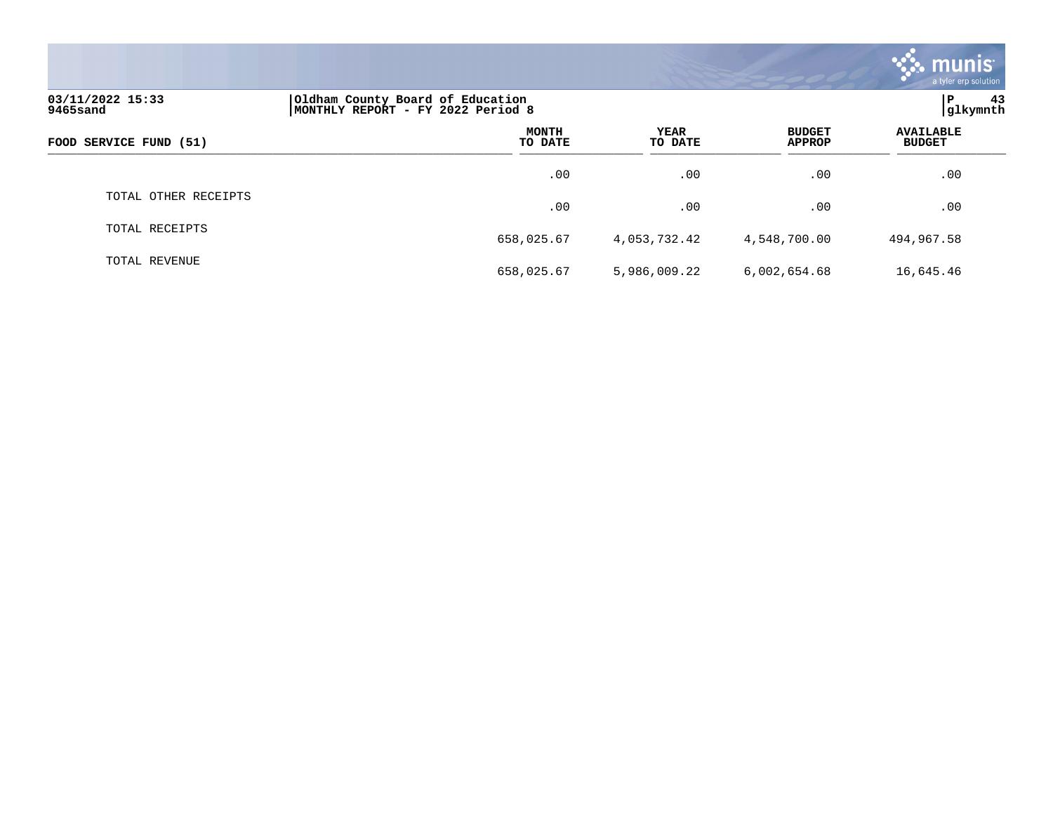|                              |                                                                       |                 |                                | munis <sup>®</sup><br>a tyler erp solution |
|------------------------------|-----------------------------------------------------------------------|-----------------|--------------------------------|--------------------------------------------|
| 03/11/2022 15:33<br>9465sand | Oldham County Board of Education<br>MONTHLY REPORT - FY 2022 Period 8 |                 |                                | ∣P<br>43<br>glkymnth                       |
| FOOD SERVICE FUND (51)       | <b>MONTH</b><br>TO DATE                                               | YEAR<br>TO DATE | <b>BUDGET</b><br><b>APPROP</b> | <b>AVAILABLE</b><br><b>BUDGET</b>          |
|                              | .00                                                                   | .00             | .00                            | .00                                        |
| TOTAL OTHER RECEIPTS         | .00                                                                   | .00             | .00                            | .00                                        |
| TOTAL RECEIPTS               | 658,025.67                                                            | 4,053,732.42    | 4,548,700.00                   | 494,967.58                                 |
| TOTAL REVENUE                | 658,025.67                                                            | 5,986,009.22    | 6,002,654.68                   | 16,645.46                                  |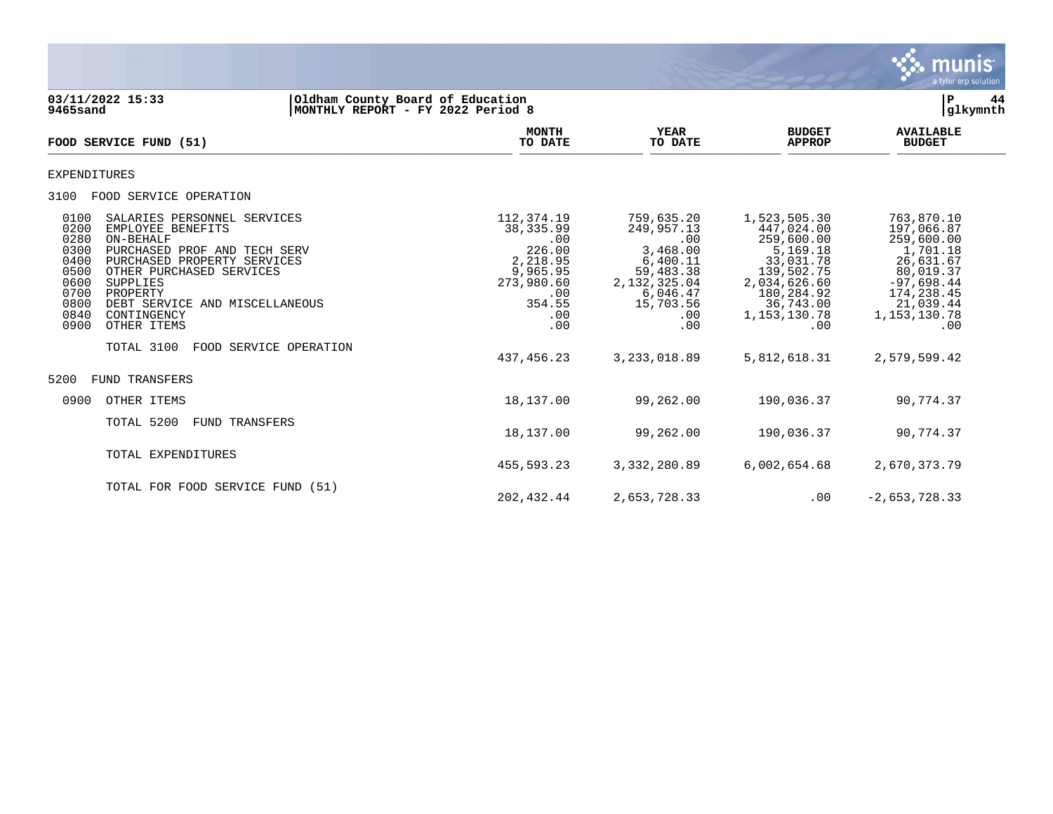

**03/11/2022 15:33 |Oldham County Board of Education |P 44 MONTHLY REPORT - FY 2022 Period 8 MONTH AVAILABLE YEAR BUDGET** AVAILABLE **FOOD SERVICE FUND (51) TO DATE TO DATE APPROP BUDGET**   $\frac{10 \text{ BFR}}{10 \text{ BFR}}$ EXPENDITURES 3100 FOOD SERVICE OPERATION 0100 SALARIES PERSONNEL SERVICES 112,374.19 759,635.20 1,523,505.30 763,870.10 0200 EMPLOYEE BENEFITS 38,335.99 249,957.13 447,024.00 197,066.87 0280 ON-BEHALF .00 .00 259,600.00 259,600.00 0300 PURCHASED PROF AND TECH SERV <br>0400 PURCHASED PROPERTY SERVICES (1,701.18 2,218.95 6,400.11 33,031.78 26,631.67<br>0500 OTHER PURCHASED SERVICES (9,965.95 59,483.38 139,502.75 80,019.37 0400 PURCHASED PROPERTY SERVICES 2,218.95 6,400.11 33,031.78 26,631.67 0500 OTHER PURCHASED SERVICES 9,965.95 59,483.38 139,502.75 80,019.37 0600 SUPPLIES 273,980.60 2,132,325.04 2,034,626.60 -97,698.44 0700 PROPERTY .00 6,046.47 180,284.92 174,238.45 0800 DEBT SERVICE AND MISCELLANEOUS (21,039.44 ) 354.55 354.55 354.55 354.55 354.55 354.55 354.55 354.55 36,743.00<br>0840 CONTINGENCY 378 37130.78 36,743.00 378 364.55 36 36,743.00 3840 CONTINGENCY 0840 CONTINGENCY .00 .00 1,153,130.78 1,153,130.78 0900 OTHER ITEMS TOTAL 3100 FOOD SERVICE OPERATION 437,456.23 3,233,018.89 5,812,618.31 2,579,599.42 5200 FUND TRANSFERS 0900 OTHER ITEMS 18,137.00 99,262.00 190,036.37 90,774.37 TOTAL 5200 FUND TRANSFERS 18,137.00 99,262.00 190,036.37 90,774.37 TOTAL EXPENDITURES 455,593.23 3,332,280.89 6,002,654.68 2,670,373.79 TOTAL FOR FOOD SERVICE FUND (51)

202,432.44 2,653,728.33 .00 -2,653,728.33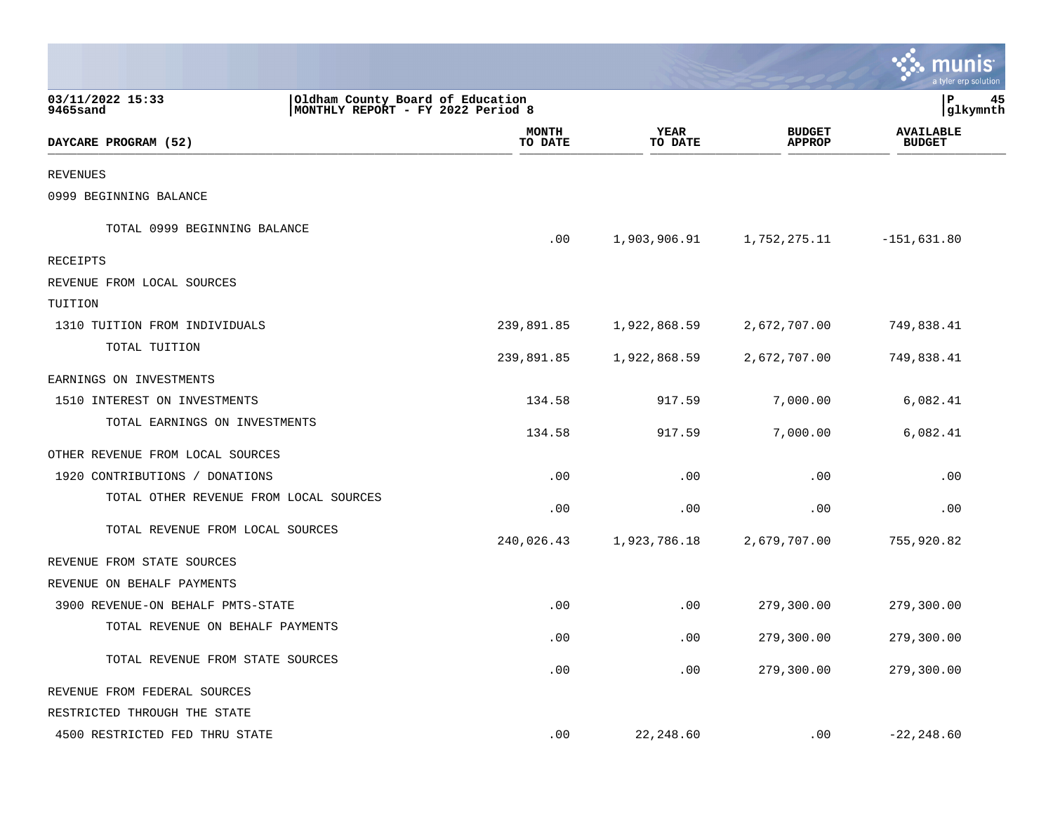|                                        |                                                                       |                         |                        |                                | a tyler erp solution              |    |
|----------------------------------------|-----------------------------------------------------------------------|-------------------------|------------------------|--------------------------------|-----------------------------------|----|
| 03/11/2022 15:33<br>9465sand           | Oldham County Board of Education<br>MONTHLY REPORT - FY 2022 Period 8 |                         |                        |                                | lР<br> glkymnth                   | 45 |
| DAYCARE PROGRAM (52)                   |                                                                       | <b>MONTH</b><br>TO DATE | <b>YEAR</b><br>TO DATE | <b>BUDGET</b><br><b>APPROP</b> | <b>AVAILABLE</b><br><b>BUDGET</b> |    |
| <b>REVENUES</b>                        |                                                                       |                         |                        |                                |                                   |    |
| 0999 BEGINNING BALANCE                 |                                                                       |                         |                        |                                |                                   |    |
| TOTAL 0999 BEGINNING BALANCE           |                                                                       | .00                     | 1,903,906.91           | 1,752,275.11                   | $-151,631.80$                     |    |
| <b>RECEIPTS</b>                        |                                                                       |                         |                        |                                |                                   |    |
| REVENUE FROM LOCAL SOURCES             |                                                                       |                         |                        |                                |                                   |    |
| TUITION                                |                                                                       |                         |                        |                                |                                   |    |
| 1310 TUITION FROM INDIVIDUALS          |                                                                       | 239,891.85              | 1,922,868.59           | 2,672,707.00                   | 749,838.41                        |    |
| TOTAL TUITION                          |                                                                       | 239,891.85              | 1,922,868.59           | 2,672,707.00                   | 749,838.41                        |    |
| EARNINGS ON INVESTMENTS                |                                                                       |                         |                        |                                |                                   |    |
| 1510 INTEREST ON INVESTMENTS           |                                                                       | 134.58                  | 917.59                 | 7,000.00                       | 6,082.41                          |    |
| TOTAL EARNINGS ON INVESTMENTS          |                                                                       | 134.58                  | 917.59                 | 7,000.00                       | 6,082.41                          |    |
| OTHER REVENUE FROM LOCAL SOURCES       |                                                                       |                         |                        |                                |                                   |    |
| 1920 CONTRIBUTIONS / DONATIONS         |                                                                       | .00                     | .00                    | .00                            | .00                               |    |
| TOTAL OTHER REVENUE FROM LOCAL SOURCES |                                                                       | .00                     | .00                    | .00                            | .00                               |    |
| TOTAL REVENUE FROM LOCAL SOURCES       |                                                                       | 240,026.43              | 1,923,786.18           | 2,679,707.00                   | 755,920.82                        |    |
| REVENUE FROM STATE SOURCES             |                                                                       |                         |                        |                                |                                   |    |
| REVENUE ON BEHALF PAYMENTS             |                                                                       |                         |                        |                                |                                   |    |
| 3900 REVENUE-ON BEHALF PMTS-STATE      |                                                                       | .00                     | .00                    | 279,300.00                     | 279,300.00                        |    |
| TOTAL REVENUE ON BEHALF PAYMENTS       |                                                                       | .00                     | .00                    | 279,300.00                     | 279,300.00                        |    |
| TOTAL REVENUE FROM STATE SOURCES       |                                                                       | .00                     | .00                    | 279,300.00                     | 279,300.00                        |    |
| REVENUE FROM FEDERAL SOURCES           |                                                                       |                         |                        |                                |                                   |    |
| RESTRICTED THROUGH THE STATE           |                                                                       |                         |                        |                                |                                   |    |
| 4500 RESTRICTED FED THRU STATE         |                                                                       | .00                     | 22,248.60              | .00                            | $-22, 248.60$                     |    |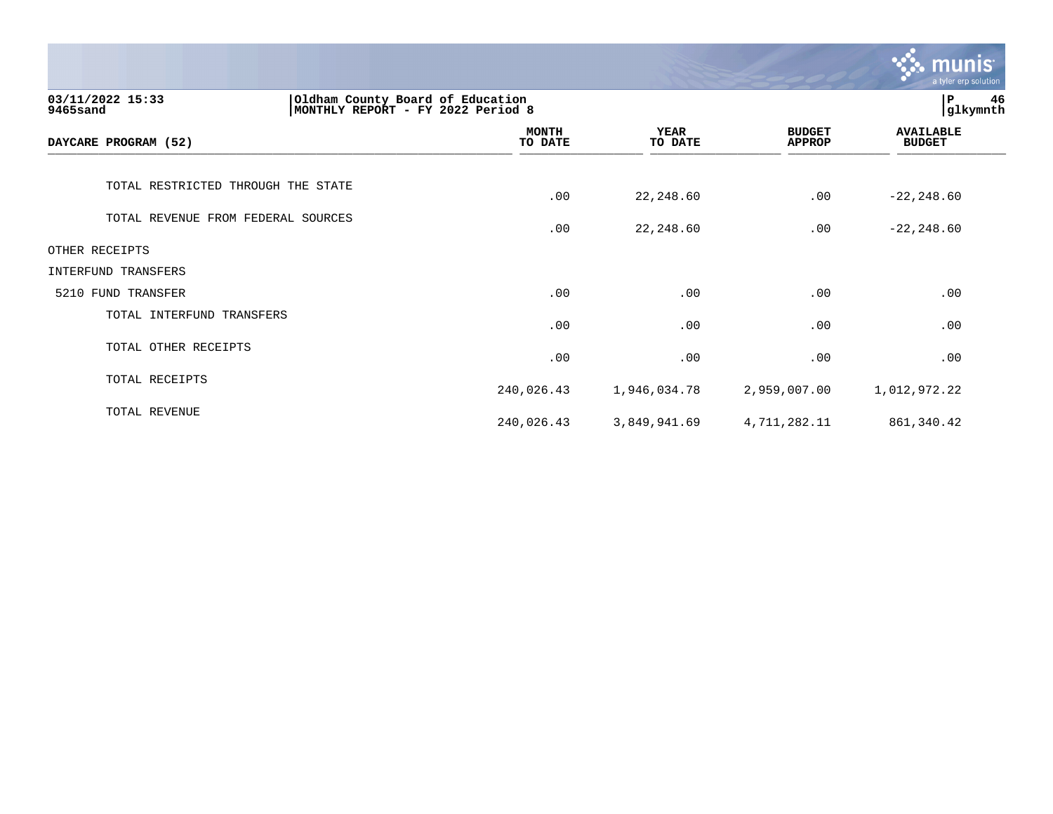|                                                                                                       |                         |                        |                                | <b>munis</b><br>a tyler erp solution |
|-------------------------------------------------------------------------------------------------------|-------------------------|------------------------|--------------------------------|--------------------------------------|
| 03/11/2022 15:33<br>Oldham County Board of Education<br>MONTHLY REPORT - FY 2022 Period 8<br>9465sand |                         |                        |                                | P<br>46<br>glkymnth                  |
| DAYCARE PROGRAM (52)                                                                                  | <b>MONTH</b><br>TO DATE | <b>YEAR</b><br>TO DATE | <b>BUDGET</b><br><b>APPROP</b> | <b>AVAILABLE</b><br><b>BUDGET</b>    |
| TOTAL RESTRICTED THROUGH THE STATE                                                                    | .00                     | 22, 248.60             | .00                            | $-22, 248.60$                        |
| TOTAL REVENUE FROM FEDERAL SOURCES                                                                    | .00                     | 22, 248.60             | .00                            | $-22, 248.60$                        |
| OTHER RECEIPTS                                                                                        |                         |                        |                                |                                      |
| INTERFUND TRANSFERS                                                                                   |                         |                        |                                |                                      |
| 5210 FUND TRANSFER                                                                                    | .00                     | .00                    | .00                            | .00                                  |
| TOTAL INTERFUND TRANSFERS                                                                             | .00                     | .00                    | .00                            | .00                                  |
| TOTAL OTHER RECEIPTS                                                                                  | .00                     | .00                    | .00                            | .00                                  |
| TOTAL RECEIPTS                                                                                        | 240,026.43              | 1,946,034.78           | 2,959,007.00                   | 1,012,972.22                         |
| TOTAL REVENUE                                                                                         | 240,026.43              | 3,849,941.69           | 4,711,282.11                   | 861, 340.42                          |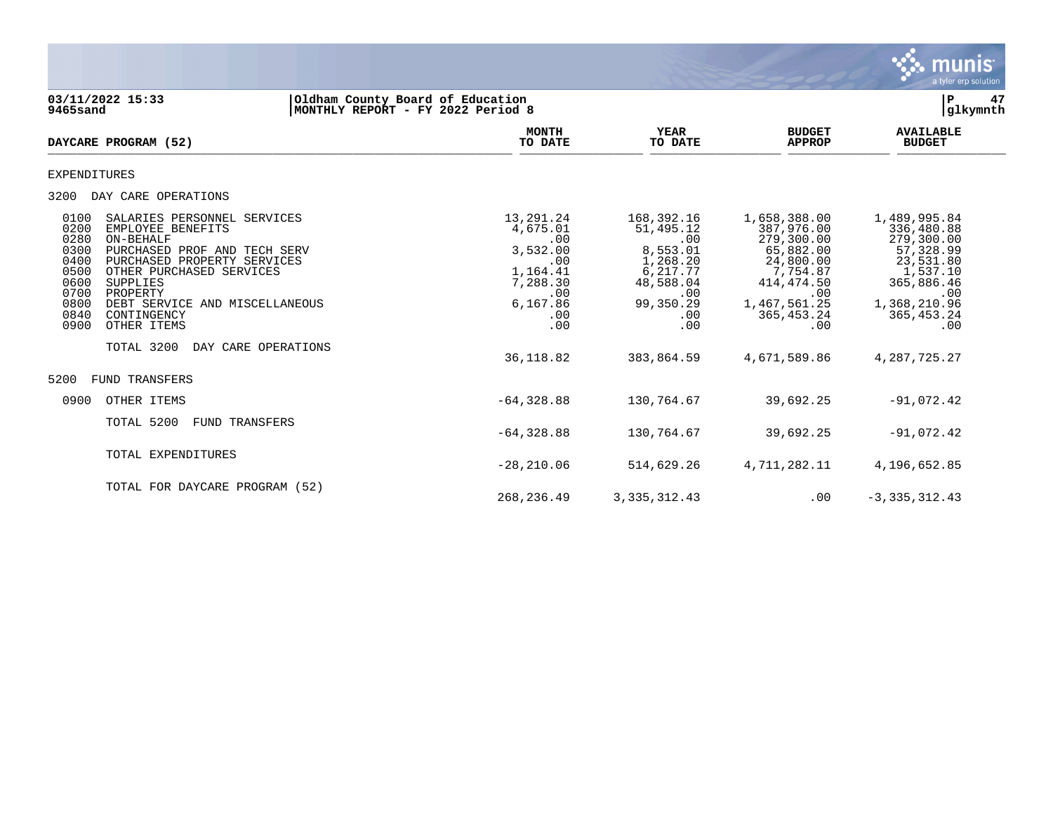

03/11/2022 15:33 **12/2022 15:33** Oldham County Board of Education<br> **03/11/2022 15:33 Part of Education Board of Education Part of Education Part of Education Part of Education Part of Education Part of Educat MONTHLY REPORT - FY 2022 Period 8 MONTH AVAILABLE YEAR BUDGET** AVAILABLE **DAYCARE PROGRAM (52) TO DATE TO DATE APPROP BUDGET** DAILARE FROGRAM (32) EXPENDITURES 3200 DAY CARE OPERATIONS 0100 SALARIES PERSONNEL SERVICES 13,291.24 168,392.16 1,658,388.00 1,489,995.84 0200 EMPLOYEE BENEFITS 4,675.01 51,495.12 387,976.00 336,480.88 0280 ON-BEHALF .00 .00 279,300.00 279,300.00 0300 PURCHASED PROF AND TECH SERV 3 3,532.00 8,553.01 65,882.00 57,328.99<br>0400 PURCHASED PROPERTY SERVICES 3 300 600 1,268.20 24,800.00 23,531.80<br>0500 OTHER PURCHASED SERVICES 3 3 3 3 3 4,800.00 1,164.41 6,217.77 7,754.87 0400 PURCHASED PROPERTY SERVICES .00 00 1,268.20 24,800.00<br>0500 OTHER PURCHASED SERVICES .00 24,8754.87 1,164.41 2500.00 24,8754.87 0500 OTHER PURCHASED SERVICES (1,164.41 6,217.77 7,754.87 1,537.10 7,754.87 1,537.10 0600 SUPPLIES 0600 SUPPLIES 7,288.30 48,588.04 414,474.50 365,886.46 0700 PROPERTY .00 .00 .00 .00 0800 DEBT SERVICE AND MISCELLANEOUS 6,167.86 99,350.29 1,467,561.25 1,368,210.96 0840 CONTINGENCY .00 .00 365,453.24 365,453.24 0900 OTHER ITEMS TOTAL 3200 DAY CARE OPERATIONS 36,118.82 383,864.59 4,671,589.86 4,287,725.27 5200 FUND TRANSFERS 0900 OTHER ITEMS -64,328.88 130,764.67 39,692.25 -91,072.42 TOTAL 5200 FUND TRANSFERS  $-64,328.88$  130,764.67 39,692.25  $-91,072.42$ TOTAL EXPENDITURES -28,210.06 514,629.26 4,711,282.11 4,196,652.85 TOTAL FOR DAYCARE PROGRAM (52)

268,236.49 3,335,312.43 .00 -3,335,312.43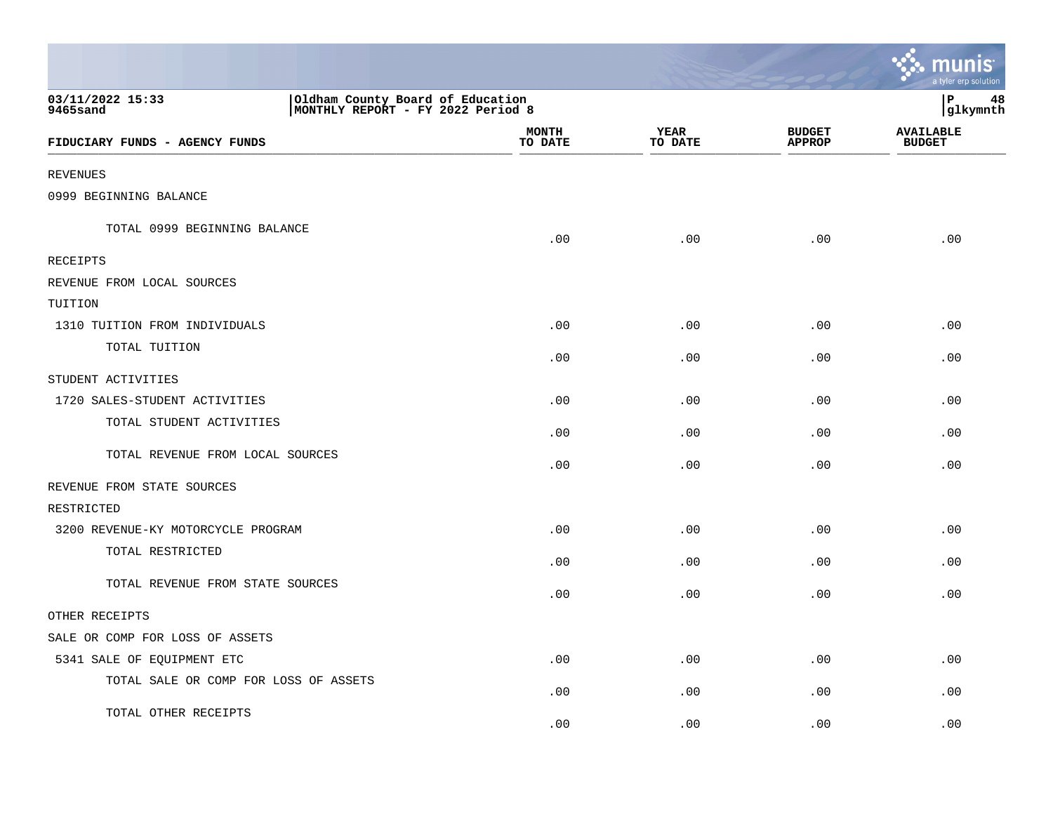|                                                                                                       |                         |                        |                                | a tyler erp solution              |
|-------------------------------------------------------------------------------------------------------|-------------------------|------------------------|--------------------------------|-----------------------------------|
| 03/11/2022 15:33<br>Oldham County Board of Education<br>MONTHLY REPORT - FY 2022 Period 8<br>9465sand |                         |                        |                                | P<br>48<br>glkymnth               |
| FIDUCIARY FUNDS - AGENCY FUNDS                                                                        | <b>MONTH</b><br>TO DATE | <b>YEAR</b><br>TO DATE | <b>BUDGET</b><br><b>APPROP</b> | <b>AVAILABLE</b><br><b>BUDGET</b> |
| <b>REVENUES</b>                                                                                       |                         |                        |                                |                                   |
| 0999 BEGINNING BALANCE                                                                                |                         |                        |                                |                                   |
| TOTAL 0999 BEGINNING BALANCE                                                                          | .00                     | .00                    | .00                            | .00                               |
| RECEIPTS                                                                                              |                         |                        |                                |                                   |
| REVENUE FROM LOCAL SOURCES                                                                            |                         |                        |                                |                                   |
| TUITION                                                                                               |                         |                        |                                |                                   |
| 1310 TUITION FROM INDIVIDUALS                                                                         | .00                     | .00                    | .00                            | .00                               |
| TOTAL TUITION                                                                                         | .00                     | .00                    | .00                            | .00                               |
| STUDENT ACTIVITIES                                                                                    |                         |                        |                                |                                   |
| 1720 SALES-STUDENT ACTIVITIES                                                                         | .00                     | .00                    | .00                            | .00                               |
| TOTAL STUDENT ACTIVITIES                                                                              | .00                     | .00                    | .00                            | .00                               |
| TOTAL REVENUE FROM LOCAL SOURCES                                                                      | .00                     | .00                    | .00                            | .00                               |
| REVENUE FROM STATE SOURCES                                                                            |                         |                        |                                |                                   |
| RESTRICTED                                                                                            |                         |                        |                                |                                   |
| 3200 REVENUE-KY MOTORCYCLE PROGRAM                                                                    | .00                     | .00                    | .00                            | .00                               |
| TOTAL RESTRICTED                                                                                      | .00                     | .00                    | .00                            | .00                               |
| TOTAL REVENUE FROM STATE SOURCES                                                                      | .00                     | .00                    | .00                            | .00                               |
| OTHER RECEIPTS                                                                                        |                         |                        |                                |                                   |
| SALE OR COMP FOR LOSS OF ASSETS                                                                       |                         |                        |                                |                                   |
| 5341 SALE OF EQUIPMENT ETC                                                                            | .00                     | .00                    | .00                            | .00                               |
| TOTAL SALE OR COMP FOR LOSS OF ASSETS                                                                 | .00                     | .00                    | .00                            | .00                               |
| TOTAL OTHER RECEIPTS                                                                                  | .00                     | .00                    | .00                            | .00                               |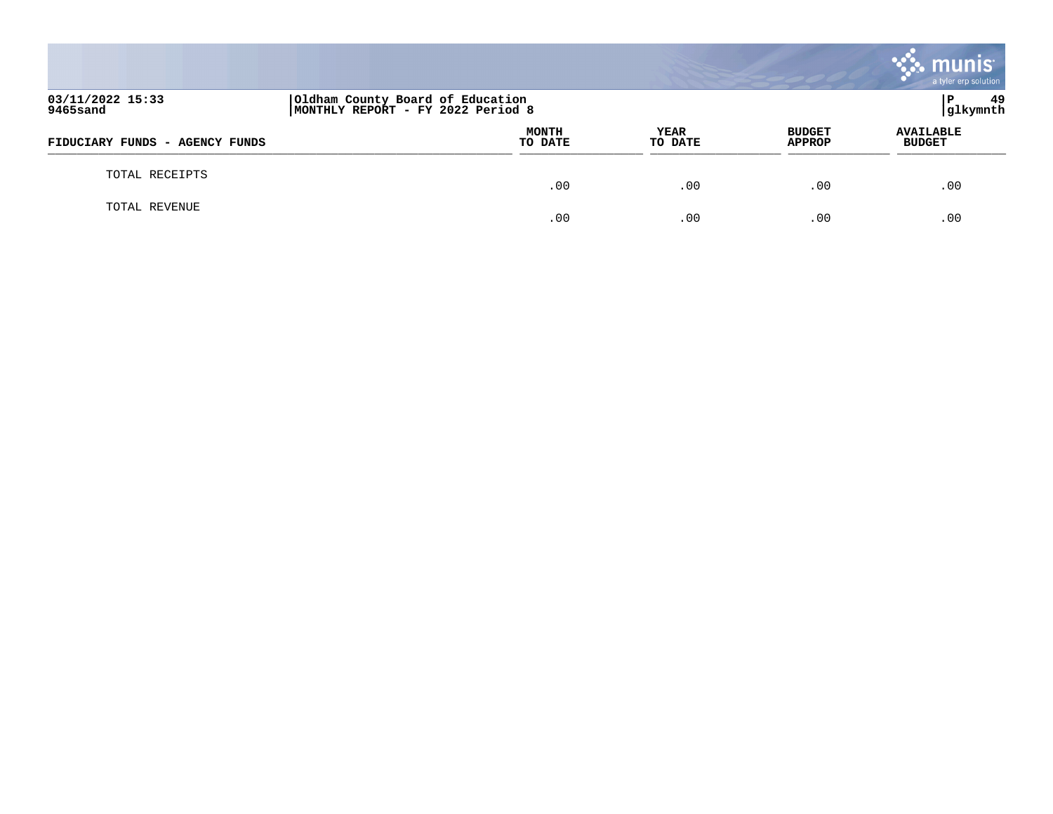|                                |                                                                       |                 |                                | munis<br>a tyler erp solution     |
|--------------------------------|-----------------------------------------------------------------------|-----------------|--------------------------------|-----------------------------------|
| 03/11/2022 15:33<br>9465sand   | Oldham County Board of Education<br>MONTHLY REPORT - FY 2022 Period 8 |                 |                                | -49<br>l P<br>glkymnth            |
| FIDUCIARY FUNDS - AGENCY FUNDS | <b>MONTH</b><br>TO DATE                                               | YEAR<br>TO DATE | <b>BUDGET</b><br><b>APPROP</b> | <b>AVAILABLE</b><br><b>BUDGET</b> |
| TOTAL RECEIPTS                 | .00                                                                   | .00             | .00                            | .00                               |
| TOTAL REVENUE                  | .00                                                                   | .00             | .00                            | .00                               |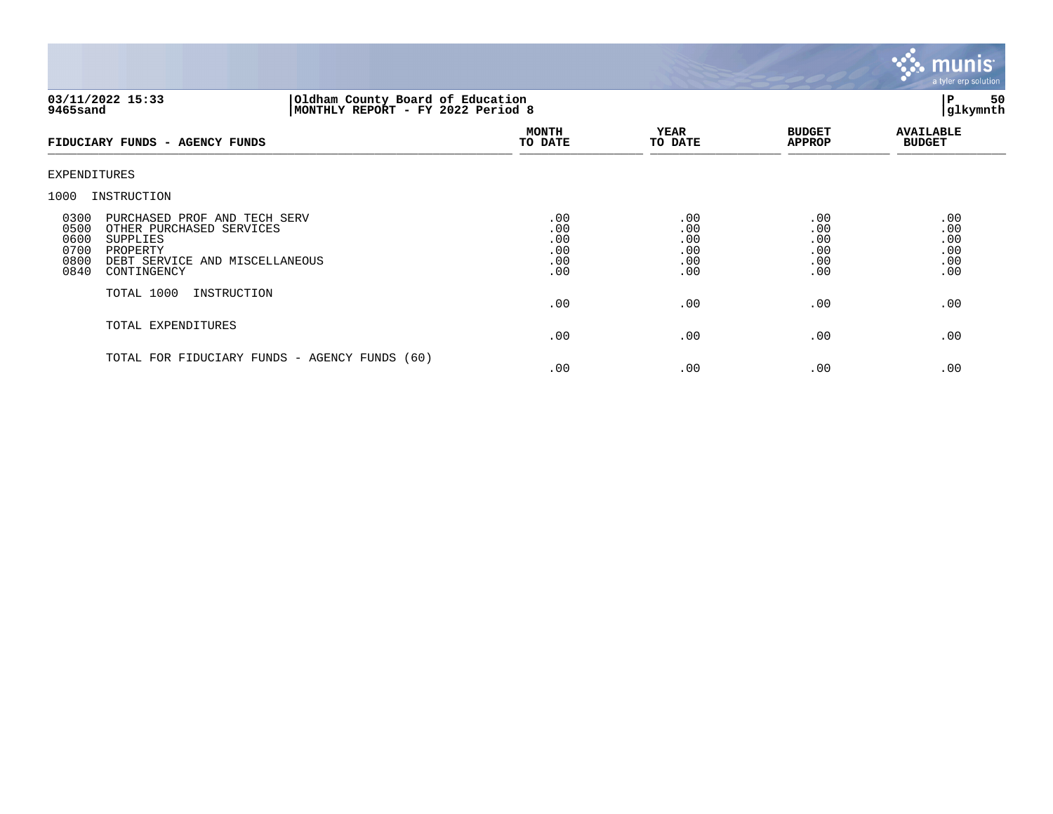

# **03/11/2022 15:33 |Oldham County Board of Education |P 50 9465sand |MONTHLY REPORT - FY 2022 Period 8 |glkymnth**

| FIDUCIARY FUNDS - AGENCY FUNDS                                                                                                                                                    | <b>MONTH</b><br>TO DATE                | <b>YEAR</b><br>TO DATE                 | <b>BUDGET</b><br><b>APPROP</b>         | <b>AVAILABLE</b><br><b>BUDGET</b>      |
|-----------------------------------------------------------------------------------------------------------------------------------------------------------------------------------|----------------------------------------|----------------------------------------|----------------------------------------|----------------------------------------|
| EXPENDITURES                                                                                                                                                                      |                                        |                                        |                                        |                                        |
| 1000<br>INSTRUCTION                                                                                                                                                               |                                        |                                        |                                        |                                        |
| 0300<br>PURCHASED PROF AND TECH SERV<br>0500<br>OTHER PURCHASED SERVICES<br>0600<br>SUPPLIES<br>0700<br>PROPERTY<br>0800<br>DEBT SERVICE AND MISCELLANEOUS<br>0840<br>CONTINGENCY | .00<br>.00<br>.00<br>.00<br>.00<br>.00 | .00<br>.00<br>.00<br>.00<br>.00<br>.00 | .00<br>.00<br>.00<br>.00<br>.00<br>.00 | .00<br>.00<br>.00<br>.00<br>.00<br>.00 |
| TOTAL 1000<br>INSTRUCTION                                                                                                                                                         | .00                                    | .00                                    | .00                                    | .00                                    |
| TOTAL EXPENDITURES                                                                                                                                                                | .00                                    | .00                                    | .00                                    | .00                                    |
| TOTAL FOR FIDUCIARY FUNDS - AGENCY FUNDS (60)                                                                                                                                     | .00                                    | $.00 \,$                               | .00                                    | .00                                    |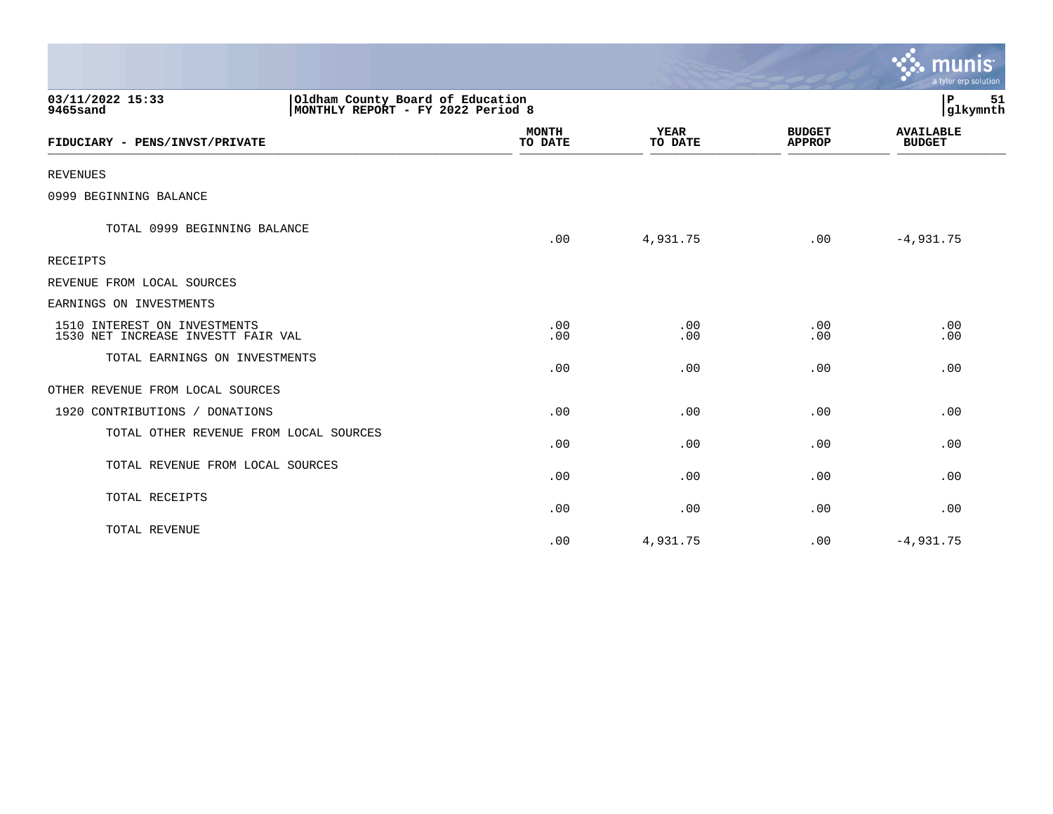|                                                                    |                                                                       |                        |                                | $\mathbf{\mathcal{S}}$ . munis<br>a tyler erp solution |  |
|--------------------------------------------------------------------|-----------------------------------------------------------------------|------------------------|--------------------------------|--------------------------------------------------------|--|
| 03/11/2022 15:33<br>9465sand                                       | Oldham County Board of Education<br>MONTHLY REPORT - FY 2022 Period 8 |                        |                                |                                                        |  |
| FIDUCIARY - PENS/INVST/PRIVATE                                     | <b>MONTH</b><br>TO DATE                                               | <b>YEAR</b><br>TO DATE | <b>BUDGET</b><br><b>APPROP</b> | <b>AVAILABLE</b><br><b>BUDGET</b>                      |  |
| <b>REVENUES</b>                                                    |                                                                       |                        |                                |                                                        |  |
| 0999 BEGINNING BALANCE                                             |                                                                       |                        |                                |                                                        |  |
| TOTAL 0999 BEGINNING BALANCE                                       | .00                                                                   | 4,931.75               | .00                            | $-4,931.75$                                            |  |
| <b>RECEIPTS</b>                                                    |                                                                       |                        |                                |                                                        |  |
| REVENUE FROM LOCAL SOURCES                                         |                                                                       |                        |                                |                                                        |  |
| EARNINGS ON INVESTMENTS                                            |                                                                       |                        |                                |                                                        |  |
| 1510 INTEREST ON INVESTMENTS<br>1530 NET INCREASE INVESTT FAIR VAL | .00<br>.00                                                            | .00<br>.00             | .00<br>.00                     | .00<br>.00                                             |  |
| TOTAL EARNINGS ON INVESTMENTS                                      | .00                                                                   | .00                    | .00                            | .00                                                    |  |
| OTHER REVENUE FROM LOCAL SOURCES                                   |                                                                       |                        |                                |                                                        |  |
| 1920 CONTRIBUTIONS / DONATIONS                                     | .00                                                                   | .00                    | .00                            | .00                                                    |  |
| TOTAL OTHER REVENUE FROM LOCAL SOURCES                             | .00                                                                   | .00                    | .00                            | .00                                                    |  |
| TOTAL REVENUE FROM LOCAL SOURCES                                   | .00                                                                   | .00                    | .00                            | .00                                                    |  |
| TOTAL RECEIPTS                                                     | .00                                                                   | .00                    | .00                            | .00                                                    |  |
| TOTAL REVENUE                                                      | .00                                                                   | 4,931.75               | .00                            | $-4,931.75$                                            |  |

the contract of the contract of the contract of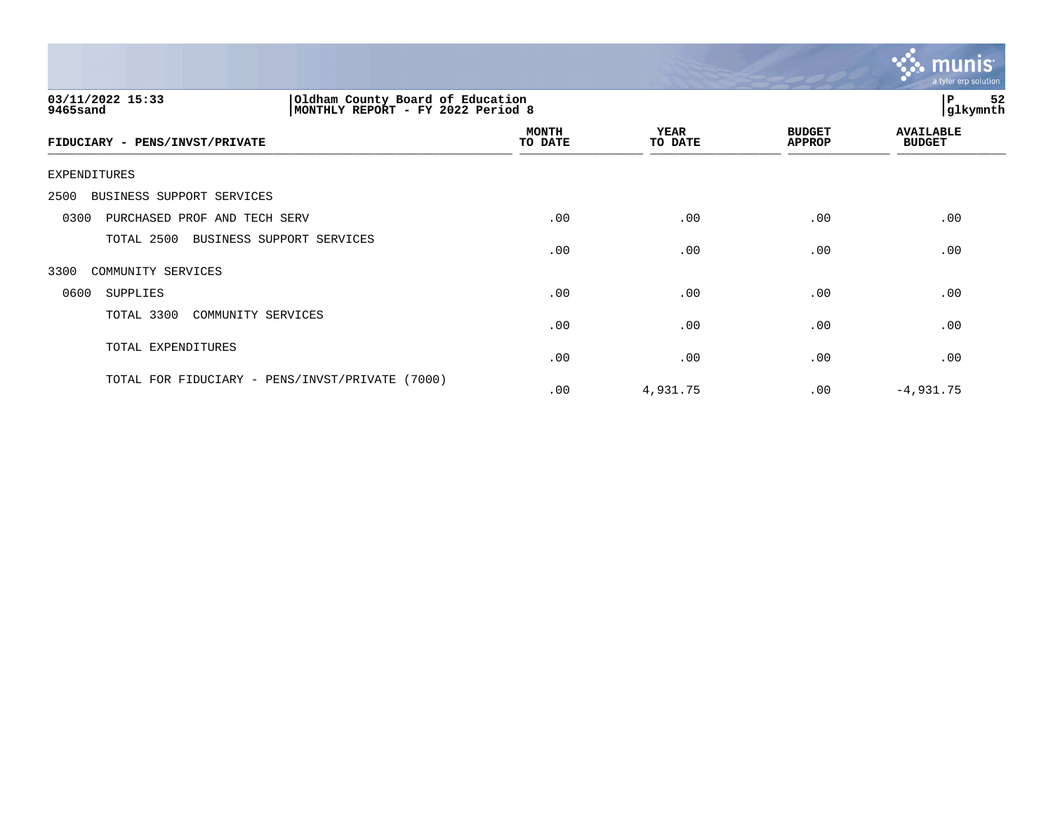

| 03/11/2022 15:33<br>Oldham County Board of Education<br>MONTHLY REPORT - FY 2022 Period 8<br>9465sand |                         |                 |                                | 52<br>ΙP<br>glkymnth              |
|-------------------------------------------------------------------------------------------------------|-------------------------|-----------------|--------------------------------|-----------------------------------|
| FIDUCIARY - PENS/INVST/PRIVATE                                                                        | <b>MONTH</b><br>TO DATE | YEAR<br>TO DATE | <b>BUDGET</b><br><b>APPROP</b> | <b>AVAILABLE</b><br><b>BUDGET</b> |
| EXPENDITURES                                                                                          |                         |                 |                                |                                   |
| 2500<br>BUSINESS SUPPORT SERVICES                                                                     |                         |                 |                                |                                   |
| 0300<br>PURCHASED PROF AND TECH SERV                                                                  | .00                     | .00             | .00                            | .00                               |
| TOTAL 2500<br>BUSINESS SUPPORT SERVICES                                                               | .00                     | .00             | .00                            | .00                               |
| 3300<br>COMMUNITY SERVICES                                                                            |                         |                 |                                |                                   |
| 0600<br>SUPPLIES                                                                                      | .00                     | .00             | .00                            | .00                               |
| TOTAL 3300<br>COMMUNITY SERVICES                                                                      | .00                     | .00             | .00                            | .00                               |
| TOTAL EXPENDITURES                                                                                    | .00                     | .00             | .00                            | .00                               |
| TOTAL FOR FIDUCIARY - PENS/INVST/PRIVATE<br>(7000)                                                    | .00                     | 4,931.75        | .00                            | $-4,931.75$                       |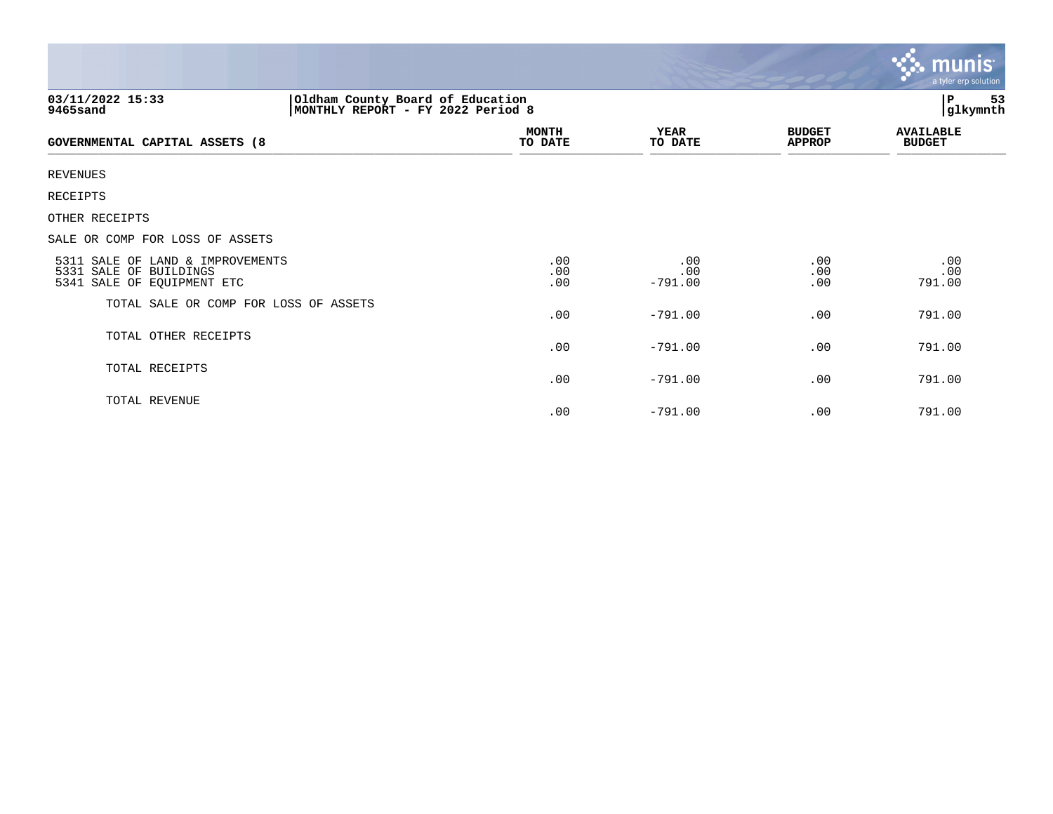|                                                                                          |                                                                       |                         |                                | <mark>• : munis</mark><br>a tyler erp solution |
|------------------------------------------------------------------------------------------|-----------------------------------------------------------------------|-------------------------|--------------------------------|------------------------------------------------|
| 03/11/2022 15:33<br>9465sand                                                             | Oldham County Board of Education<br>MONTHLY REPORT - FY 2022 Period 8 |                         |                                | P<br>53<br>glkymnth                            |
| GOVERNMENTAL CAPITAL ASSETS (8                                                           | <b>MONTH</b><br>TO DATE                                               | <b>YEAR</b><br>TO DATE  | <b>BUDGET</b><br><b>APPROP</b> | <b>AVAILABLE</b><br><b>BUDGET</b>              |
| <b>REVENUES</b>                                                                          |                                                                       |                         |                                |                                                |
| <b>RECEIPTS</b>                                                                          |                                                                       |                         |                                |                                                |
| OTHER RECEIPTS                                                                           |                                                                       |                         |                                |                                                |
| SALE OR COMP FOR LOSS OF ASSETS                                                          |                                                                       |                         |                                |                                                |
| 5311 SALE OF LAND & IMPROVEMENTS<br>5331 SALE OF BUILDINGS<br>5341 SALE OF EQUIPMENT ETC | .00<br>.00<br>.00                                                     | .00<br>.00<br>$-791.00$ | .00<br>.00<br>.00              | .00<br>.00<br>791.00                           |
| TOTAL SALE OR COMP FOR LOSS OF ASSETS                                                    | .00                                                                   | $-791.00$               | .00                            | 791.00                                         |
| TOTAL OTHER RECEIPTS                                                                     | .00                                                                   | $-791.00$               | .00.                           | 791.00                                         |
| TOTAL RECEIPTS                                                                           | .00                                                                   | $-791.00$               | .00                            | 791.00                                         |
| TOTAL REVENUE                                                                            | .00                                                                   | $-791.00$               | .00                            | 791.00                                         |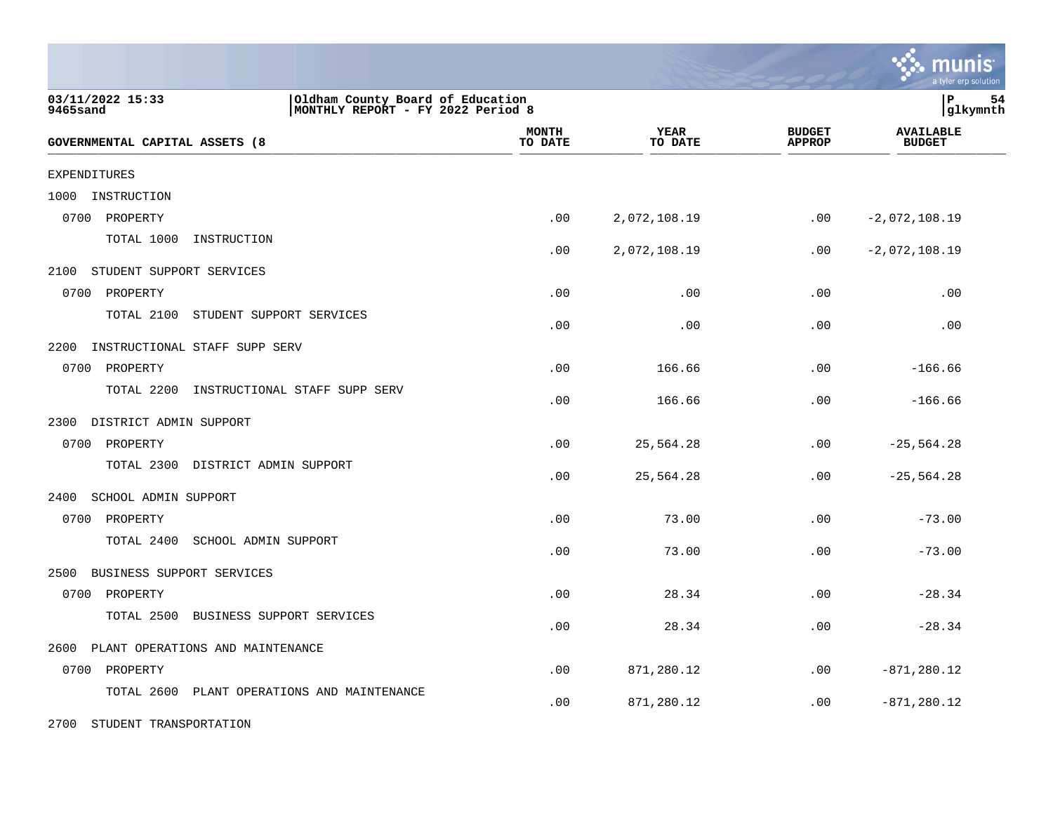|                                                                                                       |                         |                 |                                | a tyler erp solution              |
|-------------------------------------------------------------------------------------------------------|-------------------------|-----------------|--------------------------------|-----------------------------------|
| 03/11/2022 15:33<br>Oldham County Board of Education<br>9465sand<br>MONTHLY REPORT - FY 2022 Period 8 |                         |                 |                                | lР<br>54<br> glkymnth             |
| GOVERNMENTAL CAPITAL ASSETS (8                                                                        | <b>MONTH</b><br>TO DATE | YEAR<br>TO DATE | <b>BUDGET</b><br><b>APPROP</b> | <b>AVAILABLE</b><br><b>BUDGET</b> |
| <b>EXPENDITURES</b>                                                                                   |                         |                 |                                |                                   |
| 1000<br>INSTRUCTION                                                                                   |                         |                 |                                |                                   |
| 0700<br>PROPERTY                                                                                      | .00                     | 2,072,108.19    | .00                            | $-2,072,108.19$                   |
| TOTAL 1000<br>INSTRUCTION                                                                             | .00                     | 2,072,108.19    | $.00 \ \rm$                    | $-2,072,108.19$                   |
| 2100<br>STUDENT SUPPORT SERVICES                                                                      |                         |                 |                                |                                   |
| 0700 PROPERTY                                                                                         | .00                     | .00             | .00                            | .00                               |
| TOTAL 2100<br>STUDENT SUPPORT SERVICES                                                                | .00                     | .00             | .00                            | .00                               |
| 2200<br>INSTRUCTIONAL STAFF SUPP SERV                                                                 |                         |                 |                                |                                   |
| 0700 PROPERTY                                                                                         | .00                     | 166.66          | .00                            | $-166.66$                         |
| TOTAL 2200<br>INSTRUCTIONAL STAFF SUPP SERV                                                           | .00                     | 166.66          | .00                            | $-166.66$                         |
| 2300 DISTRICT ADMIN SUPPORT                                                                           |                         |                 |                                |                                   |
| 0700 PROPERTY                                                                                         | .00                     | 25,564.28       | .00                            | $-25, 564.28$                     |
| TOTAL 2300<br>DISTRICT ADMIN SUPPORT                                                                  | .00                     | 25,564.28       | .00                            | $-25, 564.28$                     |
| 2400<br>SCHOOL ADMIN SUPPORT                                                                          |                         |                 |                                |                                   |
| 0700 PROPERTY                                                                                         | .00                     | 73.00           | .00                            | $-73.00$                          |
| TOTAL 2400<br>SCHOOL ADMIN SUPPORT                                                                    | .00                     | 73.00           | .00                            | $-73.00$                          |
| BUSINESS SUPPORT SERVICES<br>2500                                                                     |                         |                 |                                |                                   |
| 0700 PROPERTY                                                                                         | .00                     | 28.34           | .00                            | $-28.34$                          |
| TOTAL 2500<br>BUSINESS SUPPORT SERVICES                                                               | .00                     | 28.34           | .00                            | $-28.34$                          |
| 2600<br>PLANT OPERATIONS AND MAINTENANCE                                                              |                         |                 |                                |                                   |
| 0700 PROPERTY                                                                                         | .00                     | 871,280.12      | .00                            | $-871, 280.12$                    |
| TOTAL 2600 PLANT OPERATIONS AND MAINTENANCE                                                           | .00                     | 871,280.12      | .00                            | $-871, 280.12$                    |
| 2700<br>STUDENT TRANSPORTATION                                                                        |                         |                 |                                |                                   |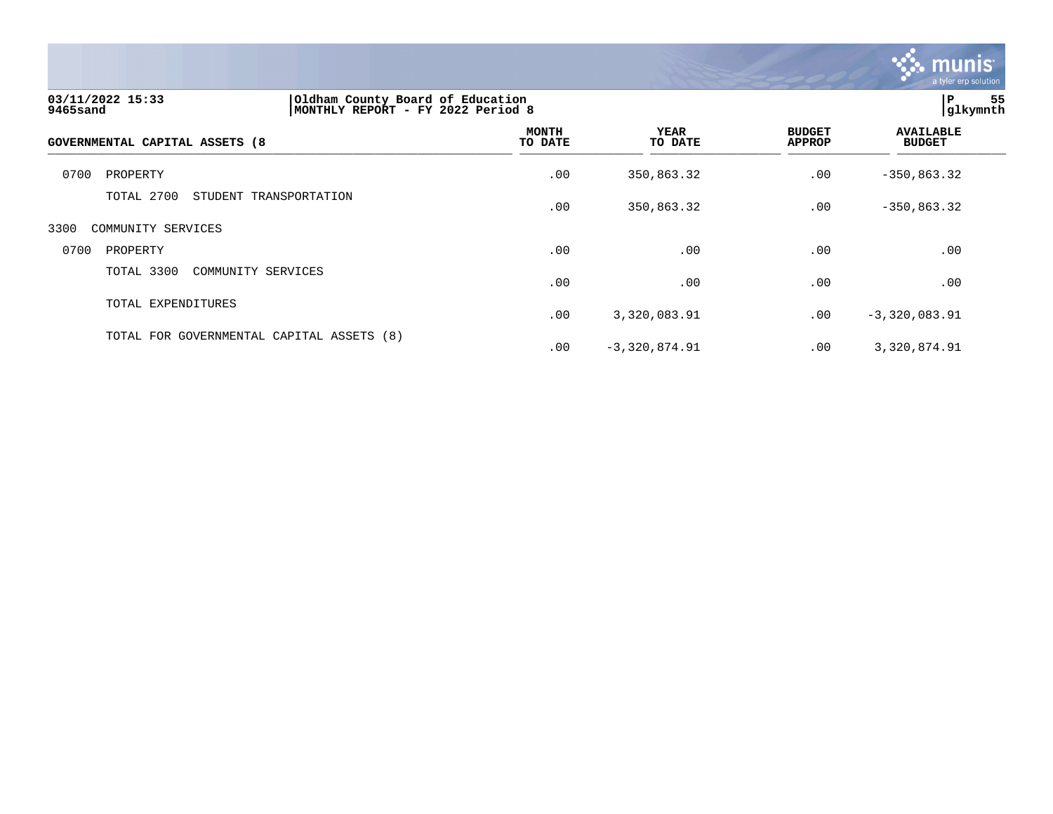

| 03/11/2022 15:33<br>9465sand   | Oldham County Board of Education<br>MONTHLY REPORT - FY 2022 Period 8 |                         | 55<br>P<br>glkymnth    |                                |                                   |  |
|--------------------------------|-----------------------------------------------------------------------|-------------------------|------------------------|--------------------------------|-----------------------------------|--|
| GOVERNMENTAL CAPITAL ASSETS (8 |                                                                       | <b>MONTH</b><br>TO DATE | <b>YEAR</b><br>TO DATE | <b>BUDGET</b><br><b>APPROP</b> | <b>AVAILABLE</b><br><b>BUDGET</b> |  |
| 0700<br>PROPERTY               |                                                                       | .00                     | 350,863.32             | .00                            | $-350, 863.32$                    |  |
| TOTAL 2700                     | STUDENT TRANSPORTATION                                                | .00                     | 350,863.32             | .00                            | $-350, 863.32$                    |  |
| 3300<br>COMMUNITY SERVICES     |                                                                       |                         |                        |                                |                                   |  |
| 0700<br>PROPERTY               |                                                                       | .00                     | .00                    | .00                            | .00                               |  |
| TOTAL 3300                     | COMMUNITY SERVICES                                                    | .00                     | .00                    | .00                            | .00                               |  |
| TOTAL EXPENDITURES             |                                                                       | .00                     | 3,320,083.91           | .00                            | $-3,320,083.91$                   |  |
|                                | TOTAL FOR GOVERNMENTAL CAPITAL ASSETS (8)                             | .00                     | $-3,320,874.91$        | .00                            | 3,320,874.91                      |  |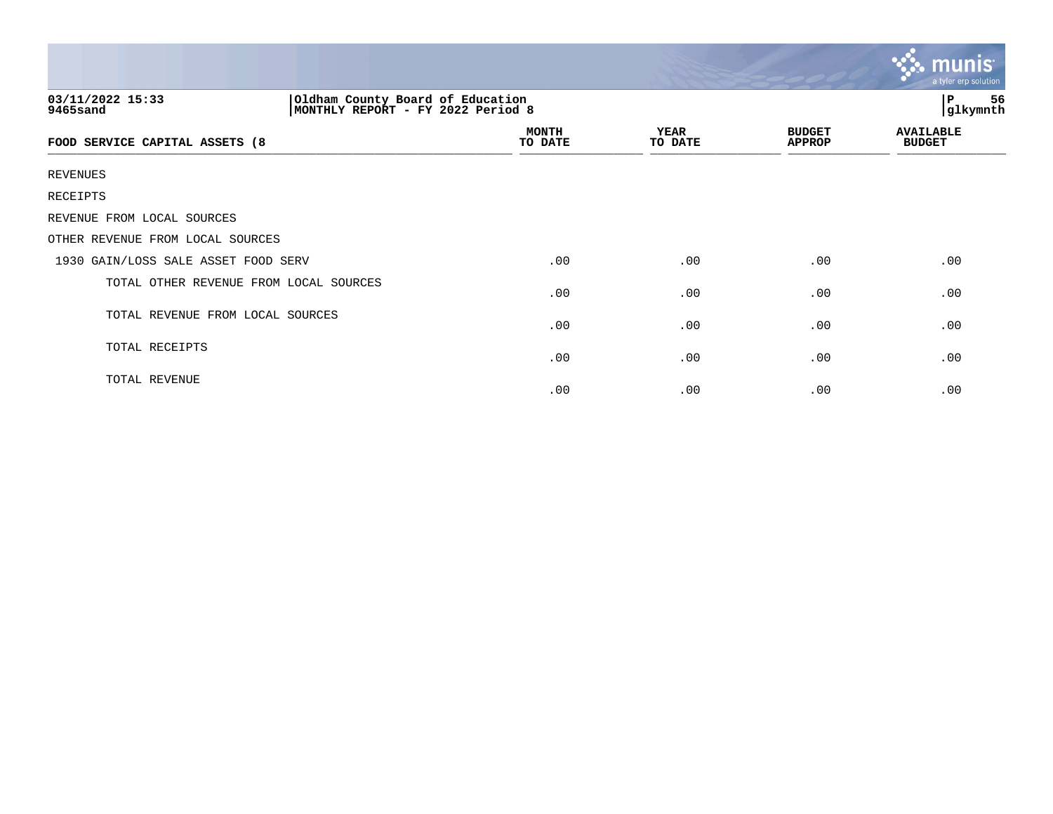|                                        |                                                                       |                         |                        |                                | $\sim$ munis<br>a tyler erp solution |  |
|----------------------------------------|-----------------------------------------------------------------------|-------------------------|------------------------|--------------------------------|--------------------------------------|--|
| 03/11/2022 15:33<br>9465sand           | Oldham County Board of Education<br>MONTHLY REPORT - FY 2022 Period 8 |                         |                        |                                | 56<br>P<br>glkymnth                  |  |
| FOOD SERVICE CAPITAL ASSETS (8         |                                                                       | <b>MONTH</b><br>TO DATE | <b>YEAR</b><br>TO DATE | <b>BUDGET</b><br><b>APPROP</b> | <b>AVAILABLE</b><br><b>BUDGET</b>    |  |
| REVENUES                               |                                                                       |                         |                        |                                |                                      |  |
| RECEIPTS                               |                                                                       |                         |                        |                                |                                      |  |
| REVENUE FROM LOCAL SOURCES             |                                                                       |                         |                        |                                |                                      |  |
| OTHER REVENUE FROM LOCAL SOURCES       |                                                                       |                         |                        |                                |                                      |  |
| 1930 GAIN/LOSS SALE ASSET FOOD SERV    |                                                                       | .00                     | .00                    | .00                            | .00                                  |  |
| TOTAL OTHER REVENUE FROM LOCAL SOURCES |                                                                       | .00                     | .00                    | .00                            | .00                                  |  |
| TOTAL REVENUE FROM LOCAL SOURCES       |                                                                       | .00                     | .00                    | .00                            | .00                                  |  |
| TOTAL RECEIPTS                         |                                                                       | .00                     | .00                    | .00                            | .00                                  |  |
| TOTAL REVENUE                          |                                                                       | .00                     | .00                    | .00                            | .00                                  |  |

 $\sim$   $\sim$   $\sim$   $\sim$   $\sim$   $\sim$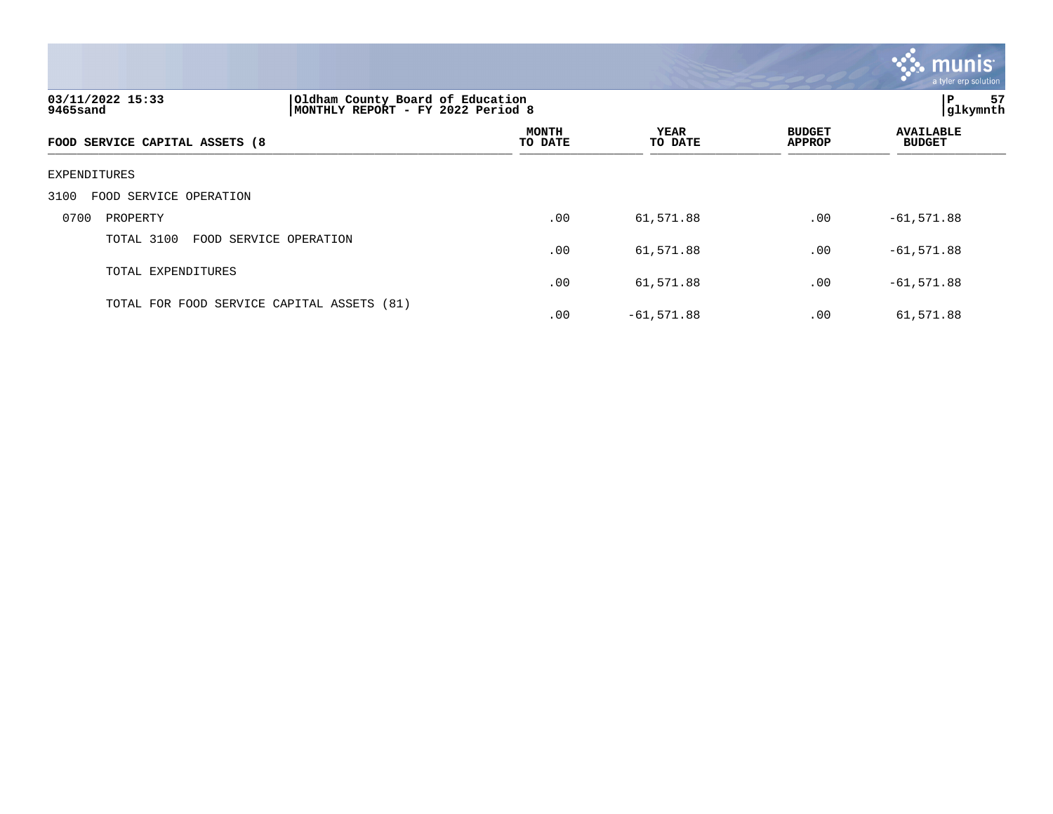

### 3100 FOOD SERVICE OPERATION

|      | SIOS TOOD DINTICH OLIHUILION               |     |              |     |              |
|------|--------------------------------------------|-----|--------------|-----|--------------|
| 0700 | PROPERTY                                   | .00 | 61,571.88    | .00 | $-61,571.88$ |
|      | TOTAL 3100 FOOD SERVICE OPERATION          | .00 | 61,571.88    | .00 | $-61,571.88$ |
|      | TOTAL EXPENDITURES                         | .00 | 61,571.88    | .00 | $-61,571.88$ |
|      | TOTAL FOR FOOD SERVICE CAPITAL ASSETS (81) | .00 | $-61,571.88$ | .00 | 61,571.88    |